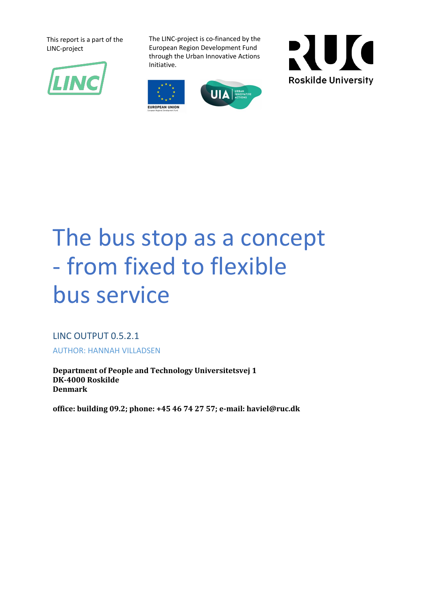This report is a part of the LINC-project



The LINC-project is co-financed by the European Region Development Fund through the Urban Innovative Actions Initiative.







# The bus stop as a concept - from fixed to flexible bus service

LINC OUTPUT 0.5.2.1 AUTHOR: HANNAH VILLADSEN

**Department of People and Technology Universitetsvej 1 DK-4000 Roskilde Denmark** 

**office: building 09.2; phone: +45 46 74 27 57; e-mail: haviel@ruc.dk**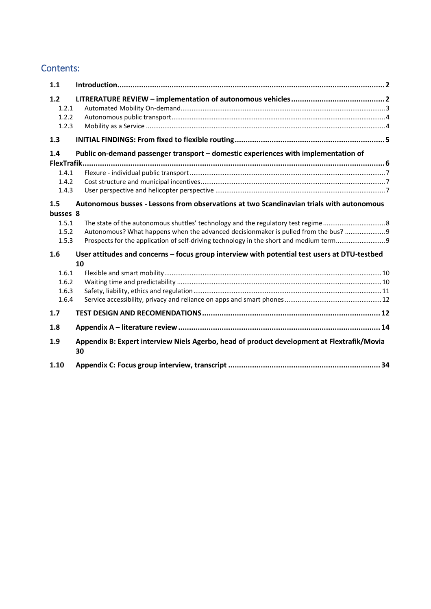#### Contents:

| 1.1                                           |                                                                                                                                                                                                                                                                          |  |
|-----------------------------------------------|--------------------------------------------------------------------------------------------------------------------------------------------------------------------------------------------------------------------------------------------------------------------------|--|
| $1.2$<br>1.2.1<br>1.2.2<br>1.2.3              |                                                                                                                                                                                                                                                                          |  |
| 1.3                                           |                                                                                                                                                                                                                                                                          |  |
| 1.4<br>FlexTrafik.<br>1.4.1<br>1.4.2<br>1.4.3 | Public on-demand passenger transport - domestic experiences with implementation of                                                                                                                                                                                       |  |
| 1.5<br>busses 8<br>1.5.1<br>1.5.2<br>1.5.3    | Autonomous busses - Lessons from observations at two Scandinavian trials with autonomous<br>Autonomous? What happens when the advanced decisionmaker is pulled from the bus?  9<br>Prospects for the application of self-driving technology in the short and medium term |  |
| 1.6<br>1.6.1<br>1.6.2<br>1.6.3<br>1.6.4       | User attitudes and concerns - focus group interview with potential test users at DTU-testbed<br>10                                                                                                                                                                       |  |
| 1.7                                           |                                                                                                                                                                                                                                                                          |  |
| 1.8                                           |                                                                                                                                                                                                                                                                          |  |
| 1.9                                           | Appendix B: Expert interview Niels Agerbo, head of product development at Flextrafik/Movia<br>30                                                                                                                                                                         |  |
| 1.10                                          |                                                                                                                                                                                                                                                                          |  |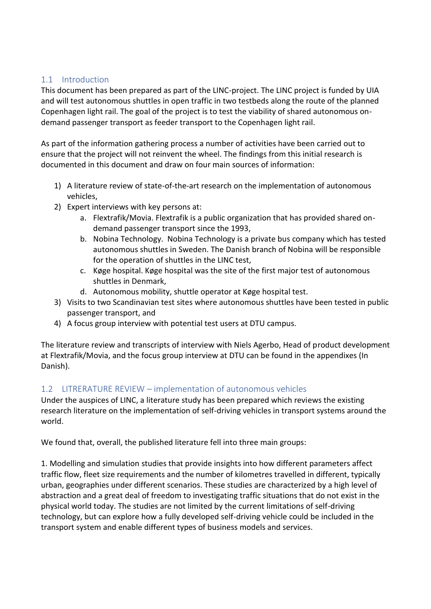#### <span id="page-2-0"></span>1.1 Introduction

This document has been prepared as part of the LINC-project. The LINC project is funded by UIA and will test autonomous shuttles in open traffic in two testbeds along the route of the planned Copenhagen light rail. The goal of the project is to test the viability of shared autonomous ondemand passenger transport as feeder transport to the Copenhagen light rail.

As part of the information gathering process a number of activities have been carried out to ensure that the project will not reinvent the wheel. The findings from this initial research is documented in this document and draw on four main sources of information:

- 1) A literature review of state-of-the-art research on the implementation of autonomous vehicles,
- 2) Expert interviews with key persons at:
	- a. Flextrafik/Movia. Flextrafik is a public organization that has provided shared ondemand passenger transport since the 1993,
	- b. Nobina Technology. Nobina Technology is a private bus company which has tested autonomous shuttles in Sweden. The Danish branch of Nobina will be responsible for the operation of shuttles in the LINC test,
	- c. Køge hospital. Køge hospital was the site of the first major test of autonomous shuttles in Denmark,
	- d. Autonomous mobility, shuttle operator at Køge hospital test.
- 3) Visits to two Scandinavian test sites where autonomous shuttles have been tested in public passenger transport, and
- 4) A focus group interview with potential test users at DTU campus.

The literature review and transcripts of interview with Niels Agerbo, Head of product development at Flextrafik/Movia, and the focus group interview at DTU can be found in the appendixes (In Danish).

#### <span id="page-2-1"></span>1.2 LITRERATURE REVIEW – implementation of autonomous vehicles

Under the auspices of LINC, a literature study has been prepared which reviews the existing research literature on the implementation of self-driving vehicles in transport systems around the world.

We found that, overall, the published literature fell into three main groups:

1. Modelling and simulation studies that provide insights into how different parameters affect traffic flow, fleet size requirements and the number of kilometres travelled in different, typically urban, geographies under different scenarios. These studies are characterized by a high level of abstraction and a great deal of freedom to investigating traffic situations that do not exist in the physical world today. The studies are not limited by the current limitations of self-driving technology, but can explore how a fully developed self-driving vehicle could be included in the transport system and enable different types of business models and services.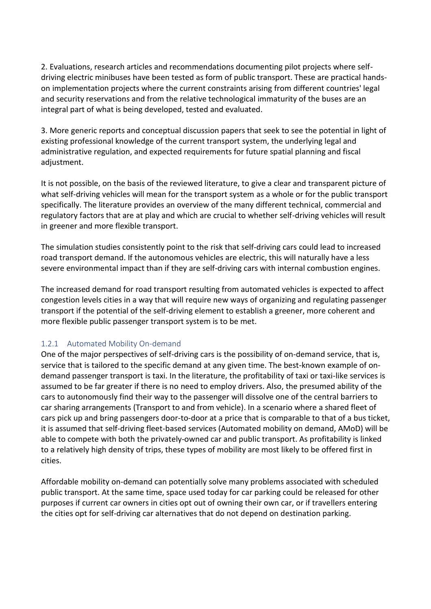2. Evaluations, research articles and recommendations documenting pilot projects where selfdriving electric minibuses have been tested as form of public transport. These are practical handson implementation projects where the current constraints arising from different countries' legal and security reservations and from the relative technological immaturity of the buses are an integral part of what is being developed, tested and evaluated.

3. More generic reports and conceptual discussion papers that seek to see the potential in light of existing professional knowledge of the current transport system, the underlying legal and administrative regulation, and expected requirements for future spatial planning and fiscal adjustment.

It is not possible, on the basis of the reviewed literature, to give a clear and transparent picture of what self-driving vehicles will mean for the transport system as a whole or for the public transport specifically. The literature provides an overview of the many different technical, commercial and regulatory factors that are at play and which are crucial to whether self-driving vehicles will result in greener and more flexible transport.

The simulation studies consistently point to the risk that self-driving cars could lead to increased road transport demand. If the autonomous vehicles are electric, this will naturally have a less severe environmental impact than if they are self-driving cars with internal combustion engines.

The increased demand for road transport resulting from automated vehicles is expected to affect congestion levels cities in a way that will require new ways of organizing and regulating passenger transport if the potential of the self-driving element to establish a greener, more coherent and more flexible public passenger transport system is to be met.

#### <span id="page-3-0"></span>1.2.1 Automated Mobility On-demand

One of the major perspectives of self-driving cars is the possibility of on-demand service, that is, service that is tailored to the specific demand at any given time. The best-known example of ondemand passenger transport is taxi. In the literature, the profitability of taxi or taxi-like services is assumed to be far greater if there is no need to employ drivers. Also, the presumed ability of the cars to autonomously find their way to the passenger will dissolve one of the central barriers to car sharing arrangements (Transport to and from vehicle). In a scenario where a shared fleet of cars pick up and bring passengers door-to-door at a price that is comparable to that of a bus ticket, it is assumed that self-driving fleet-based services (Automated mobility on demand, AMoD) will be able to compete with both the privately-owned car and public transport. As profitability is linked to a relatively high density of trips, these types of mobility are most likely to be offered first in cities.

Affordable mobility on-demand can potentially solve many problems associated with scheduled public transport. At the same time, space used today for car parking could be released for other purposes if current car owners in cities opt out of owning their own car, or if travellers entering the cities opt for self-driving car alternatives that do not depend on destination parking.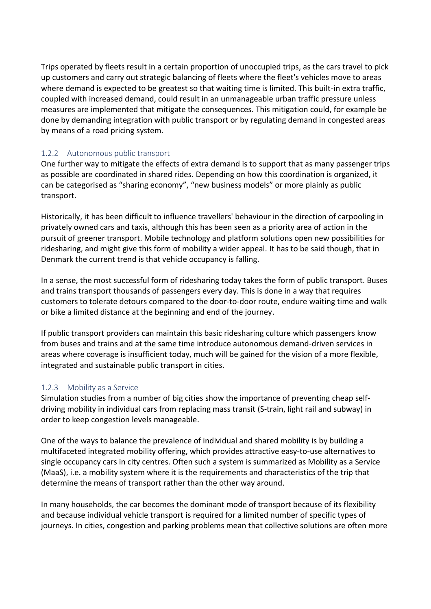Trips operated by fleets result in a certain proportion of unoccupied trips, as the cars travel to pick up customers and carry out strategic balancing of fleets where the fleet's vehicles move to areas where demand is expected to be greatest so that waiting time is limited. This built-in extra traffic, coupled with increased demand, could result in an unmanageable urban traffic pressure unless measures are implemented that mitigate the consequences. This mitigation could, for example be done by demanding integration with public transport or by regulating demand in congested areas by means of a road pricing system.

#### <span id="page-4-0"></span>1.2.2 Autonomous public transport

One further way to mitigate the effects of extra demand is to support that as many passenger trips as possible are coordinated in shared rides. Depending on how this coordination is organized, it can be categorised as "sharing economy", "new business models" or more plainly as public transport.

Historically, it has been difficult to influence travellers' behaviour in the direction of carpooling in privately owned cars and taxis, although this has been seen as a priority area of action in the pursuit of greener transport. Mobile technology and platform solutions open new possibilities for ridesharing, and might give this form of mobility a wider appeal. It has to be said though, that in Denmark the current trend is that vehicle occupancy is falling.

In a sense, the most successful form of ridesharing today takes the form of public transport. Buses and trains transport thousands of passengers every day. This is done in a way that requires customers to tolerate detours compared to the door-to-door route, endure waiting time and walk or bike a limited distance at the beginning and end of the journey.

If public transport providers can maintain this basic ridesharing culture which passengers know from buses and trains and at the same time introduce autonomous demand-driven services in areas where coverage is insufficient today, much will be gained for the vision of a more flexible, integrated and sustainable public transport in cities.

#### <span id="page-4-1"></span>1.2.3 Mobility as a Service

Simulation studies from a number of big cities show the importance of preventing cheap selfdriving mobility in individual cars from replacing mass transit (S-train, light rail and subway) in order to keep congestion levels manageable.

One of the ways to balance the prevalence of individual and shared mobility is by building a multifaceted integrated mobility offering, which provides attractive easy-to-use alternatives to single occupancy cars in city centres. Often such a system is summarized as Mobility as a Service (MaaS), i.e. a mobility system where it is the requirements and characteristics of the trip that determine the means of transport rather than the other way around.

In many households, the car becomes the dominant mode of transport because of its flexibility and because individual vehicle transport is required for a limited number of specific types of journeys. In cities, congestion and parking problems mean that collective solutions are often more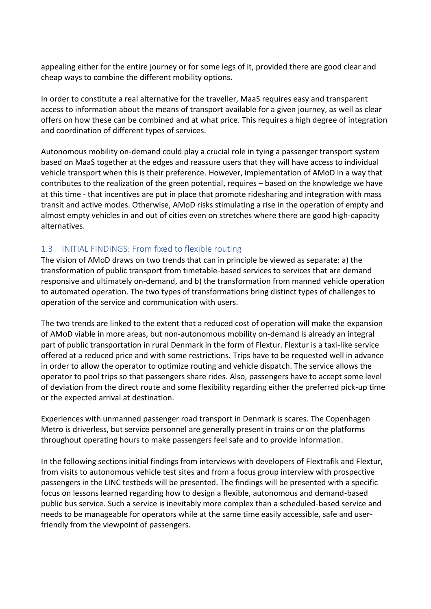appealing either for the entire journey or for some legs of it, provided there are good clear and cheap ways to combine the different mobility options.

In order to constitute a real alternative for the traveller, MaaS requires easy and transparent access to information about the means of transport available for a given journey, as well as clear offers on how these can be combined and at what price. This requires a high degree of integration and coordination of different types of services.

Autonomous mobility on-demand could play a crucial role in tying a passenger transport system based on MaaS together at the edges and reassure users that they will have access to individual vehicle transport when this is their preference. However, implementation of AMoD in a way that contributes to the realization of the green potential, requires – based on the knowledge we have at this time - that incentives are put in place that promote ridesharing and integration with mass transit and active modes. Otherwise, AMoD risks stimulating a rise in the operation of empty and almost empty vehicles in and out of cities even on stretches where there are good high-capacity alternatives.

#### <span id="page-5-0"></span>1.3 INITIAL FINDINGS: From fixed to flexible routing

The vision of AMoD draws on two trends that can in principle be viewed as separate: a) the transformation of public transport from timetable-based services to services that are demand responsive and ultimately on-demand, and b) the transformation from manned vehicle operation to automated operation. The two types of transformations bring distinct types of challenges to operation of the service and communication with users.

The two trends are linked to the extent that a reduced cost of operation will make the expansion of AMoD viable in more areas, but non-autonomous mobility on-demand is already an integral part of public transportation in rural Denmark in the form of Flextur. Flextur is a taxi-like service offered at a reduced price and with some restrictions. Trips have to be requested well in advance in order to allow the operator to optimize routing and vehicle dispatch. The service allows the operator to pool trips so that passengers share rides. Also, passengers have to accept some level of deviation from the direct route and some flexibility regarding either the preferred pick-up time or the expected arrival at destination.

Experiences with unmanned passenger road transport in Denmark is scares. The Copenhagen Metro is driverless, but service personnel are generally present in trains or on the platforms throughout operating hours to make passengers feel safe and to provide information.

In the following sections initial findings from interviews with developers of Flextrafik and Flextur, from visits to autonomous vehicle test sites and from a focus group interview with prospective passengers in the LINC testbeds will be presented. The findings will be presented with a specific focus on lessons learned regarding how to design a flexible, autonomous and demand-based public bus service. Such a service is inevitably more complex than a scheduled-based service and needs to be manageable for operators while at the same time easily accessible, safe and userfriendly from the viewpoint of passengers.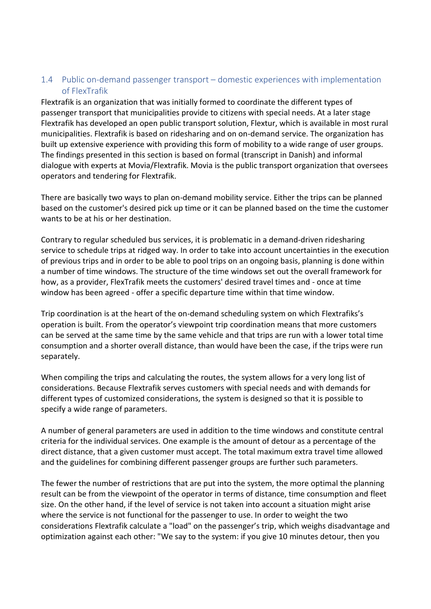#### <span id="page-6-0"></span>1.4 Public on-demand passenger transport – domestic experiences with implementation of FlexTrafik

Flextrafik is an organization that was initially formed to coordinate the different types of passenger transport that municipalities provide to citizens with special needs. At a later stage Flextrafik has developed an open public transport solution, Flextur, which is available in most rural municipalities. Flextrafik is based on ridesharing and on on-demand service. The organization has built up extensive experience with providing this form of mobility to a wide range of user groups. The findings presented in this section is based on formal (transcript in Danish) and informal dialogue with experts at Movia/Flextrafik. Movia is the public transport organization that oversees operators and tendering for Flextrafik.

There are basically two ways to plan on-demand mobility service. Either the trips can be planned based on the customer's desired pick up time or it can be planned based on the time the customer wants to be at his or her destination.

Contrary to regular scheduled bus services, it is problematic in a demand-driven ridesharing service to schedule trips at ridged way. In order to take into account uncertainties in the execution of previous trips and in order to be able to pool trips on an ongoing basis, planning is done within a number of time windows. The structure of the time windows set out the overall framework for how, as a provider, FlexTrafik meets the customers' desired travel times and - once at time window has been agreed - offer a specific departure time within that time window.

Trip coordination is at the heart of the on-demand scheduling system on which Flextrafiks's operation is built. From the operator's viewpoint trip coordination means that more customers can be served at the same time by the same vehicle and that trips are run with a lower total time consumption and a shorter overall distance, than would have been the case, if the trips were run separately.

When compiling the trips and calculating the routes, the system allows for a very long list of considerations. Because Flextrafik serves customers with special needs and with demands for different types of customized considerations, the system is designed so that it is possible to specify a wide range of parameters.

A number of general parameters are used in addition to the time windows and constitute central criteria for the individual services. One example is the amount of detour as a percentage of the direct distance, that a given customer must accept. The total maximum extra travel time allowed and the guidelines for combining different passenger groups are further such parameters.

The fewer the number of restrictions that are put into the system, the more optimal the planning result can be from the viewpoint of the operator in terms of distance, time consumption and fleet size. On the other hand, if the level of service is not taken into account a situation might arise where the service is not functional for the passenger to use. In order to weight the two considerations Flextrafik calculate a "load" on the passenger's trip, which weighs disadvantage and optimization against each other: "We say to the system: if you give 10 minutes detour, then you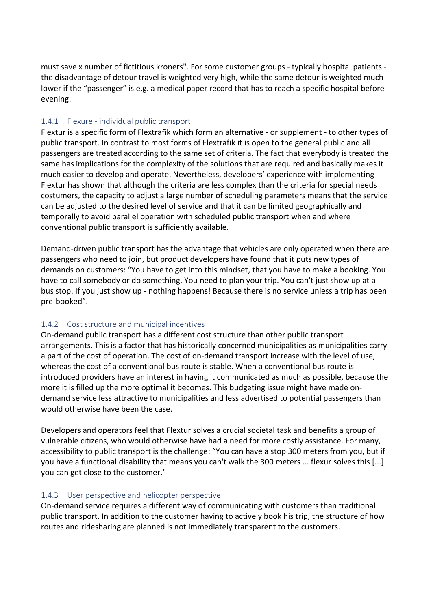must save x number of fictitious kroners". For some customer groups - typically hospital patients the disadvantage of detour travel is weighted very high, while the same detour is weighted much lower if the "passenger" is e.g. a medical paper record that has to reach a specific hospital before evening.

#### <span id="page-7-0"></span>1.4.1 Flexure - individual public transport

Flextur is a specific form of Flextrafik which form an alternative - or supplement - to other types of public transport. In contrast to most forms of Flextrafik it is open to the general public and all passengers are treated according to the same set of criteria. The fact that everybody is treated the same has implications for the complexity of the solutions that are required and basically makes it much easier to develop and operate. Nevertheless, developers' experience with implementing Flextur has shown that although the criteria are less complex than the criteria for special needs costumers, the capacity to adjust a large number of scheduling parameters means that the service can be adjusted to the desired level of service and that it can be limited geographically and temporally to avoid parallel operation with scheduled public transport when and where conventional public transport is sufficiently available.

Demand-driven public transport has the advantage that vehicles are only operated when there are passengers who need to join, but product developers have found that it puts new types of demands on customers: "You have to get into this mindset, that you have to make a booking. You have to call somebody or do something. You need to plan your trip. You can't just show up at a bus stop. If you just show up - nothing happens! Because there is no service unless a trip has been pre-booked".

#### <span id="page-7-1"></span>1.4.2 Cost structure and municipal incentives

On-demand public transport has a different cost structure than other public transport arrangements. This is a factor that has historically concerned municipalities as municipalities carry a part of the cost of operation. The cost of on-demand transport increase with the level of use, whereas the cost of a conventional bus route is stable. When a conventional bus route is introduced providers have an interest in having it communicated as much as possible, because the more it is filled up the more optimal it becomes. This budgeting issue might have made ondemand service less attractive to municipalities and less advertised to potential passengers than would otherwise have been the case.

Developers and operators feel that Flextur solves a crucial societal task and benefits a group of vulnerable citizens, who would otherwise have had a need for more costly assistance. For many, accessibility to public transport is the challenge: "You can have a stop 300 meters from you, but if you have a functional disability that means you can't walk the 300 meters ... flexur solves this [...] you can get close to the customer."

#### <span id="page-7-2"></span>1.4.3 User perspective and helicopter perspective

On-demand service requires a different way of communicating with customers than traditional public transport. In addition to the customer having to actively book his trip, the structure of how routes and ridesharing are planned is not immediately transparent to the customers.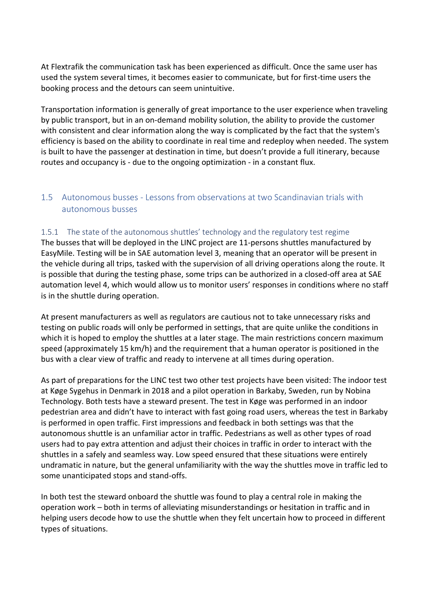At Flextrafik the communication task has been experienced as difficult. Once the same user has used the system several times, it becomes easier to communicate, but for first-time users the booking process and the detours can seem unintuitive.

Transportation information is generally of great importance to the user experience when traveling by public transport, but in an on-demand mobility solution, the ability to provide the customer with consistent and clear information along the way is complicated by the fact that the system's efficiency is based on the ability to coordinate in real time and redeploy when needed. The system is built to have the passenger at destination in time, but doesn't provide a full itinerary, because routes and occupancy is - due to the ongoing optimization - in a constant flux.

#### <span id="page-8-0"></span>1.5 Autonomous busses - Lessons from observations at two Scandinavian trials with autonomous busses

#### <span id="page-8-1"></span>1.5.1 The state of the autonomous shuttles' technology and the regulatory test regime

The busses that will be deployed in the LINC project are 11-persons shuttles manufactured by EasyMile. Testing will be in SAE automation level 3, meaning that an operator will be present in the vehicle during all trips, tasked with the supervision of all driving operations along the route. It is possible that during the testing phase, some trips can be authorized in a closed-off area at SAE automation level 4, which would allow us to monitor users' responses in conditions where no staff is in the shuttle during operation.

At present manufacturers as well as regulators are cautious not to take unnecessary risks and testing on public roads will only be performed in settings, that are quite unlike the conditions in which it is hoped to employ the shuttles at a later stage. The main restrictions concern maximum speed (approximately 15 km/h) and the requirement that a human operator is positioned in the bus with a clear view of traffic and ready to intervene at all times during operation.

As part of preparations for the LINC test two other test projects have been visited: The indoor test at Køge Sygehus in Denmark in 2018 and a pilot operation in Barkaby, Sweden, run by Nobina Technology. Both tests have a steward present. The test in Køge was performed in an indoor pedestrian area and didn't have to interact with fast going road users, whereas the test in Barkaby is performed in open traffic. First impressions and feedback in both settings was that the autonomous shuttle is an unfamiliar actor in traffic. Pedestrians as well as other types of road users had to pay extra attention and adjust their choices in traffic in order to interact with the shuttles in a safely and seamless way. Low speed ensured that these situations were entirely undramatic in nature, but the general unfamiliarity with the way the shuttles move in traffic led to some unanticipated stops and stand-offs.

In both test the steward onboard the shuttle was found to play a central role in making the operation work – both in terms of alleviating misunderstandings or hesitation in traffic and in helping users decode how to use the shuttle when they felt uncertain how to proceed in different types of situations.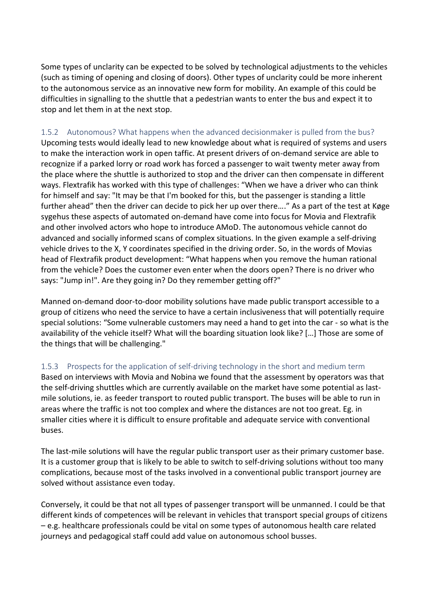Some types of unclarity can be expected to be solved by technological adjustments to the vehicles (such as timing of opening and closing of doors). Other types of unclarity could be more inherent to the autonomous service as an innovative new form for mobility. An example of this could be difficulties in signalling to the shuttle that a pedestrian wants to enter the bus and expect it to stop and let them in at the next stop.

#### <span id="page-9-0"></span>1.5.2 Autonomous? What happens when the advanced decisionmaker is pulled from the bus?

Upcoming tests would ideally lead to new knowledge about what is required of systems and users to make the interaction work in open taffic. At present drivers of on-demand service are able to recognize if a parked lorry or road work has forced a passenger to wait twenty meter away from the place where the shuttle is authorized to stop and the driver can then compensate in different ways. Flextrafik has worked with this type of challenges: "When we have a driver who can think for himself and say: "It may be that I'm booked for this, but the passenger is standing a little further ahead" then the driver can decide to pick her up over there…." As a part of the test at Køge sygehus these aspects of automated on-demand have come into focus for Movia and Flextrafik and other involved actors who hope to introduce AMoD. The autonomous vehicle cannot do advanced and socially informed scans of complex situations. In the given example a self-driving vehicle drives to the X, Y coordinates specified in the driving order. So, in the words of Movias head of Flextrafik product development: "What happens when you remove the human rational from the vehicle? Does the customer even enter when the doors open? There is no driver who says: "Jump in!". Are they going in? Do they remember getting off?"

Manned on-demand door-to-door mobility solutions have made public transport accessible to a group of citizens who need the service to have a certain inclusiveness that will potentially require special solutions: "Some vulnerable customers may need a hand to get into the car - so what is the availability of the vehicle itself? What will the boarding situation look like? […] Those are some of the things that will be challenging."

#### <span id="page-9-1"></span>1.5.3 Prospects for the application of self-driving technology in the short and medium term

Based on interviews with Movia and Nobina we found that the assessment by operators was that the self-driving shuttles which are currently available on the market have some potential as lastmile solutions, ie. as feeder transport to routed public transport. The buses will be able to run in areas where the traffic is not too complex and where the distances are not too great. Eg. in smaller cities where it is difficult to ensure profitable and adequate service with conventional buses.

The last-mile solutions will have the regular public transport user as their primary customer base. It is a customer group that is likely to be able to switch to self-driving solutions without too many complications, because most of the tasks involved in a conventional public transport journey are solved without assistance even today.

Conversely, it could be that not all types of passenger transport will be unmanned. I could be that different kinds of competences will be relevant in vehicles that transport special groups of citizens – e.g. healthcare professionals could be vital on some types of autonomous health care related journeys and pedagogical staff could add value on autonomous school busses.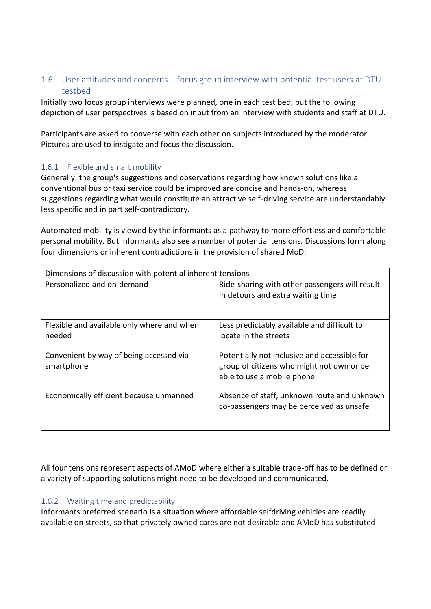#### <span id="page-10-0"></span>1.6 User attitudes and concerns – focus group interview with potential test users at DTUtestbed

Initially two focus group interviews were planned, one in each test bed, but the following depiction of user perspectives is based on input from an interview with students and staff at DTU.

Participants are asked to converse with each other on subjects introduced by the moderator. Pictures are used to instigate and focus the discussion.

#### <span id="page-10-1"></span>1.6.1 Flexible and smart mobility

Generally, the group's suggestions and observations regarding how known solutions like a conventional bus or taxi service could be improved are concise and hands-on, whereas suggestions regarding what would constitute an attractive self-driving service are understandably less specific and in part self-contradictory.

Automated mobility is viewed by the informants as a pathway to more effortless and comfortable personal mobility. But informants also see a number of potential tensions. Discussions form along four dimensions or inherent contradictions in the provision of shared MoD:

| Dimensions of discussion with potential inherent tensions |                                                |  |  |
|-----------------------------------------------------------|------------------------------------------------|--|--|
| Personalized and on-demand                                | Ride-sharing with other passengers will result |  |  |
|                                                           | in detours and extra waiting time              |  |  |
|                                                           |                                                |  |  |
| Flexible and available only where and when                | Less predictably available and difficult to    |  |  |
| needed                                                    | locate in the streets                          |  |  |
|                                                           |                                                |  |  |
| Convenient by way of being accessed via                   | Potentially not inclusive and accessible for   |  |  |
| smartphone                                                | group of citizens who might not own or be      |  |  |
|                                                           | able to use a mobile phone                     |  |  |
|                                                           |                                                |  |  |
| Economically efficient because unmanned                   | Absence of staff, unknown route and unknown    |  |  |
|                                                           | co-passengers may be perceived as unsafe       |  |  |
|                                                           |                                                |  |  |
|                                                           |                                                |  |  |

All four tensions represent aspects of AMoD where either a suitable trade-off has to be defined or a variety of supporting solutions might need to be developed and communicated.

#### <span id="page-10-2"></span>1.6.2 Waiting time and predictability

Informants preferred scenario is a situation where affordable selfdriving vehicles are readily available on streets, so that privately owned cares are not desirable and AMoD has substituted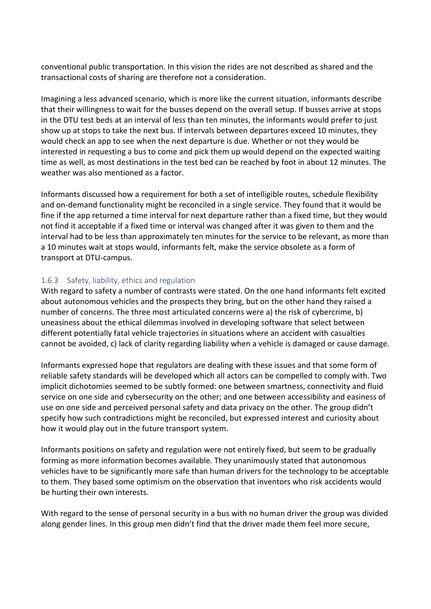conventional public transportation. In this vision the rides are not described as shared and the transactional costs of sharing are therefore not a consideration.

Imagining a less advanced scenario, which is more like the current situation, informants describe that their willingness to wait for the busses depend on the overall setup. If busses arrive at stops in the DTU test beds at an interval of less than ten minutes, the informants would prefer to just show up at stops to take the next bus. If intervals between departures exceed 10 minutes, they would check an app to see when the next departure is due. Whether or not they would be interested in requesting a bus to come and pick them up would depend on the expected waiting time as well, as most destinations in the test bed can be reached by foot in about 12 minutes. The weather was also mentioned as a factor.

Informants discussed how a requirement for both a set of intelligible routes, schedule flexibility and on-demand functionality might be reconciled in a single service. They found that it would be fine if the app returned a time interval for next departure rather than a fixed time, but they would not find it acceptable if a fixed time or interval was changed after it was given to them and the interval had to be less than approximately ten minutes for the service to be relevant, as more than a 10 minutes wait at stops would, informants felt, make the service obsolete as a form of transport at DTU-campus.

#### <span id="page-11-0"></span>1.6.3 Safety, liability, ethics and regulation

With regard to safety a number of contrasts were stated. On the one hand informants felt excited about autonomous vehicles and the prospects they bring, but on the other hand they raised a number of concerns. The three most articulated concerns were a) the risk of cybercrime, b) uneasiness about the ethical dilemmas involved in developing software that select between different potentially fatal vehicle trajectories in situations where an accident with casualties cannot be avoided, c) lack of clarity regarding liability when a vehicle is damaged or cause damage.

Informants expressed hope that regulators are dealing with these issues and that some form of reliable safety standards will be developed which all actors can be compelled to comply with. Two implicit dichotomies seemed to be subtly formed: one between smartness, connectivity and fluid service on one side and cybersecurity on the other; and one between accessibility and easiness of use on one side and perceived personal safety and data privacy on the other. The group didn't specify how such contradictions might be reconciled, but expressed interest and curiosity about how it would play out in the future transport system.

Informants positions on safety and regulation were not entirely fixed, but seem to be gradually forming as more information becomes available. They unanimously stated that autonomous vehicles have to be significantly more safe than human drivers for the technology to be acceptable to them. They based some optimism on the observation that inventors who risk accidents would be hurting their own interests.

With regard to the sense of personal security in a bus with no human driver the group was divided along gender lines. In this group men didn't find that the driver made them feel more secure,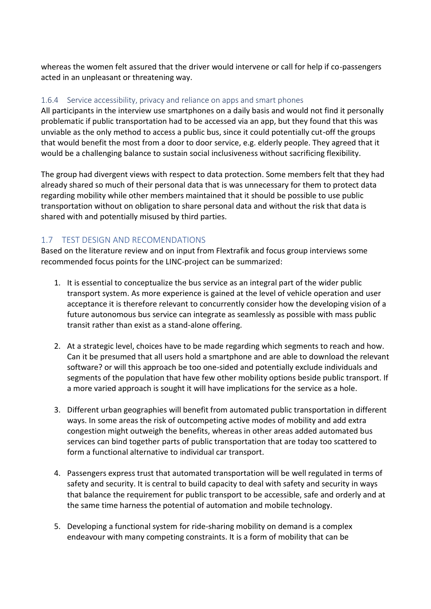whereas the women felt assured that the driver would intervene or call for help if co-passengers acted in an unpleasant or threatening way.

#### <span id="page-12-0"></span>1.6.4 Service accessibility, privacy and reliance on apps and smart phones

All participants in the interview use smartphones on a daily basis and would not find it personally problematic if public transportation had to be accessed via an app, but they found that this was unviable as the only method to access a public bus, since it could potentially cut-off the groups that would benefit the most from a door to door service, e.g. elderly people. They agreed that it would be a challenging balance to sustain social inclusiveness without sacrificing flexibility.

The group had divergent views with respect to data protection. Some members felt that they had already shared so much of their personal data that is was unnecessary for them to protect data regarding mobility while other members maintained that it should be possible to use public transportation without on obligation to share personal data and without the risk that data is shared with and potentially misused by third parties.

#### <span id="page-12-1"></span>1.7 TEST DESIGN AND RECOMENDATIONS

Based on the literature review and on input from Flextrafik and focus group interviews some recommended focus points for the LINC-project can be summarized:

- 1. It is essential to conceptualize the bus service as an integral part of the wider public transport system. As more experience is gained at the level of vehicle operation and user acceptance it is therefore relevant to concurrently consider how the developing vision of a future autonomous bus service can integrate as seamlessly as possible with mass public transit rather than exist as a stand-alone offering.
- 2. At a strategic level, choices have to be made regarding which segments to reach and how. Can it be presumed that all users hold a smartphone and are able to download the relevant software? or will this approach be too one-sided and potentially exclude individuals and segments of the population that have few other mobility options beside public transport. If a more varied approach is sought it will have implications for the service as a hole.
- 3. Different urban geographies will benefit from automated public transportation in different ways. In some areas the risk of outcompeting active modes of mobility and add extra congestion might outweigh the benefits, whereas in other areas added automated bus services can bind together parts of public transportation that are today too scattered to form a functional alternative to individual car transport.
- 4. Passengers express trust that automated transportation will be well regulated in terms of safety and security. It is central to build capacity to deal with safety and security in ways that balance the requirement for public transport to be accessible, safe and orderly and at the same time harness the potential of automation and mobile technology.
- 5. Developing a functional system for ride-sharing mobility on demand is a complex endeavour with many competing constraints. It is a form of mobility that can be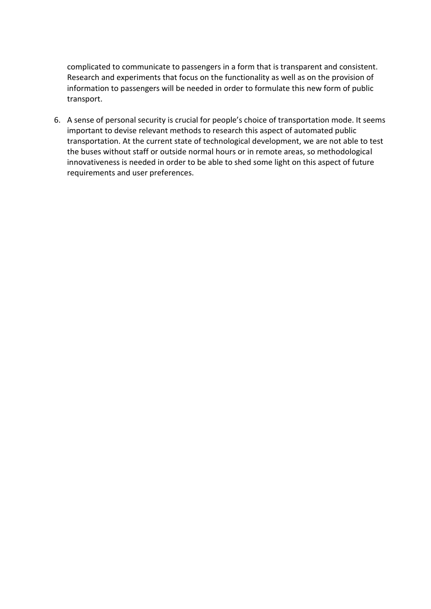complicated to communicate to passengers in a form that is transparent and consistent. Research and experiments that focus on the functionality as well as on the provision of information to passengers will be needed in order to formulate this new form of public transport.

6. A sense of personal security is crucial for people's choice of transportation mode. It seems important to devise relevant methods to research this aspect of automated public transportation. At the current state of technological development, we are not able to test the buses without staff or outside normal hours or in remote areas, so methodological innovativeness is needed in order to be able to shed some light on this aspect of future requirements and user preferences.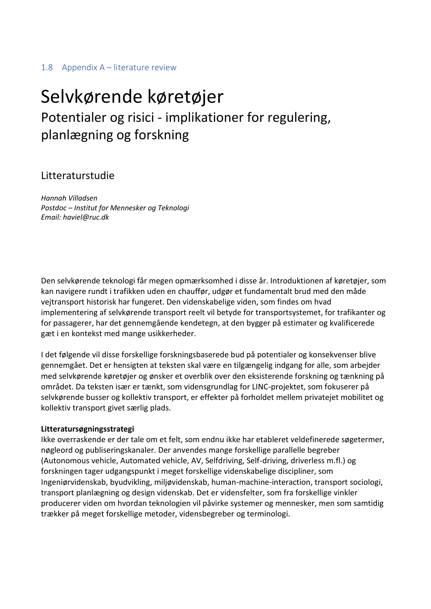#### <span id="page-14-0"></span>1.8 Appendix A – literature review

## Selvkørende køretøjer Potentialer og risici - implikationer for regulering, planlægning og forskning

#### Litteraturstudie

*Hannah Villadsen Postdoc – Institut for Mennesker og Teknologi Email: haviel@ruc.dk*

Den selvkørende teknologi får megen opmærksomhed i disse år. Introduktionen af køretøjer, som kan navigere rundt i trafikken uden en chauffør, udgør et fundamentalt brud med den måde vejtransport historisk har fungeret. Den videnskabelige viden, som findes om hvad implementering af selvkørende transport reelt vil betyde for transportsystemet, for trafikanter og for passagerer, har det gennemgående kendetegn, at den bygger på estimater og kvalificerede gæt i en kontekst med mange usikkerheder.

I det følgende vil disse forskellige forskningsbaserede bud på potentialer og konsekvenser blive gennemgået. Det er hensigten at teksten skal være en tilgængelig indgang for alle, som arbejder med selvkørende køretøjer og ønsker et overblik over den eksisterende forskning og tænkning på området. Da teksten især er tænkt, som vidensgrundlag for LINC-projektet, som fokuserer på selvkørende busser og kollektiv transport, er effekter på forholdet mellem privatejet mobilitet og kollektiv transport givet særlig plads.

#### **Litteratursøgningsstrategi**

Ikke overraskende er der tale om et felt, som endnu ikke har etableret veldefinerede søgetermer, nøgleord og publiseringskanaler. Der anvendes mange forskellige parallelle begreber (Autonomous vehicle, Automated vehicle, AV, Selfdriving, Self-driving, driverless m.fl.) og forskningen tager udgangspunkt i meget forskellige videnskabelige discipliner, som Ingeniørvidenskab, byudvikling, miljøvidenskab, human-machine-interaction, transport sociologi, transport planlægning og design videnskab. Det er vidensfelter, som fra forskellige vinkler producerer viden om hvordan teknologien vil påvirke systemer og mennesker, men som samtidig trækker på meget forskellige metoder, vidensbegreber og terminologi.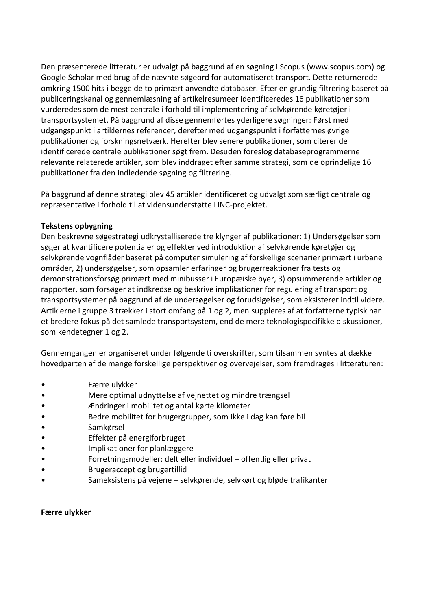Den præsenterede litteratur er udvalgt på baggrund af en søgning i Scopus (www.scopus.com) og Google Scholar med brug af de nævnte søgeord for automatiseret transport. Dette returnerede omkring 1500 hits i begge de to primært anvendte databaser. Efter en grundig filtrering baseret på publiceringskanal og gennemlæsning af artikelresumeer identificeredes 16 publikationer som vurderedes som de mest centrale i forhold til implementering af selvkørende køretøjer i transportsystemet. På baggrund af disse gennemførtes yderligere søgninger: Først med udgangspunkt i artiklernes referencer, derefter med udgangspunkt i forfatternes øvrige publikationer og forskningsnetværk. Herefter blev senere publikationer, som citerer de identificerede centrale publikationer søgt frem. Desuden foreslog databaseprogrammerne relevante relaterede artikler, som blev inddraget efter samme strategi, som de oprindelige 16 publikationer fra den indledende søgning og filtrering.

På baggrund af denne strategi blev 45 artikler identificeret og udvalgt som særligt centrale og repræsentative i forhold til at vidensunderstøtte LINC-projektet.

#### **Tekstens opbygning**

Den beskrevne søgestrategi udkrystalliserede tre klynger af publikationer: 1) Undersøgelser som søger at kvantificere potentialer og effekter ved introduktion af selvkørende køretøjer og selvkørende vognflåder baseret på computer simulering af forskellige scenarier primært i urbane områder, 2) undersøgelser, som opsamler erfaringer og brugerreaktioner fra tests og demonstrationsforsøg primært med minibusser i Europæiske byer, 3) opsummerende artikler og rapporter, som forsøger at indkredse og beskrive implikationer for regulering af transport og transportsystemer på baggrund af de undersøgelser og forudsigelser, som eksisterer indtil videre. Artiklerne i gruppe 3 trækker i stort omfang på 1 og 2, men suppleres af at forfatterne typisk har et bredere fokus på det samlede transportsystem, end de mere teknologispecifikke diskussioner, som kendetegner 1 og 2.

Gennemgangen er organiseret under følgende ti overskrifter, som tilsammen syntes at dække hovedparten af de mange forskellige perspektiver og overvejelser, som fremdrages i litteraturen:

- Færre ulykker
- Mere optimal udnyttelse af vejnettet og mindre trængsel
- Ændringer i mobilitet og antal kørte kilometer
- Bedre mobilitet for brugergrupper, som ikke i dag kan føre bil
- Samkørsel
- Effekter på energiforbruget
- Implikationer for planlæggere
- Forretningsmodeller: delt eller individuel offentlig eller privat
- Brugeraccept og brugertillid
- Sameksistens på vejene selvkørende, selvkørt og bløde trafikanter

#### **Færre ulykker**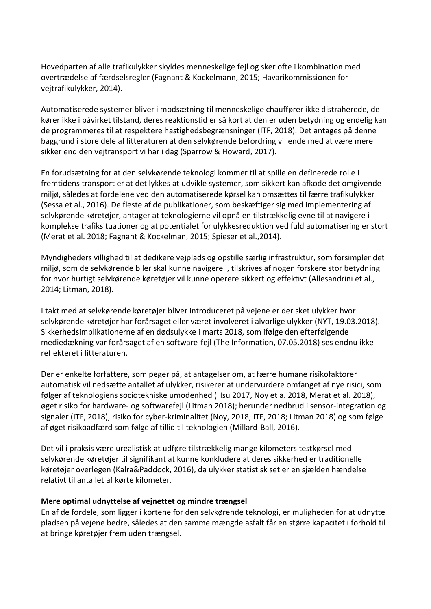Hovedparten af alle trafikulykker skyldes menneskelige fejl og sker ofte i kombination med overtrædelse af færdselsregler (Fagnant & Kockelmann, 2015; Havarikommissionen for vejtrafikulykker, 2014).

Automatiserede systemer bliver i modsætning til menneskelige chauffører ikke distraherede, de kører ikke i påvirket tilstand, deres reaktionstid er så kort at den er uden betydning og endelig kan de programmeres til at respektere hastighedsbegrænsninger (ITF, 2018). Det antages på denne baggrund i store dele af litteraturen at den selvkørende befordring vil ende med at være mere sikker end den vejtransport vi har i dag (Sparrow & Howard, 2017).

En forudsætning for at den selvkørende teknologi kommer til at spille en definerede rolle i fremtidens transport er at det lykkes at udvikle systemer, som sikkert kan afkode det omgivende miljø, således at fordelene ved den automatiserede kørsel kan omsættes til færre trafikulykker (Sessa et al., 2016). De fleste af de publikationer, som beskæftiger sig med implementering af selvkørende køretøjer, antager at teknologierne vil opnå en tilstrækkelig evne til at navigere i komplekse trafiksituationer og at potentialet for ulykkesreduktion ved fuld automatisering er stort (Merat et al. 2018; Fagnant & Kockelman, 2015; Spieser et al.,2014).

Myndigheders villighed til at dedikere vejplads og opstille særlig infrastruktur, som forsimpler det miljø, som de selvkørende biler skal kunne navigere i, tilskrives af nogen forskere stor betydning for hvor hurtigt selvkørende køretøjer vil kunne operere sikkert og effektivt (Allesandrini et al., 2014; Litman, 2018).

I takt med at selvkørende køretøjer bliver introduceret på vejene er der sket ulykker hvor selvkørende køretøjer har forårsaget eller været involveret i alvorlige ulykker (NYT, 19.03.2018). Sikkerhedsimplikationerne af en dødsulykke i marts 2018, som ifølge den efterfølgende mediedækning var forårsaget af en software-fejl (The Information, 07.05.2018) ses endnu ikke reflekteret i litteraturen.

Der er enkelte forfattere, som peger på, at antagelser om, at færre humane risikofaktorer automatisk vil nedsætte antallet af ulykker, risikerer at undervurdere omfanget af nye risici, som følger af teknologiens sociotekniske umodenhed (Hsu 2017, Noy et a. 2018, Merat et al. 2018), øget risiko for hardware- og softwarefejl (Litman 2018); herunder nedbrud i sensor-integration og signaler (ITF, 2018), risiko for cyber-kriminalitet (Noy, 2018; ITF, 2018; Litman 2018) og som følge af øget risikoadfærd som følge af tillid til teknologien (Millard-Ball, 2016).

Det vil i praksis være urealistisk at udføre tilstrækkelig mange kilometers testkørsel med selvkørende køretøjer til signifikant at kunne konkludere at deres sikkerhed er traditionelle køretøjer overlegen (Kalra&Paddock, 2016), da ulykker statistisk set er en sjælden hændelse relativt til antallet af kørte kilometer.

#### **Mere optimal udnyttelse af vejnettet og mindre trængsel**

En af de fordele, som ligger i kortene for den selvkørende teknologi, er muligheden for at udnytte pladsen på vejene bedre, således at den samme mængde asfalt får en større kapacitet i forhold til at bringe køretøjer frem uden trængsel.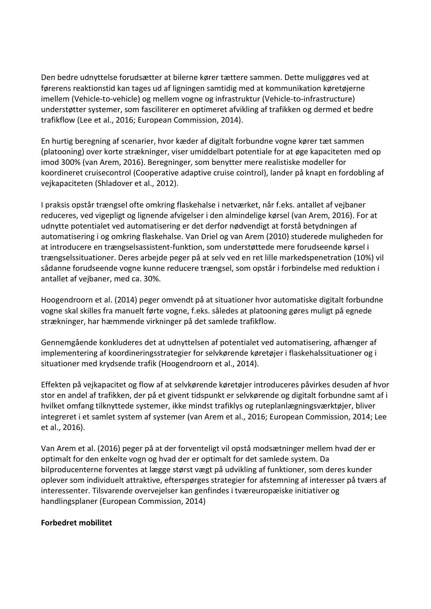Den bedre udnyttelse forudsætter at bilerne kører tættere sammen. Dette muliggøres ved at førerens reaktionstid kan tages ud af ligningen samtidig med at kommunikation køretøjerne imellem (Vehicle-to-vehicle) og mellem vogne og infrastruktur (Vehicle-to-infrastructure) understøtter systemer, som fasciliterer en optimeret afvikling af trafikken og dermed et bedre trafikflow (Lee et al., 2016; European Commission, 2014).

En hurtig beregning af scenarier, hvor kæder af digitalt forbundne vogne kører tæt sammen (platooning) over korte strækninger, viser umiddelbart potentiale for at øge kapaciteten med op imod 300% (van Arem, 2016). Beregninger, som benytter mere realistiske modeller for koordineret cruisecontrol (Cooperative adaptive cruise cointrol), lander på knapt en fordobling af vejkapaciteten (Shladover et al., 2012).

I praksis opstår trængsel ofte omkring flaskehalse i netværket, når f.eks. antallet af vejbaner reduceres, ved vigepligt og lignende afvigelser i den almindelige kørsel (van Arem, 2016). For at udnytte potentialet ved automatisering er det derfor nødvendigt at forstå betydningen af automatisering i og omkring flaskehalse. Van Driel og van Arem (2010) studerede muligheden for at introducere en trængselsassistent-funktion, som understøttede mere forudseende kørsel i trængselssituationer. Deres arbejde peger på at selv ved en ret lille markedspenetration (10%) vil sådanne forudseende vogne kunne reducere trængsel, som opstår i forbindelse med reduktion i antallet af vejbaner, med ca. 30%.

Hoogendroorn et al. (2014) peger omvendt på at situationer hvor automatiske digitalt forbundne vogne skal skilles fra manuelt førte vogne, f.eks. således at platooning gøres muligt på egnede strækninger, har hæmmende virkninger på det samlede trafikflow.

Gennemgående konkluderes det at udnyttelsen af potentialet ved automatisering, afhænger af implementering af koordineringsstrategier for selvkørende køretøjer i flaskehalssituationer og i situationer med krydsende trafik (Hoogendroorn et al., 2014).

Effekten på vejkapacitet og flow af at selvkørende køretøjer introduceres påvirkes desuden af hvor stor en andel af trafikken, der på et givent tidspunkt er selvkørende og digitalt forbundne samt af i hvilket omfang tilknyttede systemer, ikke mindst trafiklys og ruteplanlægningsværktøjer, bliver integreret i et samlet system af systemer (van Arem et al., 2016; European Commission, 2014; Lee et al., 2016).

Van Arem et al. (2016) peger på at der forventeligt vil opstå modsætninger mellem hvad der er optimalt for den enkelte vogn og hvad der er optimalt for det samlede system. Da bilproducenterne forventes at lægge størst vægt på udvikling af funktioner, som deres kunder oplever som individuelt attraktive, efterspørges strategier for afstemning af interesser på tværs af interessenter. Tilsvarende overvejelser kan genfindes i tværeuropæiske initiativer og handlingsplaner (European Commission, 2014)

#### **Forbedret mobilitet**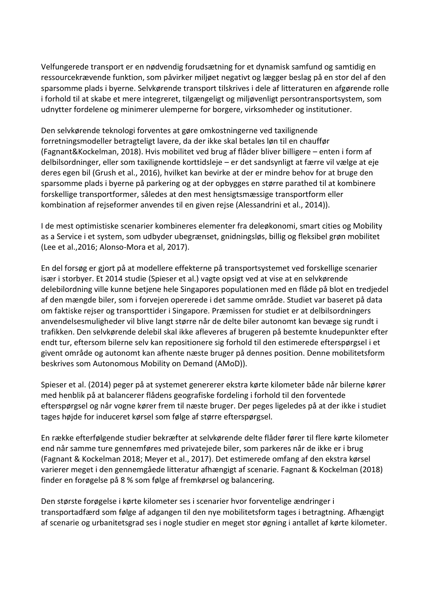Velfungerede transport er en nødvendig forudsætning for et dynamisk samfund og samtidig en ressourcekrævende funktion, som påvirker miljøet negativt og lægger beslag på en stor del af den sparsomme plads i byerne. Selvkørende transport tilskrives i dele af litteraturen en afgørende rolle i forhold til at skabe et mere integreret, tilgængeligt og miljøvenligt persontransportsystem, som udnytter fordelene og minimerer ulemperne for borgere, virksomheder og institutioner.

Den selvkørende teknologi forventes at gøre omkostningerne ved taxilignende forretningsmodeller betragteligt lavere, da der ikke skal betales løn til en chauffør (Fagnant&Kockelman, 2018). Hvis mobilitet ved brug af flåder bliver billigere – enten i form af delbilsordninger, eller som taxilignende korttidsleje – er det sandsynligt at færre vil vælge at eje deres egen bil (Grush et al., 2016), hvilket kan bevirke at der er mindre behov for at bruge den sparsomme plads i byerne på parkering og at der opbygges en større parathed til at kombinere forskellige transportformer, således at den mest hensigtsmæssige transportform eller kombination af rejseformer anvendes til en given rejse (Alessandrini et al., 2014)).

I de mest optimistiske scenarier kombineres elementer fra deleøkonomi, smart cities og Mobility as a Service i et system, som udbyder ubegrænset, gnidningsløs, billig og fleksibel grøn mobilitet (Lee et al.,2016; Alonso-Mora et al, 2017).

En del forsøg er gjort på at modellere effekterne på transportsystemet ved forskellige scenarier især i storbyer. Et 2014 studie (Spieser et al.) vagte opsigt ved at vise at en selvkørende delebilordning ville kunne betjene hele Singapores populationen med en flåde på blot en tredjedel af den mængde biler, som i forvejen opererede i det samme område. Studiet var baseret på data om faktiske rejser og transporttider i Singapore. Præmissen for studiet er at delbilsordningers anvendelsesmuligheder vil blive langt større når de delte biler autonomt kan bevæge sig rundt i trafikken. Den selvkørende delebil skal ikke afleveres af brugeren på bestemte knudepunkter efter endt tur, eftersom bilerne selv kan repositionere sig forhold til den estimerede efterspørgsel i et givent område og autonomt kan afhente næste bruger på dennes position. Denne mobilitetsform beskrives som Autonomous Mobility on Demand (AMoD)).

Spieser et al. (2014) peger på at systemet genererer ekstra kørte kilometer både når bilerne kører med henblik på at balancerer flådens geografiske fordeling i forhold til den forventede efterspørgsel og når vogne kører frem til næste bruger. Der peges ligeledes på at der ikke i studiet tages højde for induceret kørsel som følge af større efterspørgsel.

En række efterfølgende studier bekræfter at selvkørende delte flåder fører til flere kørte kilometer end når samme ture gennemføres med privatejede biler, som parkeres når de ikke er i brug (Fagnant & Kockelman 2018; Meyer et al., 2017). Det estimerede omfang af den ekstra kørsel varierer meget i den gennemgåede litteratur afhængigt af scenarie. Fagnant & Kockelman (2018) finder en forøgelse på 8 % som følge af fremkørsel og balancering.

Den største forøgelse i kørte kilometer ses i scenarier hvor forventelige ændringer i transportadfærd som følge af adgangen til den nye mobilitetsform tages i betragtning. Afhængigt af scenarie og urbanitetsgrad ses i nogle studier en meget stor øgning i antallet af kørte kilometer.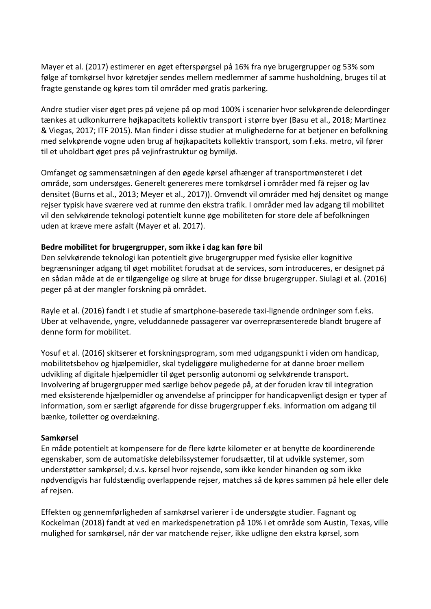Mayer et al. (2017) estimerer en øget efterspørgsel på 16% fra nye brugergrupper og 53% som følge af tomkørsel hvor køretøjer sendes mellem medlemmer af samme husholdning, bruges til at fragte genstande og køres tom til områder med gratis parkering.

Andre studier viser øget pres på vejene på op mod 100% i scenarier hvor selvkørende deleordinger tænkes at udkonkurrere højkapacitets kollektiv transport i større byer (Basu et al., 2018; Martinez & Viegas, 2017; ITF 2015). Man finder i disse studier at mulighederne for at betjener en befolkning med selvkørende vogne uden brug af højkapacitets kollektiv transport, som f.eks. metro, vil fører til et uholdbart øget pres på vejinfrastruktur og bymiljø.

Omfanget og sammensætningen af den øgede kørsel afhænger af transportmønsteret i det område, som undersøges. Generelt genereres mere tomkørsel i områder med få rejser og lav densitet (Burns et al., 2013; Meyer et al., 2017)). Omvendt vil områder med høj densitet og mange rejser typisk have sværere ved at rumme den ekstra trafik. I områder med lav adgang til mobilitet vil den selvkørende teknologi potentielt kunne øge mobiliteten for store dele af befolkningen uden at kræve mere asfalt (Mayer et al. 2017).

#### **Bedre mobilitet for brugergrupper, som ikke i dag kan føre bil**

Den selvkørende teknologi kan potentielt give brugergrupper med fysiske eller kognitive begrænsninger adgang til øget mobilitet forudsat at de services, som introduceres, er designet på en sådan måde at de er tilgængelige og sikre at bruge for disse brugergrupper. Siulagi et al. (2016) peger på at der mangler forskning på området.

Rayle et al. (2016) fandt i et studie af smartphone-baserede taxi-lignende ordninger som f.eks. Uber at velhavende, yngre, veluddannede passagerer var overrepræsenterede blandt brugere af denne form for mobilitet.

Yosuf et al. (2016) skitserer et forskningsprogram, som med udgangspunkt i viden om handicap, mobilitetsbehov og hjælpemidler, skal tydeliggøre mulighederne for at danne broer mellem udvikling af digitale hjælpemidler til øget personlig autonomi og selvkørende transport. Involvering af brugergrupper med særlige behov pegede på, at der foruden krav til integration med eksisterende hjælpemidler og anvendelse af principper for handicapvenligt design er typer af information, som er særligt afgørende for disse brugergrupper f.eks. information om adgang til bænke, toiletter og overdækning.

#### **Samkørsel**

En måde potentielt at kompensere for de flere kørte kilometer er at benytte de koordinerende egenskaber, som de automatiske delebilssystemer forudsætter, til at udvikle systemer, som understøtter samkørsel; d.v.s. kørsel hvor rejsende, som ikke kender hinanden og som ikke nødvendigvis har fuldstændig overlappende rejser, matches så de køres sammen på hele eller dele af rejsen.

Effekten og gennemførligheden af samkørsel varierer i de undersøgte studier. Fagnant og Kockelman (2018) fandt at ved en markedspenetration på 10% i et område som Austin, Texas, ville mulighed for samkørsel, når der var matchende rejser, ikke udligne den ekstra kørsel, som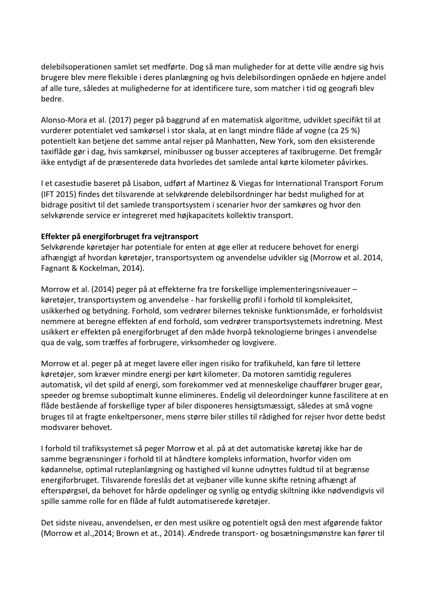delebilsoperationen samlet set medførte. Dog så man muligheder for at dette ville ændre sig hvis brugere blev mere fleksible i deres planlægning og hvis delebilsordingen opnåede en højere andel af alle ture, således at mulighederne for at identificere ture, som matcher i tid og geografi blev bedre.

Alonso-Mora et al. (2017) peger på baggrund af en matematisk algoritme, udviklet specifikt til at vurderer potentialet ved samkørsel i stor skala, at en langt mindre flåde af vogne (ca 25 %) potentielt kan betjene det samme antal rejser på Manhatten, New York, som den eksisterende taxiflåde gør i dag, hvis samkørsel, minibusser og busser accepteres af taxibrugerne. Det fremgår ikke entydigt af de præsenterede data hvorledes det samlede antal kørte kilometer påvirkes.

I et casestudie baseret på Lisabon, udført af Martinez & Viegas for International Transport Forum (IFT 2015) findes det tilsvarende at selvkørende delebilsordninger har bedst mulighed for at bidrage positivt til det samlede transportsystem i scenarier hvor der samkøres og hvor den selvkørende service er integreret med højkapacitets kollektiv transport.

#### **Effekter på energiforbruget fra vejtransport**

Selvkørende køretøjer har potentiale for enten at øge eller at reducere behovet for energi afhængigt af hvordan køretøjer, transportsystem og anvendelse udvikler sig (Morrow et al. 2014, Fagnant & Kockelman, 2014).

Morrow et al. (2014) peger på at effekterne fra tre forskellige implementeringsniveauer – køretøjer, transportsystem og anvendelse - har forskellig profil i forhold til kompleksitet, usikkerhed og betydning. Forhold, som vedrører bilernes tekniske funktionsmåde, er forholdsvist nemmere at beregne effekten af end forhold, som vedrører transportsystemets indretning. Mest usikkert er effekten på energiforbruget af den måde hvorpå teknologierne bringes i anvendelse qua de valg, som træffes af forbrugere, virksomheder og lovgivere.

Morrow et al. peger på at meget lavere eller ingen risiko for trafikuheld, kan føre til lettere køretøjer, som kræver mindre energi per kørt kilometer. Da motoren samtidig reguleres automatisk, vil det spild af energi, som forekommer ved at menneskelige chauffører bruger gear, speeder og bremse suboptimalt kunne elimineres. Endelig vil deleordninger kunne fascilitere at en flåde bestående af forskellige typer af biler disponeres hensigtsmæssigt, således at små vogne bruges til at fragte enkeltpersoner, mens større biler stilles til rådighed for rejser hvor dette bedst modsvarer behovet.

I forhold til trafiksystemet så peger Morrow et al. på at det automatiske køretøj ikke har de samme begrænsninger i forhold til at håndtere kompleks information, hvorfor viden om kødannelse, optimal ruteplanlægning og hastighed vil kunne udnyttes fuldtud til at begrænse energiforbruget. Tilsvarende foreslås det at vejbaner ville kunne skifte retning afhængt af efterspørgsel, da behovet for hårde opdelinger og synlig og entydig skiltning ikke nødvendigvis vil spille samme rolle for en flåde af fuldt automatiserede køretøjer.

Det sidste niveau, anvendelsen, er den mest usikre og potentielt også den mest afgørende faktor (Morrow et al.,2014; Brown et at., 2014). Ændrede transport- og bosætningsmønstre kan fører til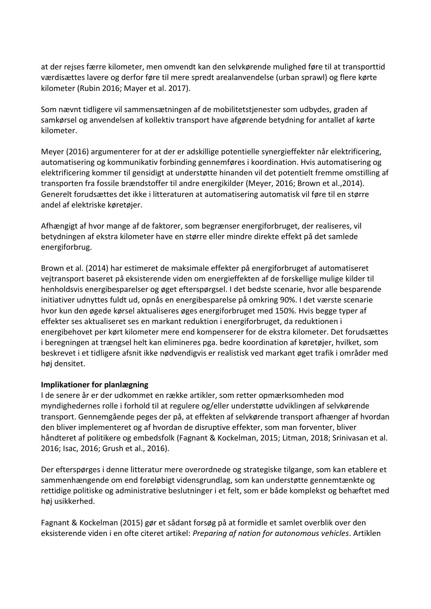at der rejses færre kilometer, men omvendt kan den selvkørende mulighed føre til at transporttid værdisættes lavere og derfor føre til mere spredt arealanvendelse (urban sprawl) og flere kørte kilometer (Rubin 2016; Mayer et al. 2017).

Som nævnt tidligere vil sammensætningen af de mobilitetstjenester som udbydes, graden af samkørsel og anvendelsen af kollektiv transport have afgørende betydning for antallet af kørte kilometer.

Meyer (2016) argumenterer for at der er adskillige potentielle synergieffekter når elektrificering, automatisering og kommunikativ forbinding gennemføres i koordination. Hvis automatisering og elektrificering kommer til gensidigt at understøtte hinanden vil det potentielt fremme omstilling af transporten fra fossile brændstoffer til andre energikilder (Meyer, 2016; Brown et al.,2014). Generelt forudsættes det ikke i litteraturen at automatisering automatisk vil føre til en større andel af elektriske køretøjer.

Afhængigt af hvor mange af de faktorer, som begrænser energiforbruget, der realiseres, vil betydningen af ekstra kilometer have en større eller mindre direkte effekt på det samlede energiforbrug.

Brown et al. (2014) har estimeret de maksimale effekter på energiforbruget af automatiseret vejtransport baseret på eksisterende viden om energieffekten af de forskellige mulige kilder til henholdsvis energibesparelser og øget efterspørgsel. I det bedste scenarie, hvor alle besparende initiativer udnyttes fuldt ud, opnås en energibesparelse på omkring 90%. I det værste scenarie hvor kun den øgede kørsel aktualiseres øges energiforbruget med 150%. Hvis begge typer af effekter ses aktualiseret ses en markant reduktion i energiforbruget, da reduktionen i energibehovet per kørt kilometer mere end kompenserer for de ekstra kilometer. Det forudsættes i beregningen at trængsel helt kan elimineres pga. bedre koordination af køretøjer, hvilket, som beskrevet i et tidligere afsnit ikke nødvendigvis er realistisk ved markant øget trafik i områder med høj densitet.

#### **Implikationer for planlægning**

I de senere år er der udkommet en række artikler, som retter opmærksomheden mod myndighedernes rolle i forhold til at regulere og/eller understøtte udviklingen af selvkørende transport. Gennemgående peges der på, at effekten af selvkørende transport afhænger af hvordan den bliver implementeret og af hvordan de disruptive effekter, som man forventer, bliver håndteret af politikere og embedsfolk (Fagnant & Kockelman, 2015; Litman, 2018; Srinivasan et al. 2016; Isac, 2016; Grush et al., 2016).

Der efterspørges i denne litteratur mere overordnede og strategiske tilgange, som kan etablere et sammenhængende om end foreløbigt vidensgrundlag, som kan understøtte gennemtænkte og rettidige politiske og administrative beslutninger i et felt, som er både komplekst og behæftet med høj usikkerhed.

Fagnant & Kockelman (2015) gør et sådant forsøg på at formidle et samlet overblik over den eksisterende viden i en ofte citeret artikel: *Preparing af nation for autonomous vehicles*. Artiklen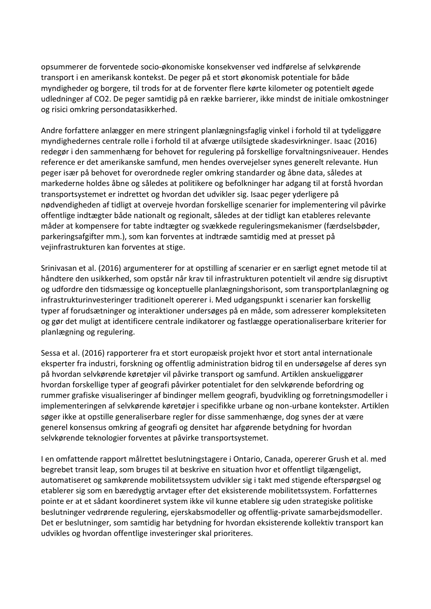opsummerer de forventede socio-økonomiske konsekvenser ved indførelse af selvkørende transport i en amerikansk kontekst. De peger på et stort økonomisk potentiale for både myndigheder og borgere, til trods for at de forventer flere kørte kilometer og potentielt øgede udledninger af CO2. De peger samtidig på en række barrierer, ikke mindst de initiale omkostninger og risici omkring persondatasikkerhed.

Andre forfattere anlægger en mere stringent planlægningsfaglig vinkel i forhold til at tydeliggøre myndighedernes centrale rolle i forhold til at afværge utilsigtede skadesvirkninger. Isaac (2016) redegør i den sammenhæng for behovet for regulering på forskellige forvaltningsniveauer. Hendes reference er det amerikanske samfund, men hendes overvejelser synes generelt relevante. Hun peger især på behovet for overordnede regler omkring standarder og åbne data, således at markederne holdes åbne og således at politikere og befolkninger har adgang til at forstå hvordan transportsystemet er indrettet og hvordan det udvikler sig. Isaac peger yderligere på nødvendigheden af tidligt at overveje hvordan forskellige scenarier for implementering vil påvirke offentlige indtægter både nationalt og regionalt, således at der tidligt kan etableres relevante måder at kompensere for tabte indtægter og svækkede reguleringsmekanismer (færdselsbøder, parkeringsafgifter mm.), som kan forventes at indtræde samtidig med at presset på vejinfrastrukturen kan forventes at stige.

Srinivasan et al. (2016) argumenterer for at opstilling af scenarier er en særligt egnet metode til at håndtere den usikkerhed, som opstår når krav til infrastrukturen potentielt vil ændre sig disruptivt og udfordre den tidsmæssige og konceptuelle planlægningshorisont, som transportplanlægning og infrastrukturinvesteringer traditionelt opererer i. Med udgangspunkt i scenarier kan forskellig typer af forudsætninger og interaktioner undersøges på en måde, som adresserer kompleksiteten og gør det muligt at identificere centrale indikatorer og fastlægge operationaliserbare kriterier for planlægning og regulering.

Sessa et al. (2016) rapporterer fra et stort europæisk projekt hvor et stort antal internationale eksperter fra industri, forskning og offentlig administration bidrog til en undersøgelse af deres syn på hvordan selvkørende køretøjer vil påvirke transport og samfund. Artiklen anskueliggører hvordan forskellige typer af geografi påvirker potentialet for den selvkørende befordring og rummer grafiske visualiseringer af bindinger mellem geografi, byudvikling og forretningsmodeller i implementeringen af selvkørende køretøjer i specifikke urbane og non-urbane kontekster. Artiklen søger ikke at opstille generaliserbare regler for disse sammenhænge, dog synes der at være generel konsensus omkring af geografi og densitet har afgørende betydning for hvordan selvkørende teknologier forventes at påvirke transportsystemet.

I en omfattende rapport målrettet beslutningstagere i Ontario, Canada, opererer Grush et al. med begrebet transit leap, som bruges til at beskrive en situation hvor et offentligt tilgængeligt, automatiseret og samkørende mobilitetssystem udvikler sig i takt med stigende efterspørgsel og etablerer sig som en bæredygtig arvtager efter det eksisterende mobilitetssystem. Forfatternes pointe er at et sådant koordineret system ikke vil kunne etablere sig uden strategiske politiske beslutninger vedrørende regulering, ejerskabsmodeller og offentlig-private samarbejdsmodeller. Det er beslutninger, som samtidig har betydning for hvordan eksisterende kollektiv transport kan udvikles og hvordan offentlige investeringer skal prioriteres.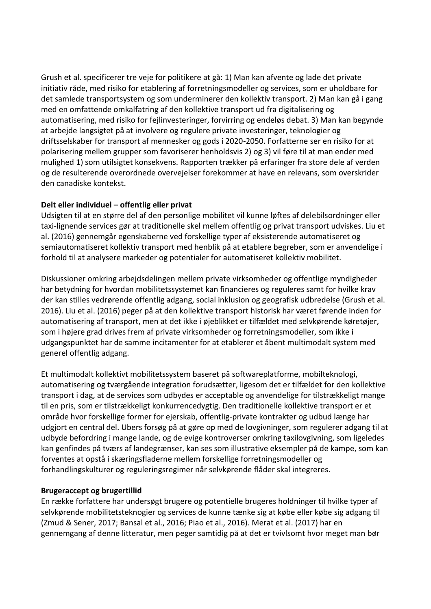Grush et al. specificerer tre veje for politikere at gå: 1) Man kan afvente og lade det private initiativ råde, med risiko for etablering af forretningsmodeller og services, som er uholdbare for det samlede transportsystem og som underminerer den kollektiv transport. 2) Man kan gå i gang med en omfattende omkalfatring af den kollektive transport ud fra digitalisering og automatisering, med risiko for fejlinvesteringer, forvirring og endeløs debat. 3) Man kan begynde at arbejde langsigtet på at involvere og regulere private investeringer, teknologier og driftsselskaber for transport af mennesker og gods i 2020-2050. Forfatterne ser en risiko for at polarisering mellem grupper som favoriserer henholdsvis 2) og 3) vil føre til at man ender med mulighed 1) som utilsigtet konsekvens. Rapporten trækker på erfaringer fra store dele af verden og de resulterende overordnede overvejelser forekommer at have en relevans, som overskrider den canadiske kontekst.

#### **Delt eller individuel – offentlig eller privat**

Udsigten til at en større del af den personlige mobilitet vil kunne løftes af delebilsordninger eller taxi-lignende services gør at traditionelle skel mellem offentlig og privat transport udviskes. Liu et al. (2016) gennemgår egenskaberne ved forskellige typer af eksisterende automatiseret og semiautomatiseret kollektiv transport med henblik på at etablere begreber, som er anvendelige i forhold til at analysere markeder og potentialer for automatiseret kollektiv mobilitet.

Diskussioner omkring arbejdsdelingen mellem private virksomheder og offentlige myndigheder har betydning for hvordan mobilitetssystemet kan financieres og reguleres samt for hvilke krav der kan stilles vedrørende offentlig adgang, social inklusion og geografisk udbredelse (Grush et al. 2016). Liu et al. (2016) peger på at den kollektive transport historisk har været førende inden for automatisering af transport, men at det ikke i øjeblikket er tilfældet med selvkørende køretøjer, som i højere grad drives frem af private virksomheder og forretningsmodeller, som ikke i udgangspunktet har de samme incitamenter for at etablerer et åbent multimodalt system med generel offentlig adgang.

Et multimodalt kollektivt mobilitetssystem baseret på softwareplatforme, mobilteknologi, automatisering og tværgående integration forudsætter, ligesom det er tilfældet for den kollektive transport i dag, at de services som udbydes er acceptable og anvendelige for tilstrækkeligt mange til en pris, som er tilstrækkeligt konkurrencedygtig. Den traditionelle kollektive transport er et område hvor forskellige former for ejerskab, offentlig-private kontrakter og udbud længe har udgjort en central del. Ubers forsøg på at gøre op med de lovgivninger, som regulerer adgang til at udbyde befordring i mange lande, og de evige kontroverser omkring taxilovgivning, som ligeledes kan genfindes på tværs af landegrænser, kan ses som illustrative eksempler på de kampe, som kan forventes at opstå i skæringsfladerne mellem forskellige forretningsmodeller og forhandlingskulturer og reguleringsregimer når selvkørende flåder skal integreres.

#### **Brugeraccept og brugertillid**

En række forfattere har undersøgt brugere og potentielle brugeres holdninger til hvilke typer af selvkørende mobilitetsteknogier og services de kunne tænke sig at købe eller købe sig adgang til (Zmud & Sener, 2017; Bansal et al., 2016; Piao et al., 2016). Merat et al. (2017) har en gennemgang af denne litteratur, men peger samtidig på at det er tvivlsomt hvor meget man bør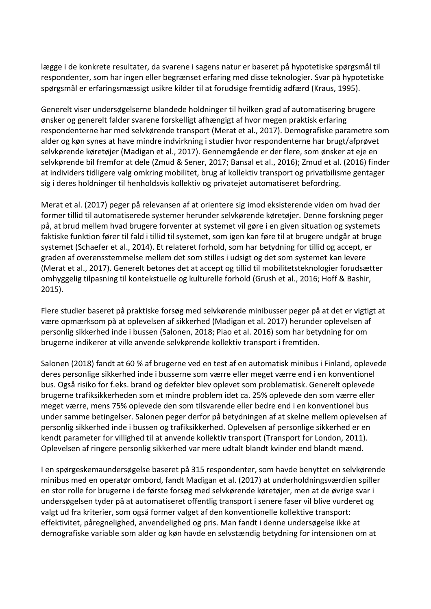lægge i de konkrete resultater, da svarene i sagens natur er baseret på hypotetiske spørgsmål til respondenter, som har ingen eller begrænset erfaring med disse teknologier. Svar på hypotetiske spørgsmål er erfaringsmæssigt usikre kilder til at forudsige fremtidig adfærd (Kraus, 1995).

Generelt viser undersøgelserne blandede holdninger til hvilken grad af automatisering brugere ønsker og generelt falder svarene forskelligt afhængigt af hvor megen praktisk erfaring respondenterne har med selvkørende transport (Merat et al., 2017). Demografiske parametre som alder og køn synes at have mindre indvirkning i studier hvor respondenterne har brugt/afprøvet selvkørende køretøjer (Madigan et al., 2017). Gennemgående er der flere, som ønsker at eje en selvkørende bil fremfor at dele (Zmud & Sener, 2017; Bansal et al., 2016); Zmud et al. (2016) finder at individers tidligere valg omkring mobilitet, brug af kollektiv transport og privatbilisme gentager sig i deres holdninger til henholdsvis kollektiv og privatejet automatiseret befordring.

Merat et al. (2017) peger på relevansen af at orientere sig imod eksisterende viden om hvad der former tillid til automatiserede systemer herunder selvkørende køretøjer. Denne forskning peger på, at brud mellem hvad brugere forventer at systemet vil gøre i en given situation og systemets faktiske funktion fører til fald i tillid til systemet, som igen kan føre til at brugere undgår at bruge systemet (Schaefer et al., 2014). Et relateret forhold, som har betydning for tillid og accept, er graden af overensstemmelse mellem det som stilles i udsigt og det som systemet kan levere (Merat et al., 2017). Generelt betones det at accept og tillid til mobilitetsteknologier forudsætter omhyggelig tilpasning til kontekstuelle og kulturelle forhold (Grush et al., 2016; Hoff & Bashir, 2015).

Flere studier baseret på praktiske forsøg med selvkørende minibusser peger på at det er vigtigt at være opmærksom på at oplevelsen af sikkerhed (Madigan et al. 2017) herunder oplevelsen af personlig sikkerhed inde i bussen (Salonen, 2018; Piao et al. 2016) som har betydning for om brugerne indikerer at ville anvende selvkørende kollektiv transport i fremtiden.

Salonen (2018) fandt at 60 % af brugerne ved en test af en automatisk minibus i Finland, oplevede deres personlige sikkerhed inde i busserne som værre eller meget værre end i en konventionel bus. Også risiko for f.eks. brand og defekter blev oplevet som problematisk. Generelt oplevede brugerne trafiksikkerheden som et mindre problem idet ca. 25% oplevede den som værre eller meget værre, mens 75% oplevede den som tilsvarende eller bedre end i en konventionel bus under samme betingelser. Salonen peger derfor på betydningen af at skelne mellem oplevelsen af personlig sikkerhed inde i bussen og trafiksikkerhed. Oplevelsen af personlige sikkerhed er en kendt parameter for villighed til at anvende kollektiv transport (Transport for London, 2011). Oplevelsen af ringere personlig sikkerhed var mere udtalt blandt kvinder end blandt mænd.

I en spørgeskemaundersøgelse baseret på 315 respondenter, som havde benyttet en selvkørende minibus med en operatør ombord, fandt Madigan et al. (2017) at underholdningsværdien spiller en stor rolle for brugerne i de første forsøg med selvkørende køretøjer, men at de øvrige svar i undersøgelsen tyder på at automatiseret offentlig transport i senere faser vil blive vurderet og valgt ud fra kriterier, som også former valget af den konventionelle kollektive transport: effektivitet, påregnelighed, anvendelighed og pris. Man fandt i denne undersøgelse ikke at demografiske variable som alder og køn havde en selvstændig betydning for intensionen om at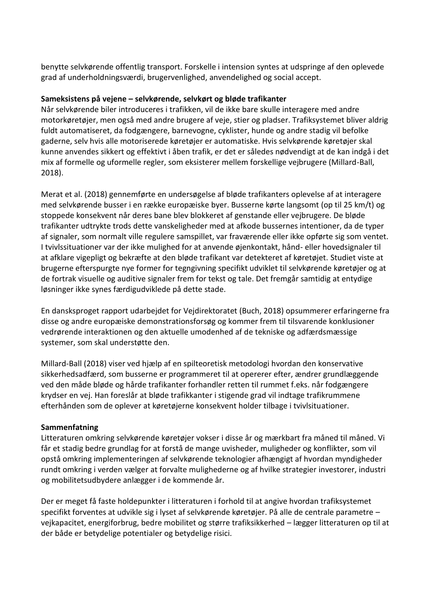benytte selvkørende offentlig transport. Forskelle i intension syntes at udspringe af den oplevede grad af underholdningsværdi, brugervenlighed, anvendelighed og social accept.

#### **Sameksistens på vejene – selvkørende, selvkørt og bløde trafikanter**

Når selvkørende biler introduceres i trafikken, vil de ikke bare skulle interagere med andre motorkøretøjer, men også med andre brugere af veje, stier og pladser. Trafiksystemet bliver aldrig fuldt automatiseret, da fodgængere, barnevogne, cyklister, hunde og andre stadig vil befolke gaderne, selv hvis alle motoriserede køretøjer er automatiske. Hvis selvkørende køretøjer skal kunne anvendes sikkert og effektivt i åben trafik, er det er således nødvendigt at de kan indgå i det mix af formelle og uformelle regler, som eksisterer mellem forskellige vejbrugere (Millard-Ball, 2018).

Merat et al. (2018) gennemførte en undersøgelse af bløde trafikanters oplevelse af at interagere med selvkørende busser i en række europæiske byer. Busserne kørte langsomt (op til 25 km/t) og stoppede konsekvent når deres bane blev blokkeret af genstande eller vejbrugere. De bløde trafikanter udtrykte trods dette vanskeligheder med at afkode bussernes intentioner, da de typer af signaler, som normalt ville regulere samspillet, var fraværende eller ikke opførte sig som ventet. I tvivlssituationer var der ikke mulighed for at anvende øjenkontakt, hånd- eller hovedsignaler til at afklare vigepligt og bekræfte at den bløde trafikant var detekteret af køretøjet. Studiet viste at brugerne efterspurgte nye former for tegngivning specifikt udviklet til selvkørende køretøjer og at de fortrak visuelle og auditive signaler frem for tekst og tale. Det fremgår samtidig at entydige løsninger ikke synes færdigudviklede på dette stade.

En dansksproget rapport udarbejdet for Vejdirektoratet (Buch, 2018) opsummerer erfaringerne fra disse og andre europæiske demonstrationsforsøg og kommer frem til tilsvarende konklusioner vedrørende interaktionen og den aktuelle umodenhed af de tekniske og adfærdsmæssige systemer, som skal understøtte den.

Millard-Ball (2018) viser ved hjælp af en spilteoretisk metodologi hvordan den konservative sikkerhedsadfærd, som busserne er programmeret til at opererer efter, ændrer grundlæggende ved den måde bløde og hårde trafikanter forhandler retten til rummet f.eks. når fodgængere krydser en vej. Han foreslår at bløde trafikkanter i stigende grad vil indtage trafikrummene efterhånden som de oplever at køretøjerne konsekvent holder tilbage i tvivlsituationer.

#### **Sammenfatning**

Litteraturen omkring selvkørende køretøjer vokser i disse år og mærkbart fra måned til måned. Vi får et stadig bedre grundlag for at forstå de mange uvisheder, muligheder og konflikter, som vil opstå omkring implementeringen af selvkørende teknologier afhængigt af hvordan myndigheder rundt omkring i verden vælger at forvalte mulighederne og af hvilke strategier investorer, industri og mobilitetsudbydere anlægger i de kommende år.

Der er meget få faste holdepunkter i litteraturen i forhold til at angive hvordan trafiksystemet specifikt forventes at udvikle sig i lyset af selvkørende køretøjer. På alle de centrale parametre – vejkapacitet, energiforbrug, bedre mobilitet og større trafiksikkerhed – lægger litteraturen op til at der både er betydelige potentialer og betydelige risici.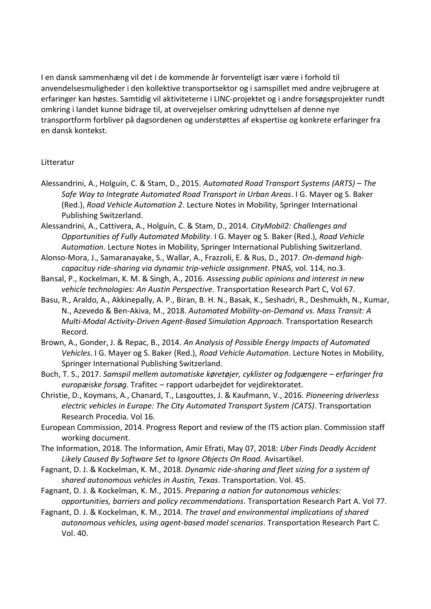I en dansk sammenhæng vil det i de kommende år forventeligt især være i forhold til anvendelsesmuligheder i den kollektive transportsektor og i samspillet med andre vejbrugere at erfaringer kan høstes. Samtidig vil aktiviteterne i LINC-projektet og i andre forsøgsprojekter rundt omkring i landet kunne bidrage til, at overvejelser omkring udnyttelsen af denne nye transportform forbliver på dagsordenen og understøttes af ekspertise og konkrete erfaringer fra en dansk kontekst.

#### Litteratur

- Alessandrini, A., Holguín, C. & Stam, D., 2015. *Automated Road Transport Systems (ARTS) – The Safe Way to Integrate Automated Road Transport in Urban Areas*. I G. Mayer og S. Baker (Red.), *Road Vehicle Automation 2*. Lecture Notes in Mobility, Springer International Publishing Switzerland.
- Alessandrini, A., Cattivera, A., Holguín, C. & Stam, D., 2014. *CityMobil2: Challenges and Opportunities of Fully Automated Mobility*. I G. Mayer og S. Baker (Red.), *Road Vehicle Automation*. Lecture Notes in Mobility, Springer International Publishing Switzerland.
- Alonso-Mora, J., Samaranayake, S., Wallar, A., Frazzoli, E. & Rus, D., 2017. *On-demand highcapacituy ride-sharing via dynamic trip-vehicle assignment*. PNAS, vol. 114, no.3.
- Bansal, P., Kockelman, K. M. & Singh, A., 2016. *Assessing public opinions and interest in new vehicle technologies: An Austin Perspective*. Transportation Research Part C, Vol 67.
- Basu, R., Araldo, A., Akkinepally, A. P., Biran, B. H. N., Basak, K., Seshadri, R., Deshmukh, N., Kumar, N., Azevedo & Ben-Akiva, M., 2018. *Automated Mobility-on-Demand vs. Mass Transit: A Multi-Modal Activity-Driven Agent-Based Simulation Approach*. Transportation Research Record.
- Brown, A., Gonder, J. & Repac, B., 2014. *An Analysis of Possible Energy Impacts of Automated Vehicles*. I G. Mayer og S. Baker (Red.), *Road Vehicle Automation*. Lecture Notes in Mobility, Springer International Publishing Switzerland.
- Buch, T. S., 2017. *Samspil mellem automatiske køretøjer, cyklister og fodgængere – erfaringer fra europæiske forsøg*. Trafitec – rapport udarbejdet for vejdirektoratet.
- Christie, D., Koymans, A., Chanard, T., Lasgouttes, J. & Kaufmann, V., 2016. *Pioneering driverless electric vehicles in Europe: The City Automated Transport System (CATS)*. Transportation Research Procedia. Vol 16.
- European Commission, 2014. Progress Report and review of the ITS action plan. Commission staff working document.
- The Information, 2018. The Information, Amir Efrati, May 07, 2018: *Uber Finds Deadly Accident Likely Caused By Software Set to Ignore Objects On Road.* Avisartikel.
- Fagnant, D. J. & Kockelman, K. M., 2018. *Dynamic ride-sharing and fleet sizing for a system of shared autonomous vehicles in Austin, Texas*. Transportation. Vol. 45.
- Fagnant, D. J. & Kockelman, K. M., 2015. *Preparing a nation for autonomous vehicles: opportunities, barriers and policy recommendations*. Transportation Research Part A. Vol 77.
- Fagnant, D. J. & Kockelman, K. M., 2014. *The travel and environmental implications of shared autonomous vehicles, using agent-based model scenarios*. Transportation Research Part C. Vol. 40.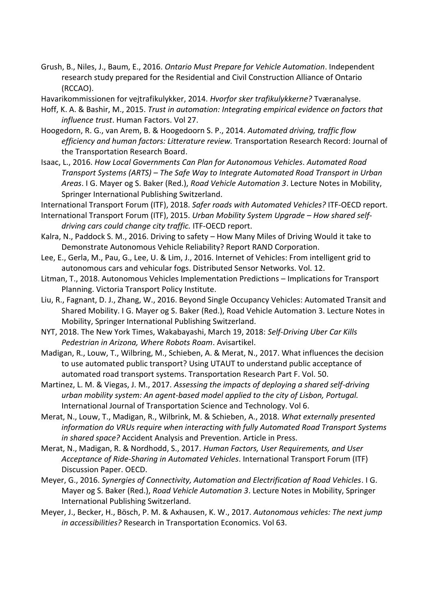Grush, B., Niles, J., Baum, E., 2016. *Ontario Must Prepare for Vehicle Automation*. Independent research study prepared for the Residential and Civil Construction Alliance of Ontario (RCCAO).

Havarikommissionen for vejtrafikulykker, 2014. *Hvorfor sker trafikulykkerne?* Tværanalyse.

- Hoff, K. A. & Bashir, M., 2015. *Trust in automation: Integrating empirical evidence on factors that influence trust*. Human Factors. Vol 27.
- Hoogedorn, R. G., van Arem, B. & Hoogedoorn S. P., 2014. *Automated driving, traffic flow efficiency and human factors: Litterature review.* Transportation Research Record: Journal of the Transportation Research Board.
- Isaac, L., 2016. *How Local Governments Can Plan for Autonomous Vehicles*. *Automated Road Transport Systems (ARTS) – The Safe Way to Integrate Automated Road Transport in Urban Areas*. I G. Mayer og S. Baker (Red.), *Road Vehicle Automation 3*. Lecture Notes in Mobility, Springer International Publishing Switzerland.
- International Transport Forum (ITF), 2018. *Safer roads with Automated Vehicles?* ITF-OECD report.
- International Transport Forum (ITF), 2015. *Urban Mobility System Upgrade – How shared selfdriving cars could change city traffic.* ITF-OECD report.
- Kalra, N., Paddock S. M., 2016. Driving to safety How Many Miles of Driving Would it take to Demonstrate Autonomous Vehicle Reliability? Report RAND Corporation.
- Lee, E., Gerla, M., Pau, G., Lee, U. & Lim, J., 2016. Internet of Vehicles: From intelligent grid to autonomous cars and vehicular fogs. Distributed Sensor Networks. Vol. 12.
- Litman, T., 2018. Autonomous Vehicles Implementation Predictions Implications for Transport Planning. Victoria Transport Policy Institute.
- Liu, R., Fagnant, D. J., Zhang, W., 2016. Beyond Single Occupancy Vehicles: Automated Transit and Shared Mobility. I G. Mayer og S. Baker (Red.), Road Vehicle Automation 3. Lecture Notes in Mobility, Springer International Publishing Switzerland.
- NYT, 2018. The New York Times, Wakabayashi, March 19, 2018: *Self-Driving Uber Car Kills Pedestrian in Arizona, Where Robots Roam*. Avisartikel.
- Madigan, R., Louw, T., Wilbring, M., Schieben, A. & Merat, N., 2017. What influences the decision to use automated public transport? Using UTAUT to understand public acceptance of automated road transport systems. Transportation Research Part F. Vol. 50.
- Martinez, L. M. & Viegas, J. M., 2017. *Assessing the impacts of deploying a shared self-driving urban mobility system: An agent-based model applied to the city of Lisbon, Portugal.*  International Journal of Transportation Science and Technology. Vol 6.
- Merat, N., Louw, T., Madigan, R., Wilbrink, M. & Schieben, A., 2018. *What externally presented information do VRUs require when interacting with fully Automated Road Transport Systems in shared space?* Accident Analysis and Prevention. Article in Press.
- Merat, N., Madigan, R. & Nordhodd, S., 2017. *Human Factors, User Requirements, and User Acceptance of Ride-Sharing in Automated Vehicles*. International Transport Forum (ITF) Discussion Paper. OECD.
- Meyer, G., 2016. *Synergies of Connectivity, Automation and Electrification af Road Vehicles*. I G. Mayer og S. Baker (Red.), *Road Vehicle Automation 3*. Lecture Notes in Mobility, Springer International Publishing Switzerland.
- Meyer, J., Becker, H., Bösch, P. M. & Axhausen, K. W., 2017. *Autonomous vehicles: The next jump in accessibilities?* Research in Transportation Economics. Vol 63.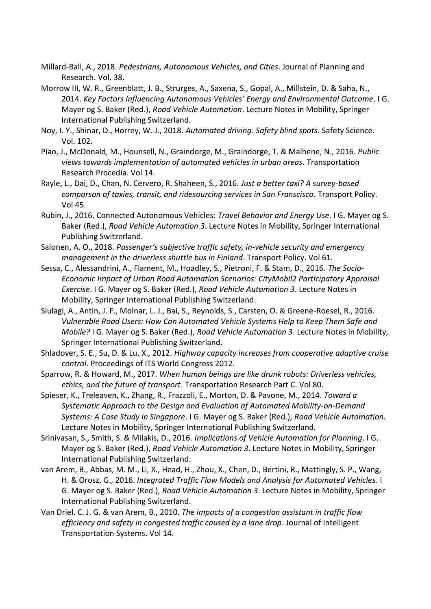- Millard-Ball, A., 2018. *Pedestrians, Autonomous Vehicles, and Cities*. Journal of Planning and Research. Vol. 38.
- Morrow III, W. R., Greenblatt, J. B., Strurges, A., Saxena, S., Gopal, A., Millstein, D. & Saha, N., 2014. *Key Factors Influencing Autonomous Vehicles' Energy and Environmental Outcome*. I G. Mayer og S. Baker (Red.), *Road Vehicle Automation*. Lecture Notes in Mobility, Springer International Publishing Switzerland.
- Noy, I. Y., Shinar, D., Horrey, W. J., 2018. *Automated driving: Safety blind spots*. Safety Science. Vol. 102.
- Piao, J., McDonald, M., Hounsell, N., Graindorge, M., Graindorge, T. & Malhene, N., 2016. *Public views towards implementation of automated vehicles in urban areas*. Transportation Research Procedia. Vol 14.
- Rayle, L., Dai, D., Chan, N. Cervero, R. Shaheen, S., 2016. *Just a better taxi? A survey-based comparson of taxies, transit, and ridesourcing services in San Franscisco*. Transport Policy. Vol 45.
- Rubin, J., 2016. Connected Autonomous Vehicles: *Travel Behavior and Energy Use*. I G. Mayer og S. Baker (Red.), *Road Vehicle Automation 3*. Lecture Notes in Mobility, Springer International Publishing Switzerland.
- Salonen, A. O., 2018. *Passenger's subjective traffic safety, in-vehicle security and emergency management in the driverless shuttle bus in Finland*. Transport Policy. Vol 61.
- Sessa, C., Alessandrini, A., Flament, M., Hoadley, S., Pietroni, F. & Stam, D., 2016. *The Socio-Economic Impact of Urban Road Automation Scenarios: CityMobil2 Participatory Appraisal Exercise*. I G. Mayer og S. Baker (Red.), *Road Vehicle Automation 3*. Lecture Notes in Mobility, Springer International Publishing Switzerland.
- Siulagi, A., Antin, J. F., Molnar, L. J., Bai, S., Reynolds, S., Carsten, O. & Greene-Roesel, R., 2016. *Vulnerable Road Users: How Can Automated Vehicle Systems Help to Keep Them Safe and Mobile?* I G. Mayer og S. Baker (Red.), *Road Vehicle Automation 3*. Lecture Notes in Mobility, Springer International Publishing Switzerland.
- Shladover, S. E., Su, D. & Lu, X., 2012. *Highway capacity increases from cooperative adaptive cruise control*. Proceedings of ITS World Congress 2012.
- Sparrow, R. & Howard, M., 2017. *When human beings are like drunk robots: Driverless vehicles, ethics, and the future of transport*. Transportation Research Part C. Vol 80.
- Spieser, K., Treleaven, K., Zhang, R., Frazzoli, E., Morton, D. & Pavone, M., 2014. *Toward a Systematic Approach to the Design and Evaluation af Automated Mobility-on-Demand Systems: A Case Study in Singapore*. I G. Mayer og S. Baker (Red.), *Road Vehicle Automation*. Lecture Notes in Mobility, Springer International Publishing Switzerland.
- Srinivasan, S., Smith, S. & Milakis, D., 2016. *Implications of Vehicle Automation for Planning*. I G. Mayer og S. Baker (Red.), *Road Vehicle Automation 3*. Lecture Notes in Mobility, Springer International Publishing Switzerland.
- van Arem, B., Abbas, M. M., Li, X., Head, H., Zhou, X., Chen, D., Bertini, R., Mattingly, S. P., Wang, H. & Orosz, G., 2016. *Integrated Traffic Flow Models and Analysis for Automated Vehicles*. I G. Mayer og S. Baker (Red.), *Road Vehicle Automation 3*. Lecture Notes in Mobility, Springer International Publishing Switzerland.
- Van Driel, C. J. G. & van Arem, B., 2010. *The impacts of a congestion assistant in traffic flow efficiency and safety in congested traffic caused by a lane drop*. Journal of Intelligent Transportation Systems. Vol 14.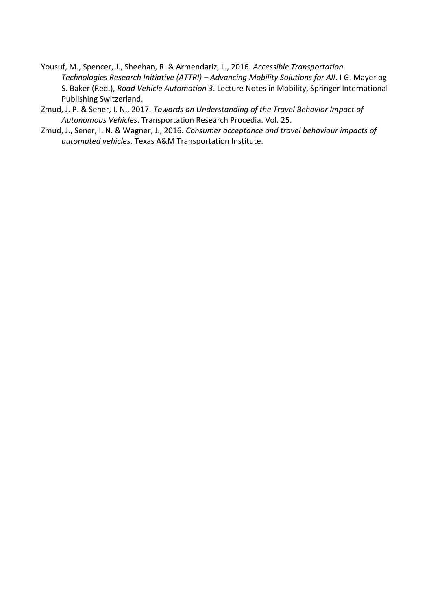- Yousuf, M., Spencer, J., Sheehan, R. & Armendariz, L., 2016. *Accessible Transportation Technologies Research Initiative (ATTRI) – Advancing Mobility Solutions for All*. I G. Mayer og S. Baker (Red.), *Road Vehicle Automation 3*. Lecture Notes in Mobility, Springer International Publishing Switzerland.
- Zmud, J. P. & Sener, I. N., 2017. *Towards an Understanding of the Travel Behavior Impact of Autonomous Vehicles*. Transportation Research Procedia. Vol. 25.
- Zmud, J., Sener, I. N. & Wagner, J., 2016. *Consumer acceptance and travel behaviour impacts of automated vehicles*. Texas A&M Transportation Institute.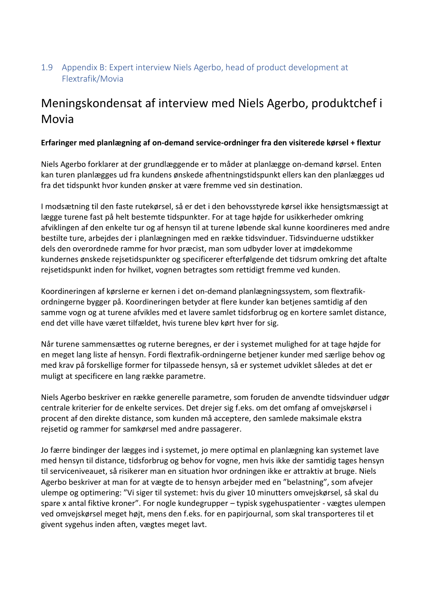#### <span id="page-30-0"></span>1.9 Appendix B: Expert interview Niels Agerbo, head of product development at Flextrafik/Movia

### Meningskondensat af interview med Niels Agerbo, produktchef i Movia

#### **Erfaringer med planlægning af on-demand service-ordninger fra den visiterede kørsel + flextur**

Niels Agerbo forklarer at der grundlæggende er to måder at planlægge on-demand kørsel. Enten kan turen planlægges ud fra kundens ønskede afhentningstidspunkt ellers kan den planlægges ud fra det tidspunkt hvor kunden ønsker at være fremme ved sin destination.

I modsætning til den faste rutekørsel, så er det i den behovsstyrede kørsel ikke hensigtsmæssigt at lægge turene fast på helt bestemte tidspunkter. For at tage højde for usikkerheder omkring afviklingen af den enkelte tur og af hensyn til at turene løbende skal kunne koordineres med andre bestilte ture, arbejdes der i planlægningen med en række tidsvinduer. Tidsvinduerne udstikker dels den overordnede ramme for hvor præcist, man som udbyder lover at imødekomme kundernes ønskede rejsetidspunkter og specificerer efterfølgende det tidsrum omkring det aftalte rejsetidspunkt inden for hvilket, vognen betragtes som rettidigt fremme ved kunden.

Koordineringen af kørslerne er kernen i det on-demand planlægningssystem, som flextrafikordningerne bygger på. Koordineringen betyder at flere kunder kan betjenes samtidig af den samme vogn og at turene afvikles med et lavere samlet tidsforbrug og en kortere samlet distance, end det ville have været tilfældet, hvis turene blev kørt hver for sig.

Når turene sammensættes og ruterne beregnes, er der i systemet mulighed for at tage højde for en meget lang liste af hensyn. Fordi flextrafik-ordningerne betjener kunder med særlige behov og med krav på forskellige former for tilpassede hensyn, så er systemet udviklet således at det er muligt at specificere en lang række parametre.

Niels Agerbo beskriver en række generelle parametre, som foruden de anvendte tidsvinduer udgør centrale kriterier for de enkelte services. Det drejer sig f.eks. om det omfang af omvejskørsel i procent af den direkte distance, som kunden må acceptere, den samlede maksimale ekstra rejsetid og rammer for samkørsel med andre passagerer.

Jo færre bindinger der lægges ind i systemet, jo mere optimal en planlægning kan systemet lave med hensyn til distance, tidsforbrug og behov for vogne, men hvis ikke der samtidig tages hensyn til serviceniveauet, så risikerer man en situation hvor ordningen ikke er attraktiv at bruge. Niels Agerbo beskriver at man for at vægte de to hensyn arbejder med en "belastning", som afvejer ulempe og optimering: "Vi siger til systemet: hvis du giver 10 minutters omvejskørsel, så skal du spare x antal fiktive kroner". For nogle kundegrupper – typisk sygehuspatienter - vægtes ulempen ved omvejskørsel meget højt, mens den f.eks. for en papirjournal, som skal transporteres til et givent sygehus inden aften, vægtes meget lavt.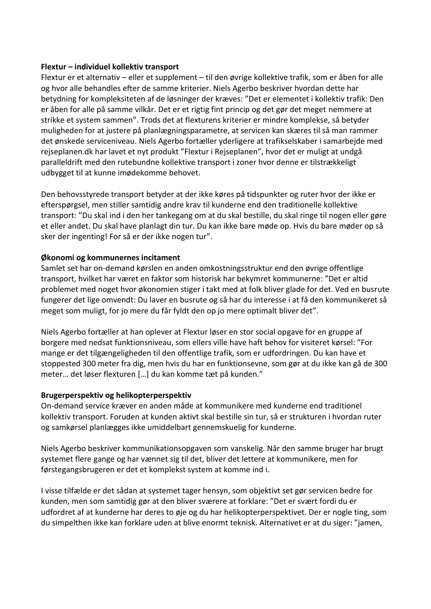#### **Flextur – individuel kollektiv transport**

Flextur er et alternativ – eller et supplement – til den øvrige kollektive trafik, som er åben for alle og hvor alle behandles efter de samme kriterier. Niels Agerbo beskriver hvordan dette har betydning for kompleksiteten af de løsninger der kræves: "Det er elementet i kollektiv trafik: Den er åben for alle på samme vilkår. Det er et rigtig fint princip og det gør det meget nemmere at strikke et system sammen". Trods det at flexturens kriterier er mindre komplekse, så betyder muligheden for at justere på planlægningsparametre, at servicen kan skæres til så man rammer det ønskede serviceniveau. Niels Agerbo fortæller yderligere at trafikselskaber i samarbejde med rejseplanen.dk har lavet et nyt produkt "Flextur i Rejseplanen", hvor det er muligt at undgå paralleldrift med den rutebundne kollektive transport i zoner hvor denne er tilstrækkeligt udbygget til at kunne imødekomme behovet.

Den behovsstyrede transport betyder at der ikke køres på tidspunkter og ruter hvor der ikke er efterspørgsel, men stiller samtidig andre krav til kunderne end den traditionelle kollektive transport: "Du skal ind i den her tankegang om at du skal bestille, du skal ringe til nogen eller gøre et eller andet. Du skal have planlagt din tur. Du kan ikke bare møde op. Hvis du bare møder op så sker der ingenting! For så er der ikke nogen tur".

#### **Økonomi og kommunernes incitament**

Samlet set har on-demand kørslen en anden omkostningsstruktur end den øvrige offentlige transport, hvilket har været en faktor som historisk har bekymret kommunerne: "Det er altid problemet med noget hvor økonomien stiger i takt med at folk bliver glade for det. Ved en busrute fungerer det lige omvendt: Du laver en busrute og så har du interesse i at få den kommunikeret så meget som muligt, for jo mere du får fyldt den op jo mere optimalt bliver det".

Niels Agerbo fortæller at han oplever at Flextur løser en stor social opgave for en gruppe af borgere med nedsat funktionsniveau, som ellers ville have haft behov for visiteret kørsel: "For mange er det tilgængeligheden til den offentlige trafik, som er udfordringen. Du kan have et stoppested 300 meter fra dig, men hvis du har en funktionsevne, som gør at du ikke kan gå de 300 meter… det løser flexturen […] du kan komme tæt på kunden."

#### **Brugerperspektiv og helikopterperspektiv**

On-demand service kræver en anden måde at kommunikere med kunderne end traditionel kollektiv transport. Foruden at kunden aktivt skal bestille sin tur, så er strukturen i hvordan ruter og samkørsel planlægges ikke umiddelbart gennemskuelig for kunderne.

Niels Agerbo beskriver kommunikationsopgaven som vanskelig. Når den samme bruger har brugt systemet flere gange og har vænnet sig til det, bliver det lettere at kommunikere, men for førstegangsbrugeren er det et komplekst system at komme ind i.

I visse tilfælde er det sådan at systemet tager hensyn, som objektivt set gør servicen bedre for kunden, men som samtidig gør at den bliver sværere at forklare: "Det er svært fordi du er udfordret af at kunderne har deres to øje og du har helikopterperspektivet. Der er nogle ting, som du simpelthen ikke kan forklare uden at blive enormt teknisk. Alternativet er at du siger: "jamen,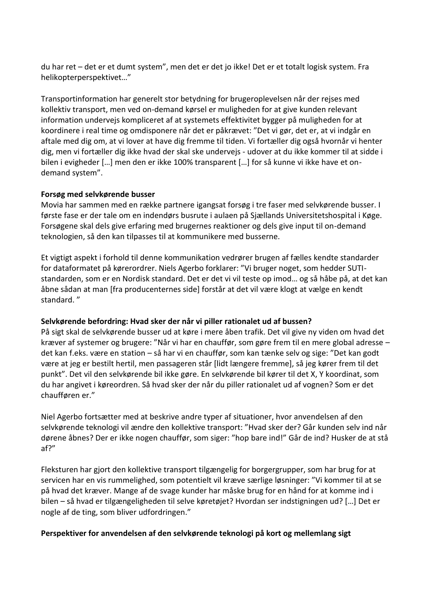du har ret – det er et dumt system", men det er det jo ikke! Det er et totalt logisk system. Fra helikopterperspektivet…"

Transportinformation har generelt stor betydning for brugeroplevelsen når der rejses med kollektiv transport, men ved on-demand kørsel er muligheden for at give kunden relevant information undervejs kompliceret af at systemets effektivitet bygger på muligheden for at koordinere i real time og omdisponere når det er påkrævet: "Det vi gør, det er, at vi indgår en aftale med dig om, at vi lover at have dig fremme til tiden. Vi fortæller dig også hvornår vi henter dig, men vi fortæller dig ikke hvad der skal ske undervejs - udover at du ikke kommer til at sidde i bilen i evigheder […] men den er ikke 100% transparent […] for så kunne vi ikke have et ondemand system".

#### **Forsøg med selvkørende busser**

Movia har sammen med en række partnere igangsat forsøg i tre faser med selvkørende busser. I første fase er der tale om en indendørs busrute i aulaen på Sjællands Universitetshospital i Køge. Forsøgene skal dels give erfaring med brugernes reaktioner og dels give input til on-demand teknologien, så den kan tilpasses til at kommunikere med busserne.

Et vigtigt aspekt i forhold til denne kommunikation vedrører brugen af fælles kendte standarder for dataformatet på kørerordrer. Niels Agerbo forklarer: "Vi bruger noget, som hedder SUTIstandarden, som er en Nordisk standard. Det er det vi vil teste op imod… og så håbe på, at det kan åbne sådan at man [fra producenternes side] forstår at det vil være klogt at vælge en kendt standard. "

#### **Selvkørende befordring: Hvad sker der når vi piller rationalet ud af bussen?**

På sigt skal de selvkørende busser ud at køre i mere åben trafik. Det vil give ny viden om hvad det kræver af systemer og brugere: "Når vi har en chauffør, som gøre frem til en mere global adresse – det kan f.eks. være en station – så har vi en chauffør, som kan tænke selv og sige: "Det kan godt være at jeg er bestilt hertil, men passageren står [lidt længere fremme], så jeg kører frem til det punkt". Det vil den selvkørende bil ikke gøre. En selvkørende bil kører til det X, Y koordinat, som du har angivet i køreordren. Så hvad sker der når du piller rationalet ud af vognen? Som er det chaufføren er."

Niel Agerbo fortsætter med at beskrive andre typer af situationer, hvor anvendelsen af den selvkørende teknologi vil ændre den kollektive transport: "Hvad sker der? Går kunden selv ind når dørene åbnes? Der er ikke nogen chauffør, som siger: "hop bare ind!" Går de ind? Husker de at stå af?"

Fleksturen har gjort den kollektive transport tilgængelig for borgergrupper, som har brug for at servicen har en vis rummelighed, som potentielt vil kræve særlige løsninger: "Vi kommer til at se på hvad det kræver. Mange af de svage kunder har måske brug for en hånd for at komme ind i bilen – så hvad er tilgængeligheden til selve køretøjet? Hvordan ser indstigningen ud? […] Det er nogle af de ting, som bliver udfordringen."

#### **Perspektiver for anvendelsen af den selvkørende teknologi på kort og mellemlang sigt**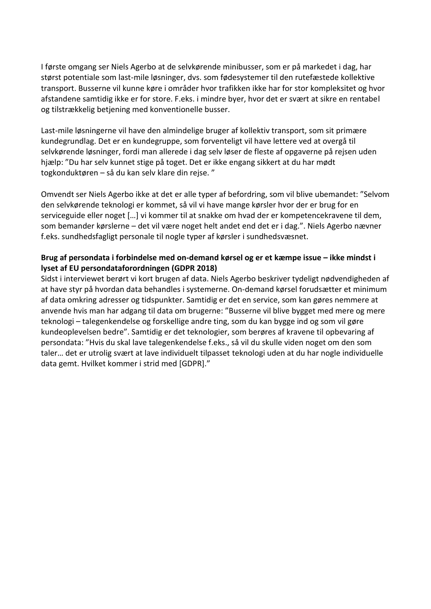I første omgang ser Niels Agerbo at de selvkørende minibusser, som er på markedet i dag, har størst potentiale som last-mile løsninger, dvs. som fødesystemer til den rutefæstede kollektive transport. Busserne vil kunne køre i områder hvor trafikken ikke har for stor kompleksitet og hvor afstandene samtidig ikke er for store. F.eks. i mindre byer, hvor det er svært at sikre en rentabel og tilstrækkelig betjening med konventionelle busser.

Last-mile løsningerne vil have den almindelige bruger af kollektiv transport, som sit primære kundegrundlag. Det er en kundegruppe, som forventeligt vil have lettere ved at overgå til selvkørende løsninger, fordi man allerede i dag selv løser de fleste af opgaverne på rejsen uden hjælp: "Du har selv kunnet stige på toget. Det er ikke engang sikkert at du har mødt togkonduktøren – så du kan selv klare din rejse. "

Omvendt ser Niels Agerbo ikke at det er alle typer af befordring, som vil blive ubemandet: "Selvom den selvkørende teknologi er kommet, så vil vi have mange kørsler hvor der er brug for en serviceguide eller noget […] vi kommer til at snakke om hvad der er kompetencekravene til dem, som bemander kørslerne – det vil være noget helt andet end det er i dag.". Niels Agerbo nævner f.eks. sundhedsfagligt personale til nogle typer af kørsler i sundhedsvæsnet.

#### **Brug af persondata i forbindelse med on-demand kørsel og er et kæmpe issue – ikke mindst i lyset af EU persondataforordningen (GDPR 2018)**

Sidst i interviewet berørt vi kort brugen af data. Niels Agerbo beskriver tydeligt nødvendigheden af at have styr på hvordan data behandles i systemerne. On-demand kørsel forudsætter et minimum af data omkring adresser og tidspunkter. Samtidig er det en service, som kan gøres nemmere at anvende hvis man har adgang til data om brugerne: "Busserne vil blive bygget med mere og mere teknologi – talegenkendelse og forskellige andre ting, som du kan bygge ind og som vil gøre kundeoplevelsen bedre". Samtidig er det teknologier, som berøres af kravene til opbevaring af persondata: "Hvis du skal lave talegenkendelse f.eks., så vil du skulle viden noget om den som taler… det er utrolig svært at lave individuelt tilpasset teknologi uden at du har nogle individuelle data gemt. Hvilket kommer i strid med [GDPR]."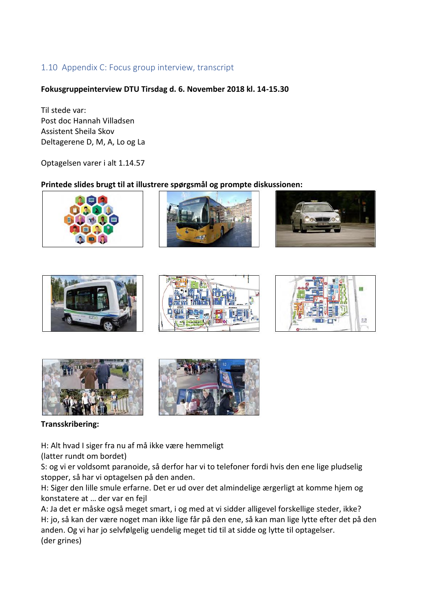#### <span id="page-34-0"></span>1.10 Appendix C: Focus group interview, transcript

#### **Fokusgruppeinterview DTU Tirsdag d. 6. November 2018 kl. 14-15.30**

Til stede var: Post doc Hannah Villadsen Assistent Sheila Skov Deltagerene D, M, A, Lo og La

Optagelsen varer i alt 1.14.57

#### **Printede slides brugt til at illustrere spørgsmål og prompte diskussionen:**







#### **Transskribering:**

H: Alt hvad I siger fra nu af må ikke være hemmeligt

(latter rundt om bordet)

S: og vi er voldsomt paranoide, så derfor har vi to telefoner fordi hvis den ene lige pludselig stopper, så har vi optagelsen på den anden.

H: Siger den lille smule erfarne. Det er ud over det almindelige ærgerligt at komme hjem og konstatere at … der var en fejl

A: Ja det er måske også meget smart, i og med at vi sidder alligevel forskellige steder, ikke? H: jo, så kan der være noget man ikke lige får på den ene, så kan man lige lytte efter det på den anden. Og vi har jo selvfølgelig uendelig meget tid til at sidde og lytte til optagelser. (der grines)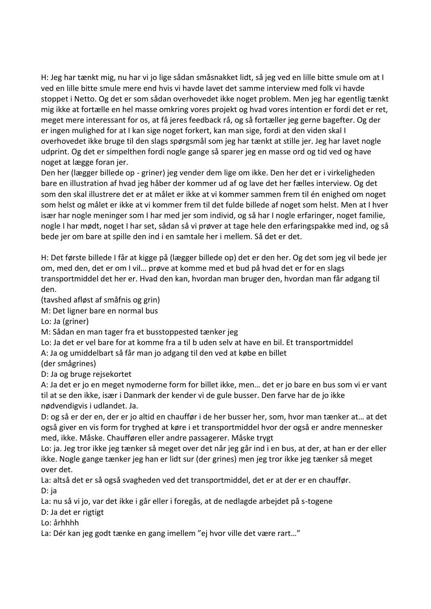H: Jeg har tænkt mig, nu har vi jo lige sådan småsnakket lidt, så jeg ved en lille bitte smule om at I ved en lille bitte smule mere end hvis vi havde lavet det samme interview med folk vi havde stoppet i Netto. Og det er som sådan overhovedet ikke noget problem. Men jeg har egentlig tænkt mig ikke at fortælle en hel masse omkring vores projekt og hvad vores intention er fordi det er ret, meget mere interessant for os, at få jeres feedback rå, og så fortæller jeg gerne bagefter. Og der er ingen mulighed for at I kan sige noget forkert, kan man sige, fordi at den viden skal I overhovedet ikke bruge til den slags spørgsmål som jeg har tænkt at stille jer. Jeg har lavet nogle udprint. Og det er simpelthen fordi nogle gange så sparer jeg en masse ord og tid ved og have noget at lægge foran jer.

Den her (lægger billede op - griner) jeg vender dem lige om ikke. Den her det er i virkeligheden bare en illustration af hvad jeg håber der kommer ud af og lave det her fælles interview. Og det som den skal illustrere det er at målet er ikke at vi kommer sammen frem til én enighed om noget som helst og målet er ikke at vi kommer frem til det fulde billede af noget som helst. Men at I hver især har nogle meninger som I har med jer som individ, og så har I nogle erfaringer, noget familie, nogle I har mødt, noget I har set, sådan så vi prøver at tage hele den erfaringspakke med ind, og så bede jer om bare at spille den ind i en samtale her i mellem. Så det er det.

H: Det første billede I får at kigge på (lægger billede op) det er den her. Og det som jeg vil bede jer om, med den, det er om I vil… prøve at komme med et bud på hvad det er for en slags transportmiddel det her er. Hvad den kan, hvordan man bruger den, hvordan man får adgang til den.

(tavshed afløst af småfnis og grin)

M: Det ligner bare en normal bus

Lo: Ja (griner)

M: Sådan en man tager fra et busstoppested tænker jeg

Lo: Ja det er vel bare for at komme fra a til b uden selv at have en bil. Et transportmiddel A: Ja og umiddelbart så får man jo adgang til den ved at købe en billet

(der smågrines)

D: Ja og bruge rejsekortet

A: Ja det er jo en meget nymoderne form for billet ikke, men… det er jo bare en bus som vi er vant til at se den ikke, især i Danmark der kender vi de gule busser. Den farve har de jo ikke nødvendigvis i udlandet. Ja.

D: og så er der en, der er jo altid en chauffør i de her busser her, som, hvor man tænker at… at det også giver en vis form for tryghed at køre i et transportmiddel hvor der også er andre mennesker med, ikke. Måske. Chaufføren eller andre passagerer. Måske trygt

Lo: ja. Jeg tror ikke jeg tænker så meget over det når jeg går ind i en bus, at der, at han er der eller ikke. Nogle gange tænker jeg han er lidt sur (der grines) men jeg tror ikke jeg tænker så meget over det.

La: altså det er så også svagheden ved det transportmiddel, det er at der er en chauffør. D: ja

La: nu så vi jo, var det ikke i går eller i foregås, at de nedlagde arbejdet på s-togene

D: Ja det er rigtigt

Lo: århhhh

La: Dér kan jeg godt tænke en gang imellem "ej hvor ville det være rart…"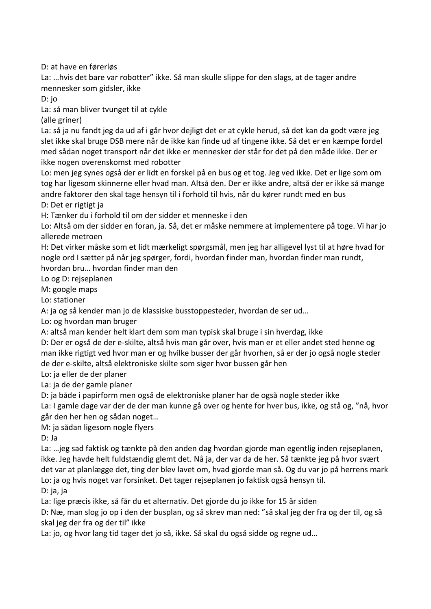D: at have en førerløs

La: …hvis det bare var robotter" ikke. Så man skulle slippe for den slags, at de tager andre mennesker som gidsler, ikke

D: jo

La: så man bliver tvunget til at cykle

(alle griner)

La: så ja nu fandt jeg da ud af i går hvor dejligt det er at cykle herud, så det kan da godt være jeg slet ikke skal bruge DSB mere når de ikke kan finde ud af tingene ikke. Så det er en kæmpe fordel med sådan noget transport når det ikke er mennesker der står for det på den måde ikke. Der er ikke nogen overenskomst med robotter

Lo: men jeg synes også der er lidt en forskel på en bus og et tog. Jeg ved ikke. Det er lige som om tog har ligesom skinnerne eller hvad man. Altså den. Der er ikke andre, altså der er ikke så mange andre faktorer den skal tage hensyn til i forhold til hvis, når du kører rundt med en bus

D: Det er rigtigt ja

H: Tænker du i forhold til om der sidder et menneske i den

Lo: Altså om der sidder en foran, ja. Så, det er måske nemmere at implementere på toge. Vi har jo allerede metroen

H: Det virker måske som et lidt mærkeligt spørgsmål, men jeg har alligevel lyst til at høre hvad for nogle ord I sætter på når jeg spørger, fordi, hvordan finder man, hvordan finder man rundt, hvordan bru… hvordan finder man den

Lo og D: rejseplanen

M: google maps

Lo: stationer

A: ja og så kender man jo de klassiske busstoppesteder, hvordan de ser ud…

Lo: og hvordan man bruger

A: altså man kender helt klart dem som man typisk skal bruge i sin hverdag, ikke

D: Der er også de der e-skilte, altså hvis man går over, hvis man er et eller andet sted henne og man ikke rigtigt ved hvor man er og hvilke busser der går hvorhen, så er der jo også nogle steder de der e-skilte, altså elektroniske skilte som siger hvor bussen går hen

Lo: ja eller de der planer

La: ja de der gamle planer

D: ja både i papirform men også de elektroniske planer har de også nogle steder ikke

La: I gamle dage var der de der man kunne gå over og hente for hver bus, ikke, og stå og, "nå, hvor går den her hen og sådan noget…

M: ja sådan ligesom nogle flyers

D: Ja

La: …jeg sad faktisk og tænkte på den anden dag hvordan gjorde man egentlig inden rejseplanen, ikke. Jeg havde helt fuldstændig glemt det. Nå ja, der var da de her. Så tænkte jeg på hvor svært det var at planlægge det, ting der blev lavet om, hvad gjorde man så. Og du var jo på herrens mark Lo: ja og hvis noget var forsinket. Det tager rejseplanen jo faktisk også hensyn til. D: ja, ja

La: lige præcis ikke, så får du et alternativ. Det gjorde du jo ikke for 15 år siden

D: Næ, man slog jo op i den der busplan, og så skrev man ned: "så skal jeg der fra og der til, og så skal jeg der fra og der til" ikke

La: jo, og hvor lang tid tager det jo så, ikke. Så skal du også sidde og regne ud…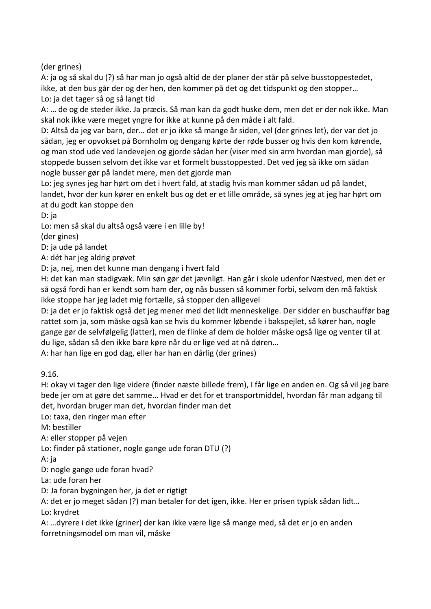(der grines)

A: ja og så skal du (?) så har man jo også altid de der planer der står på selve busstoppestedet, ikke, at den bus går der og der hen, den kommer på det og det tidspunkt og den stopper… Lo: ja det tager så og så langt tid

A: … de og de steder ikke. Ja præcis. Så man kan da godt huske dem, men det er der nok ikke. Man skal nok ikke være meget yngre for ikke at kunne på den måde i alt fald.

D: Altså da jeg var barn, der… det er jo ikke så mange år siden, vel (der grines let), der var det jo sådan, jeg er opvokset på Bornholm og dengang kørte der røde busser og hvis den kom kørende, og man stod ude ved landevejen og gjorde sådan her (viser med sin arm hvordan man gjorde), så stoppede bussen selvom det ikke var et formelt busstoppested. Det ved jeg så ikke om sådan nogle busser gør på landet mere, men det gjorde man

Lo: jeg synes jeg har hørt om det i hvert fald, at stadig hvis man kommer sådan ud på landet, landet, hvor der kun kører en enkelt bus og det er et lille område, så synes jeg at jeg har hørt om at du godt kan stoppe den

D: ja

Lo: men så skal du altså også være i en lille by!

(der gines)

D: ja ude på landet

A: dét har jeg aldrig prøvet

D: ja, nej, men det kunne man dengang i hvert fald

H: det kan man stadigvæk. Min søn gør det jævnligt. Han går i skole udenfor Næstved, men det er så også fordi han er kendt som ham der, og nås bussen så kommer forbi, selvom den må faktisk ikke stoppe har jeg ladet mig fortælle, så stopper den alligevel

D: ja det er jo faktisk også det jeg mener med det lidt menneskelige. Der sidder en buschauffør bag rattet som ja, som måske også kan se hvis du kommer løbende i bakspejlet, så kører han, nogle gange gør de selvfølgelig (latter), men de flinke af dem de holder måske også lige og venter til at du lige, sådan så den ikke bare køre når du er lige ved at nå døren…

A: har han lige en god dag, eller har han en dårlig (der grines)

9.16.

H: okay vi tager den lige videre (finder næste billede frem), I får lige en anden en. Og så vil jeg bare bede jer om at gøre det samme... Hvad er det for et transportmiddel, hvordan får man adgang til det, hvordan bruger man det, hvordan finder man det

Lo: taxa, den ringer man efter

M: bestiller

A: eller stopper på vejen

Lo: finder på stationer, nogle gange ude foran DTU (?)

A: ja

D: nogle gange ude foran hvad?

La: ude foran her

D: Ja foran bygningen her, ja det er rigtigt

A: det er jo meget sådan (?) man betaler for det igen, ikke. Her er prisen typisk sådan lidt… Lo: krydret

A: …dyrere i det ikke (griner) der kan ikke være lige så mange med, så det er jo en anden forretningsmodel om man vil, måske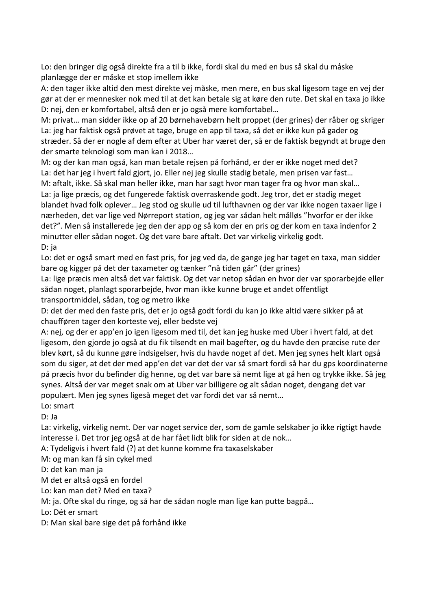Lo: den bringer dig også direkte fra a til b ikke, fordi skal du med en bus så skal du måske planlægge der er måske et stop imellem ikke

A: den tager ikke altid den mest direkte vej måske, men mere, en bus skal ligesom tage en vej der gør at der er mennesker nok med til at det kan betale sig at køre den rute. Det skal en taxa jo ikke D: nej, den er komfortabel, altså den er jo også mere komfortabel…

M: privat… man sidder ikke op af 20 børnehavebørn helt proppet (der grines) der råber og skriger La: jeg har faktisk også prøvet at tage, bruge en app til taxa, så det er ikke kun på gader og stræder. Så der er nogle af dem efter at Uber har været der, så er de faktisk begyndt at bruge den der smarte teknologi som man kan i 2018…

M: og der kan man også, kan man betale rejsen på forhånd, er der er ikke noget med det? La: det har jeg i hvert fald gjort, jo. Eller nej jeg skulle stadig betale, men prisen var fast…

M: aftalt, ikke. Så skal man heller ikke, man har sagt hvor man tager fra og hvor man skal… La: ja lige præcis, og det fungerede faktisk overraskende godt. Jeg tror, det er stadig meget blandet hvad folk oplever… Jeg stod og skulle ud til lufthavnen og der var ikke nogen taxaer lige i nærheden, det var lige ved Nørreport station, og jeg var sådan helt målløs "hvorfor er der ikke det?". Men så installerede jeg den der app og så kom der en pris og der kom en taxa indenfor 2 minutter eller sådan noget. Og det vare bare aftalt. Det var virkelig virkelig godt. D: ja

Lo: det er også smart med en fast pris, for jeg ved da, de gange jeg har taget en taxa, man sidder bare og kigger på det der taxameter og tænker "nå tiden går" (der grines)

La: lige præcis men altså det var faktisk. Og det var netop sådan en hvor der var sporarbejde eller sådan noget, planlagt sporarbejde, hvor man ikke kunne bruge et andet offentligt transportmiddel, sådan, tog og metro ikke

D: det der med den faste pris, det er jo også godt fordi du kan jo ikke altid være sikker på at chaufføren tager den korteste vej, eller bedste vej

A: nej, og der er app'en jo igen ligesom med til, det kan jeg huske med Uber i hvert fald, at det ligesom, den gjorde jo også at du fik tilsendt en mail bagefter, og du havde den præcise rute der blev kørt, så du kunne gøre indsigelser, hvis du havde noget af det. Men jeg synes helt klart også som du siger, at det der med app'en det var det der var så smart fordi så har du gps koordinaterne på præcis hvor du befinder dig henne, og det var bare så nemt lige at gå hen og trykke ikke. Så jeg synes. Altså der var meget snak om at Uber var billigere og alt sådan noget, dengang det var populært. Men jeg synes ligeså meget det var fordi det var så nemt…

Lo: smart

D: Ja

La: virkelig, virkelig nemt. Der var noget service der, som de gamle selskaber jo ikke rigtigt havde interesse i. Det tror jeg også at de har fået lidt blik for siden at de nok…

A: Tydeligvis i hvert fald (?) at det kunne komme fra taxaselskaber

M: og man kan få sin cykel med

D: det kan man ja

M det er altså også en fordel

Lo: kan man det? Med en taxa?

M: ja. Ofte skal du ringe, og så har de sådan nogle man lige kan putte bagpå…

Lo: Dét er smart

D: Man skal bare sige det på forhånd ikke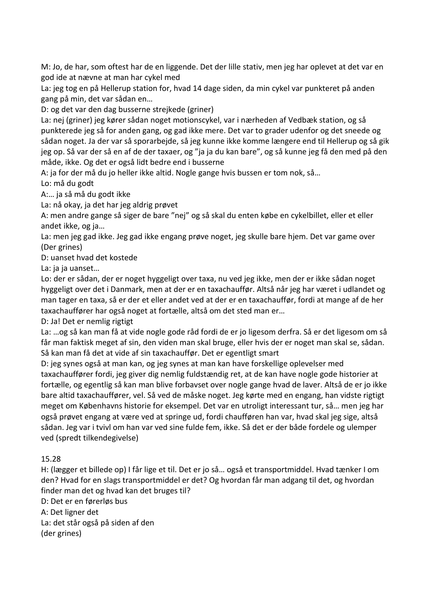M: Jo, de har, som oftest har de en liggende. Det der lille stativ, men jeg har oplevet at det var en god ide at nævne at man har cykel med

La: jeg tog en på Hellerup station for, hvad 14 dage siden, da min cykel var punkteret på anden gang på min, det var sådan en…

D: og det var den dag busserne strejkede (griner)

La: nej (griner) jeg kører sådan noget motionscykel, var i nærheden af Vedbæk station, og så punkterede jeg så for anden gang, og gad ikke mere. Det var to grader udenfor og det sneede og sådan noget. Ja der var så sporarbejde, så jeg kunne ikke komme længere end til Hellerup og så gik jeg op. Så var der så en af de der taxaer, og "ja ja du kan bare", og så kunne jeg få den med på den måde, ikke. Og det er også lidt bedre end i busserne

A: ja for der må du jo heller ikke altid. Nogle gange hvis bussen er tom nok, så…

Lo: må du godt

A:… ja så må du godt ikke

La: nå okay, ja det har jeg aldrig prøvet

A: men andre gange så siger de bare "nej" og så skal du enten købe en cykelbillet, eller et eller andet ikke, og ja…

La: men jeg gad ikke. Jeg gad ikke engang prøve noget, jeg skulle bare hjem. Det var game over (Der grines)

D: uanset hvad det kostede

La: ja ja uanset…

Lo: der er sådan, der er noget hyggeligt over taxa, nu ved jeg ikke, men der er ikke sådan noget hyggeligt over det i Danmark, men at der er en taxachauffør. Altså når jeg har været i udlandet og man tager en taxa, så er der et eller andet ved at der er en taxachauffør, fordi at mange af de her taxachauffører har også noget at fortælle, altså om det sted man er…

D: Ja! Det er nemlig rigtigt

La: …og så kan man få at vide nogle gode råd fordi de er jo ligesom derfra. Så er det ligesom om så får man faktisk meget af sin, den viden man skal bruge, eller hvis der er noget man skal se, sådan. Så kan man få det at vide af sin taxachauffør. Det er egentligt smart

D: jeg synes også at man kan, og jeg synes at man kan have forskellige oplevelser med taxachauffører fordi, jeg giver dig nemlig fuldstændig ret, at de kan have nogle gode historier at fortælle, og egentlig så kan man blive forbavset over nogle gange hvad de laver. Altså de er jo ikke bare altid taxachauffører, vel. Så ved de måske noget. Jeg kørte med en engang, han vidste rigtigt meget om Københavns historie for eksempel. Det var en utroligt interessant tur, så… men jeg har også prøvet engang at være ved at springe ud, fordi chaufføren han var, hvad skal jeg sige, altså sådan. Jeg var i tvivl om han var ved sine fulde fem, ikke. Så det er der både fordele og ulemper ved (spredt tilkendegivelse)

#### 15.28

H: (lægger et billede op) I får lige et til. Det er jo så… også et transportmiddel. Hvad tænker I om den? Hvad for en slags transportmiddel er det? Og hvordan får man adgang til det, og hvordan finder man det og hvad kan det bruges til?

D: Det er en førerløs bus

A: Det ligner det

La: det står også på siden af den

(der grines)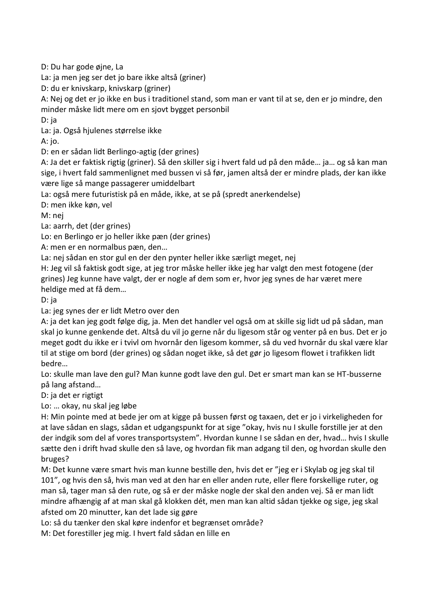D: Du har gode øjne, La

La: ja men jeg ser det jo bare ikke altså (griner)

D: du er knivskarp, knivskarp (griner)

A: Nej og det er jo ikke en bus i traditionel stand, som man er vant til at se, den er jo mindre, den minder måske lidt mere om en sjovt bygget personbil

D: ja

La: ja. Også hjulenes størrelse ikke

A: jo.

D: en er sådan lidt Berlingo-agtig (der grines)

A: Ja det er faktisk rigtig (griner). Så den skiller sig i hvert fald ud på den måde… ja… og så kan man sige, i hvert fald sammenlignet med bussen vi så før, jamen altså der er mindre plads, der kan ikke være lige så mange passagerer umiddelbart

La: også mere futuristisk på en måde, ikke, at se på (spredt anerkendelse)

D: men ikke køn, vel

M: nej

La: aarrh, det (der grines)

Lo: en Berlingo er jo heller ikke pæn (der grines)

A: men er en normalbus pæn, den…

La: nej sådan en stor gul en der den pynter heller ikke særligt meget, nej

H: Jeg vil så faktisk godt sige, at jeg tror måske heller ikke jeg har valgt den mest fotogene (der grines) Jeg kunne have valgt, der er nogle af dem som er, hvor jeg synes de har været mere heldige med at få dem…

D: ja

La: jeg synes der er lidt Metro over den

A: ja det kan jeg godt følge dig, ja. Men det handler vel også om at skille sig lidt ud på sådan, man skal jo kunne genkende det. Altså du vil jo gerne når du ligesom står og venter på en bus. Det er jo meget godt du ikke er i tvivl om hvornår den ligesom kommer, så du ved hvornår du skal være klar til at stige om bord (der grines) og sådan noget ikke, så det gør jo ligesom flowet i trafikken lidt bedre…

Lo: skulle man lave den gul? Man kunne godt lave den gul. Det er smart man kan se HT-busserne på lang afstand…

D: ja det er rigtigt

Lo: … okay, nu skal jeg løbe

H: Min pointe med at bede jer om at kigge på bussen først og taxaen, det er jo i virkeligheden for at lave sådan en slags, sådan et udgangspunkt for at sige "okay, hvis nu I skulle forstille jer at den der indgik som del af vores transportsystem". Hvordan kunne I se sådan en der, hvad… hvis I skulle sætte den i drift hvad skulle den så lave, og hvordan fik man adgang til den, og hvordan skulle den bruges?

M: Det kunne være smart hvis man kunne bestille den, hvis det er "jeg er i Skylab og jeg skal til 101", og hvis den så, hvis man ved at den har en eller anden rute, eller flere forskellige ruter, og man så, tager man så den rute, og så er der måske nogle der skal den anden vej. Så er man lidt mindre afhængig af at man skal gå klokken dét, men man kan altid sådan tjekke og sige, jeg skal afsted om 20 minutter, kan det lade sig gøre

Lo: så du tænker den skal køre indenfor et begrænset område?

M: Det forestiller jeg mig. I hvert fald sådan en lille en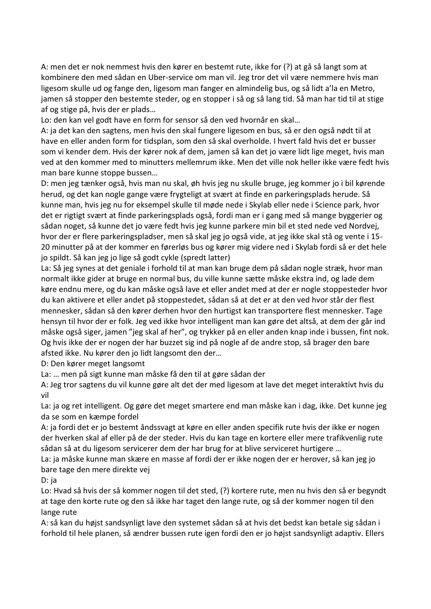A: men det er nok nemmest hvis den kører en bestemt rute, ikke for (?) at gå så langt som at kombinere den med sådan en Uber-service om man vil. Jeg tror det vil være nemmere hvis man ligesom skulle ud og fange den, ligesom man fanger en almindelig bus, og så lidt a'la en Metro, jamen så stopper den bestemte steder, og en stopper i så og så lang tid. Så man har tid til at stige af og stige på, hvis der er plads…

Lo: den kan vel godt have en form for sensor så den ved hvornår en skal…

A: ja det kan den sagtens, men hvis den skal fungere ligesom en bus, så er den også nødt til at have en eller anden form for tidsplan, som den så skal overholde. I hvert fald hvis det er busser som vi kender dem. Hvis der kører nok af dem, jamen så kan det jo være lidt lige meget, hvis man ved at den kommer med to minutters mellemrum ikke. Men det ville nok heller ikke være fedt hvis man bare kunne stoppe bussen…

D: men jeg tænker også, hvis man nu skal, øh hvis jeg nu skulle bruge, jeg kommer jo i bil kørende herud, og det kan nogle gange være frygteligt at svært at finde en parkeringsplads herude. Så kunne man, hvis jeg nu for eksempel skulle til møde nede i Skylab eller nede i Science park, hvor det er rigtigt svært at finde parkeringsplads også, fordi man er i gang med så mange byggerier og sådan noget, så kunne det jo være fedt hvis jeg kunne parkere min bil et sted nede ved Nordvej, hvor der er flere parkeringspladser, men så skal jeg jo også vide, at jeg ikke skal stå og vente i 15- 20 minutter på at der kommer en førerløs bus og kører mig videre ned i Skylab fordi så er det hele jo spildt. Så kan jeg jo lige så godt cykle (spredt latter)

La: Så jeg synes at det geniale i forhold til at man kan bruge dem på sådan nogle stræk, hvor man normalt ikke gider at bruge en normal bus, du ville kunne sætte måske ekstra ind, og lade dem køre endnu mere, og du kan måske også lave et eller andet med at der er nogle stoppesteder hvor du kan aktivere et eller andet på stoppestedet, sådan så at det er at den ved hvor står der flest mennesker, sådan så den kører derhen hvor den hurtigst kan transportere flest mennesker. Tage hensyn til hvor der er folk. Jeg ved ikke hvor intelligent man kan gøre det altså, at dem der går ind måske også siger, jamen "jeg skal af her", og trykker på en eller anden knap inde i bussen, fint nok. Og hvis ikke der er nogen der har buzzet sig ind på nogle af de andre stop, så brager den bare afsted ikke. Nu kører den jo lidt langsomt den der…

D: Den kører meget langsomt

La: … men på sigt kunne man måske få den til at gøre sådan der

A: Jeg tror sagtens du vil kunne gøre alt det der med ligesom at lave det meget interaktivt hvis du vil

La: ja og ret intelligent. Og gøre det meget smartere end man måske kan i dag, ikke. Det kunne jeg da se som en kæmpe fordel

A: ja fordi det er jo bestemt åndssvagt at køre en eller anden specifik rute hvis der ikke er nogen der hverken skal af eller på de der steder. Hvis du kan tage en kortere eller mere trafikvenlig rute sådan så at du ligesom servicerer dem der har brug for at blive serviceret hurtigere …

La: ja måske kunne man skære en masse af fordi der er ikke nogen der er herover, så kan jeg jo bare tage den mere direkte vej

D: ja

Lo: Hvad så hvis der så kommer nogen til det sted, (?) kortere rute, men nu hvis den så er begyndt at tage den korte rute og den så ikke har taget den lange rute, og så der kommer nogen til den lange rute

A: så kan du højst sandsynligt lave den systemet sådan så at hvis det bedst kan betale sig sådan i forhold til hele planen, så ændrer bussen rute igen fordi den er jo højst sandsynligt adaptiv. Ellers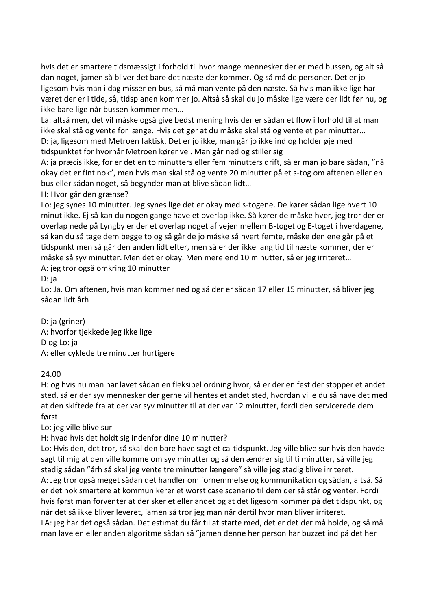hvis det er smartere tidsmæssigt i forhold til hvor mange mennesker der er med bussen, og alt så dan noget, jamen så bliver det bare det næste der kommer. Og så må de personer. Det er jo ligesom hvis man i dag misser en bus, så må man vente på den næste. Så hvis man ikke lige har været der er i tide, så, tidsplanen kommer jo. Altså så skal du jo måske lige være der lidt før nu, og ikke bare lige når bussen kommer men…

La: altså men, det vil måske også give bedst mening hvis der er sådan et flow i forhold til at man ikke skal stå og vente for længe. Hvis det gør at du måske skal stå og vente et par minutter… D: ja, ligesom med Metroen faktisk. Det er jo ikke, man går jo ikke ind og holder øje med tidspunktet for hvornår Metroen kører vel. Man går ned og stiller sig

A: ja præcis ikke, for er det en to minutters eller fem minutters drift, så er man jo bare sådan, "nå okay det er fint nok", men hvis man skal stå og vente 20 minutter på et s-tog om aftenen eller en bus eller sådan noget, så begynder man at blive sådan lidt…

H: Hvor går den grænse?

Lo: jeg synes 10 minutter. Jeg synes lige det er okay med s-togene. De kører sådan lige hvert 10 minut ikke. Ej så kan du nogen gange have et overlap ikke. Så kører de måske hver, jeg tror der er overlap nede på Lyngby er der et overlap noget af vejen mellem B-toget og E-toget i hverdagene, så kan du så tage dem begge to og så går de jo måske så hvert femte, måske den ene går på et tidspunkt men så går den anden lidt efter, men så er der ikke lang tid til næste kommer, der er måske så syv minutter. Men det er okay. Men mere end 10 minutter, så er jeg irriteret…

A: jeg tror også omkring 10 minutter

D: ja

Lo: Ja. Om aftenen, hvis man kommer ned og så der er sådan 17 eller 15 minutter, så bliver jeg sådan lidt årh

D: ja (griner) A: hvorfor tjekkede jeg ikke lige D og Lo: ja A: eller cyklede tre minutter hurtigere

#### 24.00

H: og hvis nu man har lavet sådan en fleksibel ordning hvor, så er der en fest der stopper et andet sted, så er der syv mennesker der gerne vil hentes et andet sted, hvordan ville du så have det med at den skiftede fra at der var syv minutter til at der var 12 minutter, fordi den servicerede dem først

Lo: jeg ville blive sur

H: hvad hvis det holdt sig indenfor dine 10 minutter?

Lo: Hvis den, det tror, så skal den bare have sagt et ca-tidspunkt. Jeg ville blive sur hvis den havde sagt til mig at den ville komme om syv minutter og så den ændrer sig til ti minutter, så ville jeg stadig sådan "årh så skal jeg vente tre minutter længere" så ville jeg stadig blive irriteret. A: Jeg tror også meget sådan det handler om fornemmelse og kommunikation og sådan, altså. Så er det nok smartere at kommunikerer et worst case scenario til dem der så står og venter. Fordi hvis først man forventer at der sker et eller andet og at det ligesom kommer på det tidspunkt, og når det så ikke bliver leveret, jamen så tror jeg man når dertil hvor man bliver irriteret.

LA: jeg har det også sådan. Det estimat du får til at starte med, det er det der må holde, og så må man lave en eller anden algoritme sådan så "jamen denne her person har buzzet ind på det her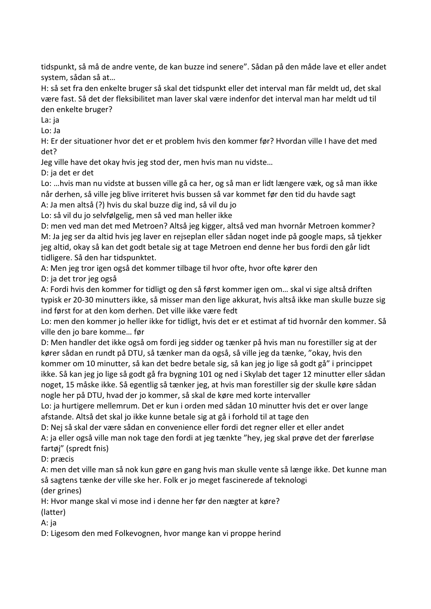tidspunkt, så må de andre vente, de kan buzze ind senere". Sådan på den måde lave et eller andet system, sådan så at…

H: så set fra den enkelte bruger så skal det tidspunkt eller det interval man får meldt ud, det skal være fast. Så det der fleksibilitet man laver skal være indenfor det interval man har meldt ud til den enkelte bruger?

La: ja

Lo: Ja

H: Er der situationer hvor det er et problem hvis den kommer før? Hvordan ville I have det med det?

Jeg ville have det okay hvis jeg stod der, men hvis man nu vidste…

D: ja det er det

Lo: …hvis man nu vidste at bussen ville gå ca her, og så man er lidt længere væk, og så man ikke når derhen, så ville jeg blive irriteret hvis bussen så var kommet før den tid du havde sagt

A: Ja men altså (?) hvis du skal buzze dig ind, så vil du jo

Lo: så vil du jo selvfølgelig, men så ved man heller ikke

D: men ved man det med Metroen? Altså jeg kigger, altså ved man hvornår Metroen kommer? M: Ja jeg ser da altid hvis jeg laver en rejseplan eller sådan noget inde på google maps, så tjekker jeg altid, okay så kan det godt betale sig at tage Metroen end denne her bus fordi den går lidt tidligere. Så den har tidspunktet.

A: Men jeg tror igen også det kommer tilbage til hvor ofte, hvor ofte kører den

D: ja det tror jeg også

A: Fordi hvis den kommer for tidligt og den så først kommer igen om… skal vi sige altså driften typisk er 20-30 minutters ikke, så misser man den lige akkurat, hvis altså ikke man skulle buzze sig ind først for at den kom derhen. Det ville ikke være fedt

Lo: men den kommer jo heller ikke for tidligt, hvis det er et estimat af tid hvornår den kommer. Så ville den jo bare komme… før

D: Men handler det ikke også om fordi jeg sidder og tænker på hvis man nu forestiller sig at der kører sådan en rundt på DTU, så tænker man da også, så ville jeg da tænke, "okay, hvis den kommer om 10 minutter, så kan det bedre betale sig, så kan jeg jo lige så godt gå" i princippet ikke. Så kan jeg jo lige så godt gå fra bygning 101 og ned i Skylab det tager 12 minutter eller sådan noget, 15 måske ikke. Så egentlig så tænker jeg, at hvis man forestiller sig der skulle køre sådan nogle her på DTU, hvad der jo kommer, så skal de køre med korte intervaller

Lo: ja hurtigere mellemrum. Det er kun i orden med sådan 10 minutter hvis det er over lange afstande. Altså det skal jo ikke kunne betale sig at gå i forhold til at tage den

D: Nej så skal der være sådan en convenience eller fordi det regner eller et eller andet

A: ja eller også ville man nok tage den fordi at jeg tænkte "hey, jeg skal prøve det der førerløse fartøj" (spredt fnis)

D: præcis

A: men det ville man så nok kun gøre en gang hvis man skulle vente så længe ikke. Det kunne man så sagtens tænke der ville ske her. Folk er jo meget fascinerede af teknologi

(der grines)

H: Hvor mange skal vi mose ind i denne her før den nægter at køre?

(latter)

A: ja

D: Ligesom den med Folkevognen, hvor mange kan vi proppe herind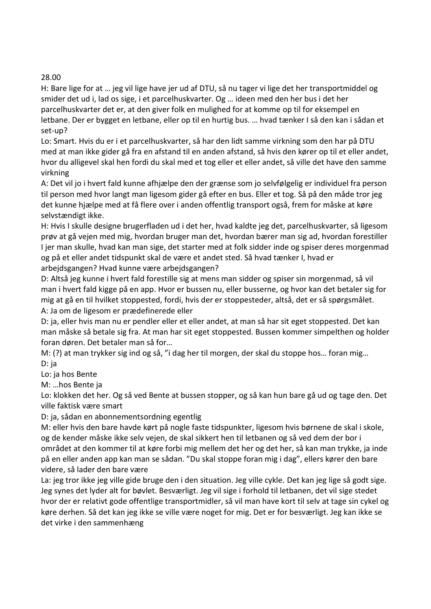#### 28.00

H: Bare lige for at … jeg vil lige have jer ud af DTU, så nu tager vi lige det her transportmiddel og smider det ud i, lad os sige, i et parcelhuskvarter. Og … ideen med den her bus i det her parcelhuskvarter det er, at den giver folk en mulighed for at komme op til for eksempel en letbane. Der er bygget en letbane, eller op til en hurtig bus. … hvad tænker I så den kan i sådan et set-up?

Lo: Smart. Hvis du er i et parcelhuskvarter, så har den lidt samme virkning som den har på DTU med at man ikke gider gå fra en afstand til en anden afstand, så hvis den kører op til et eller andet, hvor du alligevel skal hen fordi du skal med et tog eller et eller andet, så ville det have den samme virkning

A: Det vil jo i hvert fald kunne afhjælpe den der grænse som jo selvfølgelig er individuel fra person til person med hvor langt man ligesom gider gå efter en bus. Eller et tog. Så på den måde tror jeg det kunne hjælpe med at få flere over i anden offentlig transport også, frem for måske at køre selvstændigt ikke.

H: Hvis I skulle designe brugerfladen ud i det her, hvad kaldte jeg det, parcelhuskvarter, så ligesom prøv at gå vejen med mig, hvordan bruger man det, hvordan bærer man sig ad, hvordan forestiller I jer man skulle, hvad kan man sige, det starter med at folk sidder inde og spiser deres morgenmad og på et eller andet tidspunkt skal de være et andet sted. Så hvad tænker I, hvad er arbejdsgangen? Hvad kunne være arbejdsgangen?

D: Altså jeg kunne i hvert fald forestille sig at mens man sidder og spiser sin morgenmad, så vil man i hvert fald kigge på en app. Hvor er bussen nu, eller busserne, og hvor kan det betaler sig for mig at gå en til hvilket stoppested, fordi, hvis der er stoppesteder, altså, det er så spørgsmålet. A: Ja om de ligesom er prædefinerede eller

D: ja, eller hvis man nu er pendler eller et eller andet, at man så har sit eget stoppested. Det kan man måske så betale sig fra. At man har sit eget stoppested. Bussen kommer simpelthen og holder foran døren. Det betaler man så for…

M: (?) at man trykker sig ind og så, "i dag her til morgen, der skal du stoppe hos… foran mig… D: ja

Lo: ja hos Bente

M: …hos Bente ja

Lo: klokken det her. Og så ved Bente at bussen stopper, og så kan hun bare gå ud og tage den. Det ville faktisk være smart

D: ja, sådan en abonnementsordning egentlig

M: eller hvis den bare havde kørt på nogle faste tidspunkter, ligesom hvis børnene de skal i skole, og de kender måske ikke selv vejen, de skal sikkert hen til letbanen og så ved dem der bor i området at den kommer til at køre forbi mig mellem det her og det her, så kan man trykke, ja inde på en eller anden app kan man se sådan. "Du skal stoppe foran mig i dag", ellers kører den bare videre, så lader den bare være

La: jeg tror ikke jeg ville gide bruge den i den situation. Jeg ville cykle. Det kan jeg lige så godt sige. Jeg synes det lyder alt for bøvlet. Besværligt. Jeg vil sige i forhold til letbanen, det vil sige stedet hvor der er relativt gode offentlige transportmidler, så vil man have kort til selv at tage sin cykel og køre derhen. Så det kan jeg ikke se ville være noget for mig. Det er for besværligt. Jeg kan ikke se det virke i den sammenhæng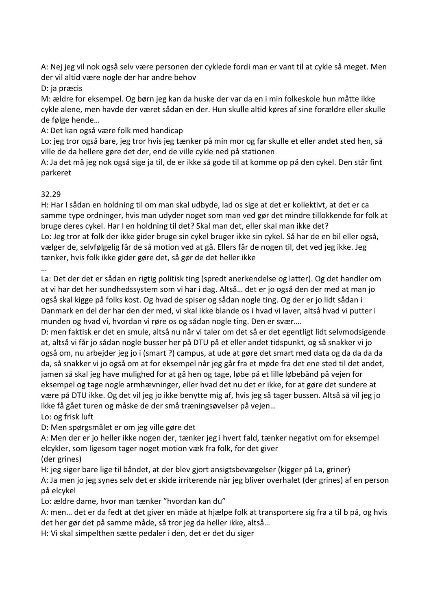A: Nej jeg vil nok også selv være personen der cyklede fordi man er vant til at cykle så meget. Men der vil altid være nogle der har andre behov

#### D: ja præcis

M: ældre for eksempel. Og børn jeg kan da huske der var da en i min folkeskole hun måtte ikke cykle alene, men havde der været sådan en der. Hun skulle altid køres af sine forældre eller skulle de følge hende…

A: Det kan også være folk med handicap

Lo: jeg tror også bare, jeg tror hvis jeg tænker på min mor og far skulle et eller andet sted hen, så ville de da hellere gøre det der, end de ville cykle ned på stationen

A: Ja det må jeg nok også sige ja til, de er ikke så gode til at komme op på den cykel. Den står fint parkeret

#### 32.29

H: Har I sådan en holdning til om man skal udbyde, lad os sige at det er kollektivt, at det er ca samme type ordninger, hvis man udyder noget som man ved gør det mindre tillokkende for folk at bruge deres cykel. Har I en holdning til det? Skal man det, eller skal man ikke det? Lo: Jeg tror at folk der ikke gider bruge sin cykel bruger ikke sin cykel. Så har de en bil eller også, vælger de, selvfølgelig får de så motion ved at gå. Ellers får de nogen til, det ved jeg ikke. Jeg tænker, hvis folk ikke gider gøre det, så gør de det heller ikke

…

La: Det der det er sådan en rigtig politisk ting (spredt anerkendelse og latter). Og det handler om at vi har det her sundhedssystem som vi har i dag. Altså… det er jo også den der med at man jo også skal kigge på folks kost. Og hvad de spiser og sådan nogle ting. Og der er jo lidt sådan i Danmark en del der har den der med, vi skal ikke blande os i hvad vi laver, altså hvad vi putter i munden og hvad vi, hvordan vi røre os og sådan nogle ting. Den er svær….

D: men faktisk er det en smule, altså nu når vi taler om det så er det egentligt lidt selvmodsigende at, altså vi får jo sådan nogle busser her på DTU på et eller andet tidspunkt, og så snakker vi jo også om, nu arbejder jeg jo i (smart ?) campus, at ude at gøre det smart med data og da da da da da, så snakker vi jo også om at for eksempel når jeg går fra et møde fra det ene sted til det andet, jamen så skal jeg have mulighed for at gå hen og tage, løbe på et lille løbebånd på vejen for eksempel og tage nogle armhævninger, eller hvad det nu det er ikke, for at gøre det sundere at være på DTU ikke. Og det vil jeg jo ikke benytte mig af, hvis jeg så tager bussen. Altså så vil jeg jo ikke få gået turen og måske de der små træningsøvelser på vejen…

Lo: og frisk luft

D: Men spørgsmålet er om jeg ville gøre det

A: Men der er jo heller ikke nogen der, tænker jeg i hvert fald, tænker negativt om for eksempel elcykler, som ligesom tager noget motion væk fra folk, for det giver

(der grines)

H: jeg siger bare lige til båndet, at der blev gjort ansigtsbevægelser (kigger på La, griner)

A: Ja men jo jeg synes selv det er skide irriterende når jeg bliver overhalet (der grines) af en person på elcykel

Lo: ældre dame, hvor man tænker "hvordan kan du"

A: men… det er da fedt at det giver en måde at hjælpe folk at transportere sig fra a til b på, og hvis det her gør det på samme måde, så tror jeg da heller ikke, altså…

H: Vi skal simpelthen sætte pedaler i den, det er det du siger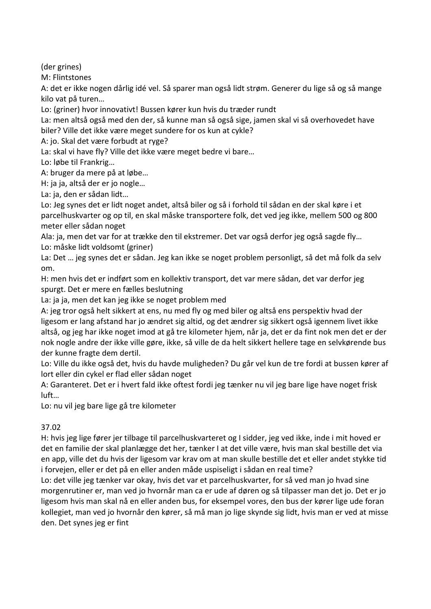(der grines)

M: Flintstones

A: det er ikke nogen dårlig idé vel. Så sparer man også lidt strøm. Generer du lige så og så mange kilo vat på turen…

Lo: (griner) hvor innovativt! Bussen kører kun hvis du træder rundt

La: men altså også med den der, så kunne man så også sige, jamen skal vi så overhovedet have biler? Ville det ikke være meget sundere for os kun at cykle?

A: jo. Skal det være forbudt at ryge?

La: skal vi have fly? Ville det ikke være meget bedre vi bare…

Lo: løbe til Frankrig…

A: bruger da mere på at løbe…

H: ja ja, altså der er jo nogle…

La: ja, den er sådan lidt…

Lo: Jeg synes det er lidt noget andet, altså biler og så i forhold til sådan en der skal køre i et parcelhuskvarter og op til, en skal måske transportere folk, det ved jeg ikke, mellem 500 og 800 meter eller sådan noget

Ala: ja, men det var for at trække den til ekstremer. Det var også derfor jeg også sagde fly… Lo: måske lidt voldsomt (griner)

La: Det … jeg synes det er sådan. Jeg kan ikke se noget problem personligt, så det må folk da selv om.

H: men hvis det er indført som en kollektiv transport, det var mere sådan, det var derfor jeg spurgt. Det er mere en fælles beslutning

La: ja ja, men det kan jeg ikke se noget problem med

A: jeg tror også helt sikkert at ens, nu med fly og med biler og altså ens perspektiv hvad der ligesom er lang afstand har jo ændret sig altid, og det ændrer sig sikkert også igennem livet ikke altså, og jeg har ikke noget imod at gå tre kilometer hjem, når ja, det er da fint nok men det er der nok nogle andre der ikke ville gøre, ikke, så ville de da helt sikkert hellere tage en selvkørende bus der kunne fragte dem dertil.

Lo: Ville du ikke også det, hvis du havde muligheden? Du går vel kun de tre fordi at bussen kører af lort eller din cykel er flad eller sådan noget

A: Garanteret. Det er i hvert fald ikke oftest fordi jeg tænker nu vil jeg bare lige have noget frisk luft…

Lo: nu vil jeg bare lige gå tre kilometer

#### 37.02

H: hvis jeg lige fører jer tilbage til parcelhuskvarteret og I sidder, jeg ved ikke, inde i mit hoved er det en familie der skal planlægge det her, tænker I at det ville være, hvis man skal bestille det via en app, ville det du hvis der ligesom var krav om at man skulle bestille det et eller andet stykke tid i forvejen, eller er det på en eller anden måde uspiseligt i sådan en real time?

Lo: det ville jeg tænker var okay, hvis det var et parcelhuskvarter, for så ved man jo hvad sine morgenrutiner er, man ved jo hvornår man ca er ude af døren og så tilpasser man det jo. Det er jo ligesom hvis man skal nå en eller anden bus, for eksempel vores, den bus der kører lige ude foran kollegiet, man ved jo hvornår den kører, så må man jo lige skynde sig lidt, hvis man er ved at misse den. Det synes jeg er fint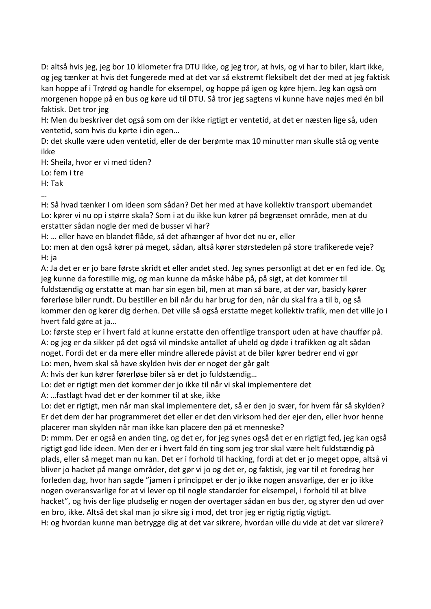D: altså hvis jeg, jeg bor 10 kilometer fra DTU ikke, og jeg tror, at hvis, og vi har to biler, klart ikke, og jeg tænker at hvis det fungerede med at det var så ekstremt fleksibelt det der med at jeg faktisk kan hoppe af i Trørød og handle for eksempel, og hoppe på igen og køre hjem. Jeg kan også om morgenen hoppe på en bus og køre ud til DTU. Så tror jeg sagtens vi kunne have nøjes med én bil faktisk. Det tror jeg

H: Men du beskriver det også som om der ikke rigtigt er ventetid, at det er næsten lige så, uden ventetid, som hvis du kørte i din egen…

D: det skulle være uden ventetid, eller de der berømte max 10 minutter man skulle stå og vente ikke

H: Sheila, hvor er vi med tiden?

Lo: fem i tre

H: Tak

…

H: Så hvad tænker I om ideen som sådan? Det her med at have kollektiv transport ubemandet Lo: kører vi nu op i større skala? Som i at du ikke kun kører på begrænset område, men at du erstatter sådan nogle der med de busser vi har?

H: … eller have en blandet flåde, så det afhænger af hvor det nu er, eller

Lo: men at den også kører på meget, sådan, altså kører størstedelen på store trafikerede veje? H: ja

A: Ja det er er jo bare første skridt et eller andet sted. Jeg synes personligt at det er en fed ide. Og jeg kunne da forestille mig, og man kunne da måske håbe på, på sigt, at det kommer til fuldstændig og erstatte at man har sin egen bil, men at man så bare, at der var, basicly kører førerløse biler rundt. Du bestiller en bil når du har brug for den, når du skal fra a til b, og så kommer den og kører dig derhen. Det ville så også erstatte meget kollektiv trafik, men det ville jo i hvert fald gøre at ja…

Lo: første step er i hvert fald at kunne erstatte den offentlige transport uden at have chauffør på. A: og jeg er da sikker på det også vil mindske antallet af uheld og døde i trafikken og alt sådan noget. Fordi det er da mere eller mindre allerede påvist at de biler kører bedrer end vi gør Lo: men, hvem skal så have skylden hvis der er noget der går galt

A: hvis der kun kører førerløse biler så er det jo fuldstændig…

Lo: det er rigtigt men det kommer der jo ikke til når vi skal implementere det

A: …fastlagt hvad det er der kommer til at ske, ikke

Lo: det er rigtigt, men når man skal implementere det, så er den jo svær, for hvem får så skylden? Er det dem der har programmeret det eller er det den virksom hed der ejer den, eller hvor henne placerer man skylden når man ikke kan placere den på et menneske?

D: mmm. Der er også en anden ting, og det er, for jeg synes også det er en rigtigt fed, jeg kan også rigtigt god lide ideen. Men der er i hvert fald én ting som jeg tror skal være helt fuldstændig på plads, eller så meget man nu kan. Det er i forhold til hacking, fordi at det er jo meget oppe, altså vi bliver jo hacket på mange områder, det gør vi jo og det er, og faktisk, jeg var til et foredrag her forleden dag, hvor han sagde "jamen i princippet er der jo ikke nogen ansvarlige, der er jo ikke nogen overansvarlige for at vi lever op til nogle standarder for eksempel, i forhold til at blive hacket", og hvis der lige pludselig er nogen der overtager sådan en bus der, og styrer den ud over en bro, ikke. Altså det skal man jo sikre sig i mod, det tror jeg er rigtig rigtig vigtigt.

H: og hvordan kunne man betrygge dig at det var sikrere, hvordan ville du vide at det var sikrere?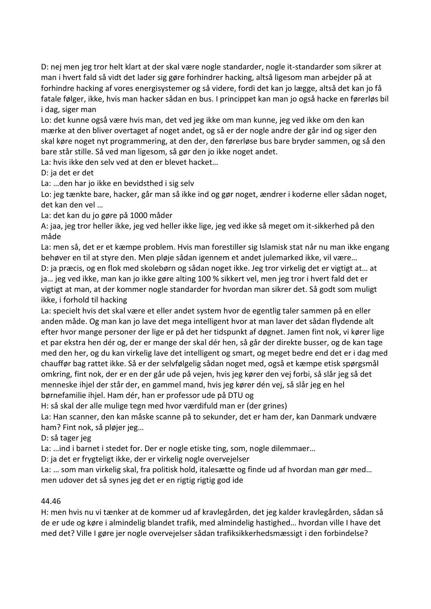D: nej men jeg tror helt klart at der skal være nogle standarder, nogle it-standarder som sikrer at man i hvert fald så vidt det lader sig gøre forhindrer hacking, altså ligesom man arbejder på at forhindre hacking af vores energisystemer og så videre, fordi det kan jo lægge, altså det kan jo få fatale følger, ikke, hvis man hacker sådan en bus. I princippet kan man jo også hacke en førerløs bil i dag, siger man

Lo: det kunne også være hvis man, det ved jeg ikke om man kunne, jeg ved ikke om den kan mærke at den bliver overtaget af noget andet, og så er der nogle andre der går ind og siger den skal køre noget nyt programmering, at den der, den førerløse bus bare bryder sammen, og så den bare står stille. Så ved man ligesom, så gør den jo ikke noget andet.

La: hvis ikke den selv ved at den er blevet hacket…

D: ja det er det

La: …den har jo ikke en bevidsthed i sig selv

Lo: jeg tænkte bare, hacker, går man så ikke ind og gør noget, ændrer i koderne eller sådan noget, det kan den vel …

La: det kan du jo gøre på 1000 måder

A: jaa, jeg tror heller ikke, jeg ved heller ikke lige, jeg ved ikke så meget om it-sikkerhed på den måde

La: men så, det er et kæmpe problem. Hvis man forestiller sig Islamisk stat når nu man ikke engang behøver en til at styre den. Men pløje sådan igennem et andet julemarked ikke, vil være…

D: ja præcis, og en flok med skolebørn og sådan noget ikke. Jeg tror virkelig det er vigtigt at… at ja… jeg ved ikke, man kan jo ikke gøre alting 100 % sikkert vel, men jeg tror i hvert fald det er vigtigt at man, at der kommer nogle standarder for hvordan man sikrer det. Så godt som muligt ikke, i forhold til hacking

La: specielt hvis det skal være et eller andet system hvor de egentlig taler sammen på en eller anden måde. Og man kan jo lave det mega intelligent hvor at man laver det sådan flydende alt efter hvor mange personer der lige er på det her tidspunkt af døgnet. Jamen fint nok, vi kører lige et par ekstra hen dér og, der er mange der skal dér hen, så går der direkte busser, og de kan tage med den her, og du kan virkelig lave det intelligent og smart, og meget bedre end det er i dag med chauffør bag rattet ikke. Så er der selvfølgelig sådan noget med, også et kæmpe etisk spørgsmål omkring, fint nok, der er en der går ude på vejen, hvis jeg kører den vej forbi, så slår jeg så det menneske ihjel der står der, en gammel mand, hvis jeg kører dén vej, så slår jeg en hel børnefamilie ihjel. Ham dér, han er professor ude på DTU og

H: så skal der alle mulige tegn med hvor værdifuld man er (der grines)

La: Han scanner, den kan måske scanne på to sekunder, det er ham der, kan Danmark undvære ham? Fint nok, så pløjer jeg…

D: så tager jeg

La: …ind i barnet i stedet for. Der er nogle etiske ting, som, nogle dilemmaer…

D: ja det er frygteligt ikke, der er virkelig nogle overvejelser

La: … som man virkelig skal, fra politisk hold, italesætte og finde ud af hvordan man gør med… men udover det så synes jeg det er en rigtig rigtig god ide

#### 44.46

H: men hvis nu vi tænker at de kommer ud af kravlegården, det jeg kalder kravlegården, sådan så de er ude og køre i almindelig blandet trafik, med almindelig hastighed… hvordan ville I have det med det? Ville I gøre jer nogle overvejelser sådan trafiksikkerhedsmæssigt i den forbindelse?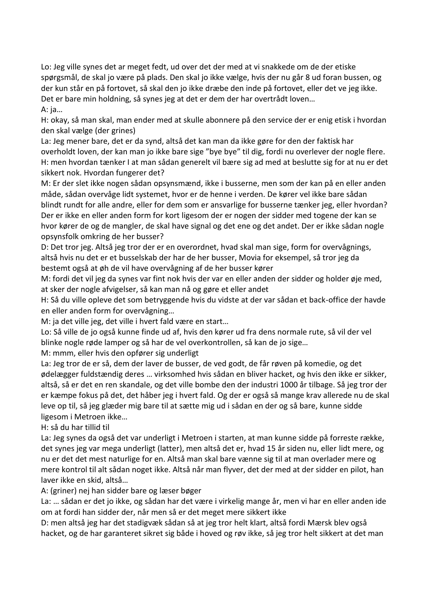Lo: Jeg ville synes det ar meget fedt, ud over det der med at vi snakkede om de der etiske spørgsmål, de skal jo være på plads. Den skal jo ikke vælge, hvis der nu går 8 ud foran bussen, og der kun står en på fortovet, så skal den jo ikke dræbe den inde på fortovet, eller det ve jeg ikke. Det er bare min holdning, så synes jeg at det er dem der har overtrådt loven… A: ja…

H: okay, så man skal, man ender med at skulle abonnere på den service der er enig etisk i hvordan den skal vælge (der grines)

La: Jeg mener bare, det er da synd, altså det kan man da ikke gøre for den der faktisk har overholdt loven, der kan man jo ikke bare sige "bye bye" til dig, fordi nu overlever der nogle flere. H: men hvordan tænker I at man sådan generelt vil bære sig ad med at beslutte sig for at nu er det sikkert nok. Hvordan fungerer det?

M: Er der slet ikke nogen sådan opsynsmænd, ikke i busserne, men som der kan på en eller anden måde, sådan overvåge lidt systemet, hvor er de henne i verden. De kører vel ikke bare sådan blindt rundt for alle andre, eller for dem som er ansvarlige for busserne tænker jeg, eller hvordan? Der er ikke en eller anden form for kort ligesom der er nogen der sidder med togene der kan se hvor kører de og de mangler, de skal have signal og det ene og det andet. Der er ikke sådan nogle opsynsfolk omkring de her busser?

D: Det tror jeg. Altså jeg tror der er en overordnet, hvad skal man sige, form for overvågnings, altså hvis nu det er et busselskab der har de her busser, Movia for eksempel, så tror jeg da bestemt også at øh de vil have overvågning af de her busser kører

M: fordi det vil jeg da synes var fint nok hvis der var en eller anden der sidder og holder øje med, at sker der nogle afvigelser, så kan man nå og gøre et eller andet

H: Så du ville opleve det som betryggende hvis du vidste at der var sådan et back-office der havde en eller anden form for overvågning…

M: ja det ville jeg, det ville i hvert fald være en start…

Lo: Så ville de jo også kunne finde ud af, hvis den kører ud fra dens normale rute, så vil der vel blinke nogle røde lamper og så har de vel overkontrollen, så kan de jo sige…

M: mmm, eller hvis den opfører sig underligt

La: Jeg tror de er så, dem der laver de busser, de ved godt, de får røven på komedie, og det ødelægger fuldstændig deres … virksomhed hvis sådan en bliver hacket, og hvis den ikke er sikker, altså, så er det en ren skandale, og det ville bombe den der industri 1000 år tilbage. Så jeg tror der er kæmpe fokus på det, det håber jeg i hvert fald. Og der er også så mange krav allerede nu de skal leve op til, så jeg glæder mig bare til at sætte mig ud i sådan en der og så bare, kunne sidde ligesom i Metroen ikke…

H: så du har tillid til

La: Jeg synes da også det var underligt i Metroen i starten, at man kunne sidde på forreste række, det synes jeg var mega underligt (latter), men altså det er, hvad 15 år siden nu, eller lidt mere, og nu er det det mest naturlige for en. Altså man skal bare vænne sig til at man overlader mere og mere kontrol til alt sådan noget ikke. Altså når man flyver, det der med at der sidder en pilot, han laver ikke en skid, altså…

A: (griner) nej han sidder bare og læser bøger

La: … sådan er det jo ikke, og sådan har det være i virkelig mange år, men vi har en eller anden ide om at fordi han sidder der, når men så er det meget mere sikkert ikke

D: men altså jeg har det stadigvæk sådan så at jeg tror helt klart, altså fordi Mærsk blev også hacket, og de har garanteret sikret sig både i hoved og røv ikke, så jeg tror helt sikkert at det man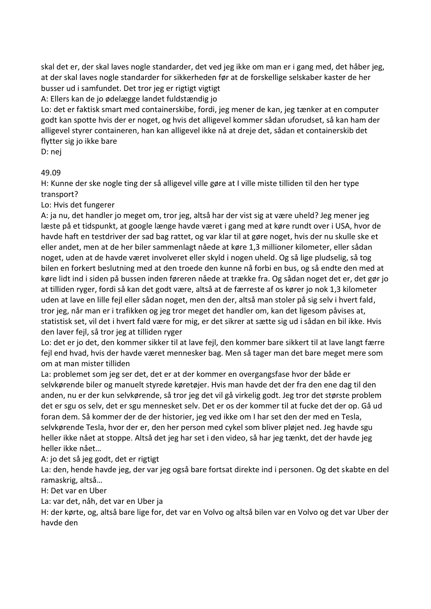skal det er, der skal laves nogle standarder, det ved jeg ikke om man er i gang med, det håber jeg, at der skal laves nogle standarder for sikkerheden før at de forskellige selskaber kaster de her busser ud i samfundet. Det tror jeg er rigtigt vigtigt

A: Ellers kan de jo ødelægge landet fuldstændig jo

Lo: det er faktisk smart med containerskibe, fordi, jeg mener de kan, jeg tænker at en computer godt kan spotte hvis der er noget, og hvis det alligevel kommer sådan uforudset, så kan ham der alligevel styrer containeren, han kan alligevel ikke nå at dreje det, sådan et containerskib det flytter sig jo ikke bare

D: nej

#### 49.09

H: Kunne der ske nogle ting der så alligevel ville gøre at I ville miste tilliden til den her type transport?

Lo: Hvis det fungerer

A: ja nu, det handler jo meget om, tror jeg, altså har der vist sig at være uheld? Jeg mener jeg læste på et tidspunkt, at google længe havde været i gang med at køre rundt over i USA, hvor de havde haft en testdriver der sad bag rattet, og var klar til at gøre noget, hvis der nu skulle ske et eller andet, men at de her biler sammenlagt nåede at køre 1,3 millioner kilometer, eller sådan noget, uden at de havde været involveret eller skyld i nogen uheld. Og så lige pludselig, så tog bilen en forkert beslutning med at den troede den kunne nå forbi en bus, og så endte den med at køre lidt ind i siden på bussen inden føreren nåede at trække fra. Og sådan noget det er, det gør jo at tilliden ryger, fordi så kan det godt være, altså at de færreste af os kører jo nok 1,3 kilometer uden at lave en lille fejl eller sådan noget, men den der, altså man stoler på sig selv i hvert fald, tror jeg, når man er i trafikken og jeg tror meget det handler om, kan det ligesom påvises at, statistisk set, vil det i hvert fald være for mig, er det sikrer at sætte sig ud i sådan en bil ikke. Hvis den laver fejl, så tror jeg at tilliden ryger

Lo: det er jo det, den kommer sikker til at lave fejl, den kommer bare sikkert til at lave langt færre fejl end hvad, hvis der havde været mennesker bag. Men så tager man det bare meget mere som om at man mister tilliden

La: problemet som jeg ser det, det er at der kommer en overgangsfase hvor der både er selvkørende biler og manuelt styrede køretøjer. Hvis man havde det der fra den ene dag til den anden, nu er der kun selvkørende, så tror jeg det vil gå virkelig godt. Jeg tror det største problem det er sgu os selv, det er sgu mennesket selv. Det er os der kommer til at fucke det der op. Gå ud foran dem. Så kommer der de der historier, jeg ved ikke om I har set den der med en Tesla, selvkørende Tesla, hvor der er, den her person med cykel som bliver pløjet ned. Jeg havde sgu heller ikke nået at stoppe. Altså det jeg har set i den video, så har jeg tænkt, det der havde jeg heller ikke nået…

A: jo det så jeg godt, det er rigtigt

La: den, hende havde jeg, der var jeg også bare fortsat direkte ind i personen. Og det skabte en del ramaskrig, altså…

H: Det var en Uber

La: var det, nåh, det var en Uber ja

H: der kørte, og, altså bare lige for, det var en Volvo og altså bilen var en Volvo og det var Uber der havde den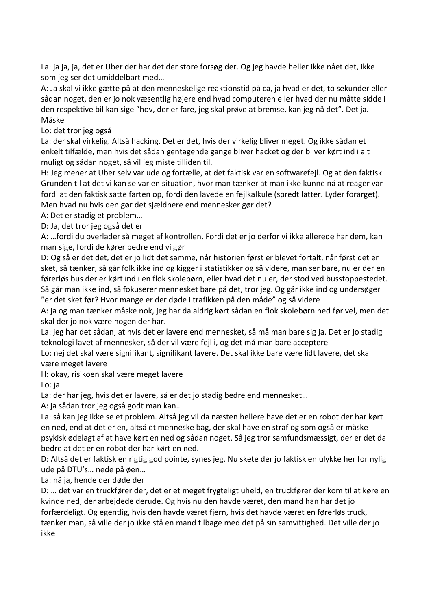La: ja ja, ja, det er Uber der har det der store forsøg der. Og jeg havde heller ikke nået det, ikke som jeg ser det umiddelbart med…

A: Ja skal vi ikke gætte på at den menneskelige reaktionstid på ca, ja hvad er det, to sekunder eller sådan noget, den er jo nok væsentlig højere end hvad computeren eller hvad der nu måtte sidde i den respektive bil kan sige "hov, der er fare, jeg skal prøve at bremse, kan jeg nå det". Det ja. Måske

Lo: det tror jeg også

La: der skal virkelig. Altså hacking. Det er det, hvis der virkelig bliver meget. Og ikke sådan et enkelt tilfælde, men hvis det sådan gentagende gange bliver hacket og der bliver kørt ind i alt muligt og sådan noget, så vil jeg miste tilliden til.

H: Jeg mener at Uber selv var ude og fortælle, at det faktisk var en softwarefejl. Og at den faktisk. Grunden til at det vi kan se var en situation, hvor man tænker at man ikke kunne nå at reager var fordi at den faktisk satte farten op, fordi den lavede en fejlkalkule (spredt latter. Lyder forarget). Men hvad nu hvis den gør det sjældnere end mennesker gør det?

A: Det er stadig et problem…

D: Ja, det tror jeg også det er

A: …fordi du overlader så meget af kontrollen. Fordi det er jo derfor vi ikke allerede har dem, kan man sige, fordi de kører bedre end vi gør

D: Og så er det det, det er jo lidt det samme, når historien først er blevet fortalt, når først det er sket, så tænker, så går folk ikke ind og kigger i statistikker og så videre, man ser bare, nu er der en førerløs bus der er kørt ind i en flok skolebørn, eller hvad det nu er, der stod ved busstoppestedet. Så går man ikke ind, så fokuserer mennesket bare på det, tror jeg. Og går ikke ind og undersøger "er det sket før? Hvor mange er der døde i trafikken på den måde" og så videre

A: ja og man tænker måske nok, jeg har da aldrig kørt sådan en flok skolebørn ned før vel, men det skal der jo nok være nogen der har.

La: jeg har det sådan, at hvis det er lavere end mennesket, så må man bare sig ja. Det er jo stadig teknologi lavet af mennesker, så der vil være fejl i, og det må man bare acceptere

Lo: nej det skal være signifikant, signifikant lavere. Det skal ikke bare være lidt lavere, det skal være meget lavere

H: okay, risikoen skal være meget lavere

Lo: ja

La: der har jeg, hvis det er lavere, så er det jo stadig bedre end mennesket…

A: ja sådan tror jeg også godt man kan…

La: så kan jeg ikke se et problem. Altså jeg vil da næsten hellere have det er en robot der har kørt en ned, end at det er en, altså et menneske bag, der skal have en straf og som også er måske psykisk ødelagt af at have kørt en ned og sådan noget. Så jeg tror samfundsmæssigt, der er det da bedre at det er en robot der har kørt en ned.

D: Altså det er faktisk en rigtig god pointe, synes jeg. Nu skete der jo faktisk en ulykke her for nylig ude på DTU's… nede på øen…

La: nå ja, hende der døde der

D: … det var en truckfører der, det er et meget frygteligt uheld, en truckfører der kom til at køre en kvinde ned, der arbejdede derude. Og hvis nu den havde været, den mand han har det jo forfærdeligt. Og egentlig, hvis den havde været fjern, hvis det havde været en førerløs truck, tænker man, så ville der jo ikke stå en mand tilbage med det på sin samvittighed. Det ville der jo ikke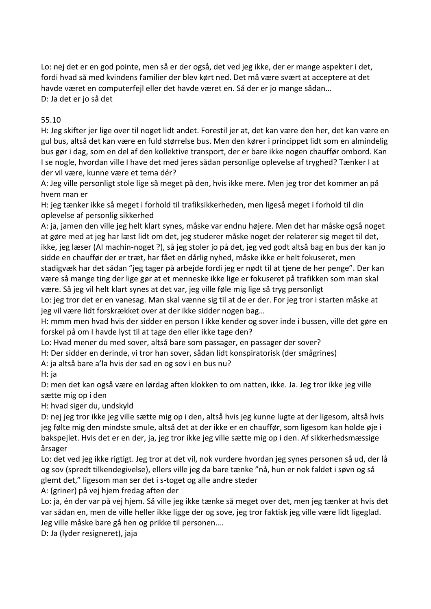Lo: nej det er en god pointe, men så er der også, det ved jeg ikke, der er mange aspekter i det, fordi hvad så med kvindens familier der blev kørt ned. Det må være svært at acceptere at det havde været en computerfejl eller det havde været en. Så der er jo mange sådan… D: Ja det er jo så det

#### 55.10

H: Jeg skifter jer lige over til noget lidt andet. Forestil jer at, det kan være den her, det kan være en gul bus, altså det kan være en fuld størrelse bus. Men den kører i princippet lidt som en almindelig bus gør i dag, som en del af den kollektive transport, der er bare ikke nogen chauffør ombord. Kan I se nogle, hvordan ville I have det med jeres sådan personlige oplevelse af tryghed? Tænker I at der vil være, kunne være et tema dér?

A: Jeg ville personligt stole lige så meget på den, hvis ikke mere. Men jeg tror det kommer an på hvem man er

H: jeg tænker ikke så meget i forhold til trafiksikkerheden, men ligeså meget i forhold til din oplevelse af personlig sikkerhed

A: ja, jamen den ville jeg helt klart synes, måske var endnu højere. Men det har måske også noget at gøre med at jeg har læst lidt om det, jeg studerer måske noget der relaterer sig meget til det, ikke, jeg læser (AI machin-noget ?), så jeg stoler jo på det, jeg ved godt altså bag en bus der kan jo sidde en chauffør der er træt, har fået en dårlig nyhed, måske ikke er helt fokuseret, men stadigvæk har det sådan "jeg tager på arbejde fordi jeg er nødt til at tjene de her penge". Der kan være så mange ting der lige gør at et menneske ikke lige er fokuseret på trafikken som man skal være. Så jeg vil helt klart synes at det var, jeg ville føle mig lige så tryg personligt

Lo: jeg tror det er en vanesag. Man skal vænne sig til at de er der. For jeg tror i starten måske at jeg vil være lidt forskrækket over at der ikke sidder nogen bag…

H: mmm men hvad hvis der sidder en person I ikke kender og sover inde i bussen, ville det gøre en forskel på om I havde lyst til at tage den eller ikke tage den?

Lo: Hvad mener du med sover, altså bare som passager, en passager der sover?

H: Der sidder en derinde, vi tror han sover, sådan lidt konspiratorisk (der smågrines)

A: ja altså bare a'la hvis der sad en og sov i en bus nu?

H: ja

D: men det kan også være en lørdag aften klokken to om natten, ikke. Ja. Jeg tror ikke jeg ville sætte mig op i den

H: hvad siger du, undskyld

D: nej jeg tror ikke jeg ville sætte mig op i den, altså hvis jeg kunne lugte at der ligesom, altså hvis jeg følte mig den mindste smule, altså det at der ikke er en chauffør, som ligesom kan holde øje i bakspejlet. Hvis det er en der, ja, jeg tror ikke jeg ville sætte mig op i den. Af sikkerhedsmæssige årsager

Lo: det ved jeg ikke rigtigt. Jeg tror at det vil, nok vurdere hvordan jeg synes personen så ud, der lå og sov (spredt tilkendegivelse), ellers ville jeg da bare tænke "nå, hun er nok faldet i søvn og så glemt det," ligesom man ser det i s-toget og alle andre steder

A: (griner) på vej hjem fredag aften der

Lo: ja, én der var på vej hjem. Så ville jeg ikke tænke så meget over det, men jeg tænker at hvis det var sådan en, men de ville heller ikke ligge der og sove, jeg tror faktisk jeg ville være lidt ligeglad. Jeg ville måske bare gå hen og prikke til personen….

D: Ja (lyder resigneret), jaja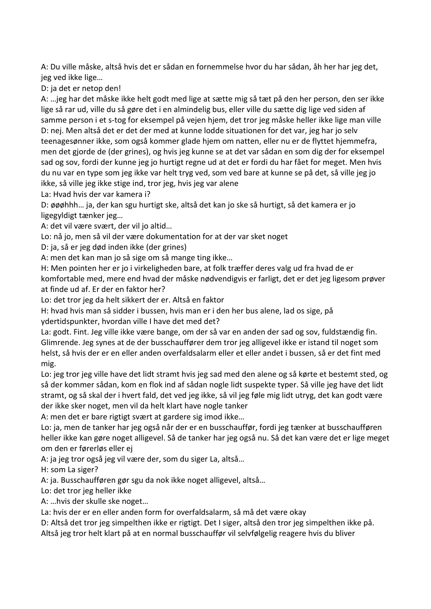A: Du ville måske, altså hvis det er sådan en fornemmelse hvor du har sådan, åh her har jeg det, jeg ved ikke lige…

D: ja det er netop den!

A: …jeg har det måske ikke helt godt med lige at sætte mig så tæt på den her person, den ser ikke lige så rar ud, ville du så gøre det i en almindelig bus, eller ville du sætte dig lige ved siden af samme person i et s-tog for eksempel på vejen hjem, det tror jeg måske heller ikke lige man ville D: nej. Men altså det er det der med at kunne lodde situationen for det var, jeg har jo selv teenagesønner ikke, som også kommer glade hjem om natten, eller nu er de flyttet hjemmefra, men det gjorde de (der grines), og hvis jeg kunne se at det var sådan en som dig der for eksempel sad og sov, fordi der kunne jeg jo hurtigt regne ud at det er fordi du har fået for meget. Men hvis du nu var en type som jeg ikke var helt tryg ved, som ved bare at kunne se på det, så ville jeg jo ikke, så ville jeg ikke stige ind, tror jeg, hvis jeg var alene

La: Hvad hvis der var kamera i?

D: øøøhhh… ja, der kan sgu hurtigt ske, altså det kan jo ske så hurtigt, så det kamera er jo ligegyldigt tænker jeg…

A: det vil være svært, der vil jo altid…

Lo: nå jo, men så vil der være dokumentation for at der var sket noget

D: ja, så er jeg død inden ikke (der grines)

A: men det kan man jo så sige om så mange ting ikke…

H: Men pointen her er jo i virkeligheden bare, at folk træffer deres valg ud fra hvad de er komfortable med, mere end hvad der måske nødvendigvis er farligt, det er det jeg ligesom prøver at finde ud af. Er der en faktor her?

Lo: det tror jeg da helt sikkert der er. Altså en faktor

H: hvad hvis man så sidder i bussen, hvis man er i den her bus alene, lad os sige, på ydertidspunkter, hvordan ville I have det med det?

La: godt. Fint. Jeg ville ikke være bange, om der så var en anden der sad og sov, fuldstændig fin. Glimrende. Jeg synes at de der busschauffører dem tror jeg alligevel ikke er istand til noget som helst, så hvis der er en eller anden overfaldsalarm eller et eller andet i bussen, så er det fint med mig.

Lo: jeg tror jeg ville have det lidt stramt hvis jeg sad med den alene og så kørte et bestemt sted, og så der kommer sådan, kom en flok ind af sådan nogle lidt suspekte typer. Så ville jeg have det lidt stramt, og så skal der i hvert fald, det ved jeg ikke, så vil jeg føle mig lidt utryg, det kan godt være der ikke sker noget, men vil da helt klart have nogle tanker

A: men det er bare rigtigt svært at gardere sig imod ikke…

Lo: ja, men de tanker har jeg også når der er en busschauffør, fordi jeg tænker at busschaufføren heller ikke kan gøre noget alligevel. Så de tanker har jeg også nu. Så det kan være det er lige meget om den er førerløs eller ej

A: ja jeg tror også jeg vil være der, som du siger La, altså…

H: som La siger?

A: ja. Busschaufføren gør sgu da nok ikke noget alligevel, altså…

Lo: det tror jeg heller ikke

A: …hvis der skulle ske noget…

La: hvis der er en eller anden form for overfaldsalarm, så må det være okay

D: Altså det tror jeg simpelthen ikke er rigtigt. Det I siger, altså den tror jeg simpelthen ikke på. Altså jeg tror helt klart på at en normal busschauffør vil selvfølgelig reagere hvis du bliver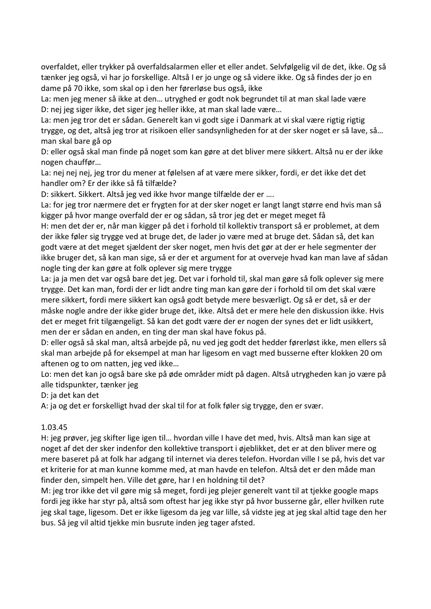overfaldet, eller trykker på overfaldsalarmen eller et eller andet. Selvfølgelig vil de det, ikke. Og så tænker jeg også, vi har jo forskellige. Altså I er jo unge og så videre ikke. Og så findes der jo en dame på 70 ikke, som skal op i den her førerløse bus også, ikke

La: men jeg mener så ikke at den… utryghed er godt nok begrundet til at man skal lade være D: nej jeg siger ikke, det siger jeg heller ikke, at man skal lade være…

La: men jeg tror det er sådan. Generelt kan vi godt sige i Danmark at vi skal være rigtig rigtig trygge, og det, altså jeg tror at risikoen eller sandsynligheden for at der sker noget er så lave, så… man skal bare gå op

D: eller også skal man finde på noget som kan gøre at det bliver mere sikkert. Altså nu er der ikke nogen chauffør…

La: nej nej nej, jeg tror du mener at følelsen af at være mere sikker, fordi, er det ikke det det handler om? Er der ikke så få tilfælde?

D: sikkert. Sikkert. Altså jeg ved ikke hvor mange tilfælde der er ….

La: for jeg tror nærmere det er frygten for at der sker noget er langt langt større end hvis man så kigger på hvor mange overfald der er og sådan, så tror jeg det er meget meget få

H: men det der er, når man kigger på det i forhold til kollektiv transport så er problemet, at dem der ikke føler sig trygge ved at bruge det, de lader jo være med at bruge det. Sådan så, det kan godt være at det meget sjældent der sker noget, men hvis det gør at der er hele segmenter der ikke bruger det, så kan man sige, så er der et argument for at overveje hvad kan man lave af sådan nogle ting der kan gøre at folk oplever sig mere trygge

La: ja ja men det var også bare det jeg. Det var i forhold til, skal man gøre så folk oplever sig mere trygge. Det kan man, fordi der er lidt andre ting man kan gøre der i forhold til om det skal være mere sikkert, fordi mere sikkert kan også godt betyde mere besværligt. Og så er det, så er der måske nogle andre der ikke gider bruge det, ikke. Altså det er mere hele den diskussion ikke. Hvis det er meget frit tilgængeligt. Så kan det godt være der er nogen der synes det er lidt usikkert, men der er sådan en anden, en ting der man skal have fokus på.

D: eller også så skal man, altså arbejde på, nu ved jeg godt det hedder førerløst ikke, men ellers så skal man arbejde på for eksempel at man har ligesom en vagt med busserne efter klokken 20 om aftenen og to om natten, jeg ved ikke…

Lo: men det kan jo også bare ske på øde områder midt på dagen. Altså utrygheden kan jo være på alle tidspunkter, tænker jeg

D: ja det kan det

A: ja og det er forskelligt hvad der skal til for at folk føler sig trygge, den er svær.

#### 1.03.45

H: jeg prøver, jeg skifter lige igen til… hvordan ville I have det med, hvis. Altså man kan sige at noget af det der sker indenfor den kollektive transport i øjeblikket, det er at den bliver mere og mere baseret på at folk har adgang til internet via deres telefon. Hvordan ville I se på, hvis det var et kriterie for at man kunne komme med, at man havde en telefon. Altså det er den måde man finder den, simpelt hen. Ville det gøre, har I en holdning til det?

M: jeg tror ikke det vil gøre mig så meget, fordi jeg plejer generelt vant til at tjekke google maps fordi jeg ikke har styr på, altså som oftest har jeg ikke styr på hvor busserne går, eller hvilken rute jeg skal tage, ligesom. Det er ikke ligesom da jeg var lille, så vidste jeg at jeg skal altid tage den her bus. Så jeg vil altid tjekke min busrute inden jeg tager afsted.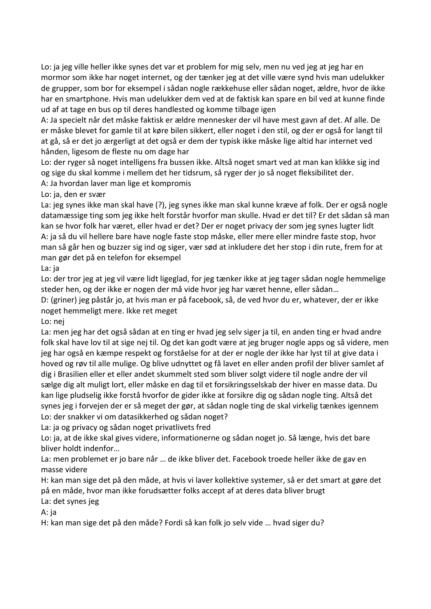Lo: ja jeg ville heller ikke synes det var et problem for mig selv, men nu ved jeg at jeg har en mormor som ikke har noget internet, og der tænker jeg at det ville være synd hvis man udelukker de grupper, som bor for eksempel i sådan nogle rækkehuse eller sådan noget, ældre, hvor de ikke har en smartphone. Hvis man udelukker dem ved at de faktisk kan spare en bil ved at kunne finde ud af at tage en bus op til deres handlested og komme tilbage igen

A: Ja specielt når det måske faktisk er ældre mennesker der vil have mest gavn af det. Af alle. De er måske blevet for gamle til at køre bilen sikkert, eller noget i den stil, og der er også for langt til at gå, så er det jo ærgerligt at det også er dem der typisk ikke måske lige altid har internet ved hånden, ligesom de fleste nu om dage har

Lo: der ryger så noget intelligens fra bussen ikke. Altså noget smart ved at man kan klikke sig ind og sige du skal komme i mellem det her tidsrum, så ryger der jo så noget fleksibilitet der.

A: Ja hvordan laver man lige et kompromis

Lo: ja, den er svær

La: jeg synes ikke man skal have (?), jeg synes ikke man skal kunne kræve af folk. Der er også nogle datamæssige ting som jeg ikke helt forstår hvorfor man skulle. Hvad er det til? Er det sådan så man kan se hvor folk har været, eller hvad er det? Der er noget privacy der som jeg synes lugter lidt A: ja så du vil hellere bare have nogle faste stop måske, eller mere eller mindre faste stop, hvor man så går hen og buzzer sig ind og siger, vær sød at inkludere det her stop i din rute, frem for at man gør det på en telefon for eksempel

La: ja

Lo: der tror jeg at jeg vil være lidt ligeglad, for jeg tænker ikke at jeg tager sådan nogle hemmelige steder hen, og der ikke er nogen der må vide hvor jeg har været henne, eller sådan…

D: (griner) jeg påstår jo, at hvis man er på facebook, så, de ved hvor du er, whatever, der er ikke noget hemmeligt mere. Ikke ret meget

Lo: nej

La: men jeg har det også sådan at en ting er hvad jeg selv siger ja til, en anden ting er hvad andre folk skal have lov til at sige nej til. Og det kan godt være at jeg bruger nogle apps og så videre, men jeg har også en kæmpe respekt og forståelse for at der er nogle der ikke har lyst til at give data i hoved og røv til alle mulige. Og blive udnyttet og få lavet en eller anden profil der bliver samlet af dig i Brasilien eller et eller andet skummelt sted som bliver solgt videre til nogle andre der vil sælge dig alt muligt lort, eller måske en dag til et forsikringsselskab der hiver en masse data. Du kan lige pludselig ikke forstå hvorfor de gider ikke at forsikre dig og sådan nogle ting. Altså det synes jeg i forvejen der er så meget der gør, at sådan nogle ting de skal virkelig tænkes igennem Lo: der snakker vi om datasikkerhed og sådan noget?

La: ja og privacy og sådan noget privatlivets fred

Lo: ja, at de ikke skal gives videre, informationerne og sådan noget jo. Så længe, hvis det bare bliver holdt indenfor…

La: men problemet er jo bare når … de ikke bliver det. Facebook troede heller ikke de gav en masse videre

H: kan man sige det på den måde, at hvis vi laver kollektive systemer, så er det smart at gøre det på en måde, hvor man ikke forudsætter folks accept af at deres data bliver brugt

La: det synes jeg

A: ja

H: kan man sige det på den måde? Fordi så kan folk jo selv vide … hvad siger du?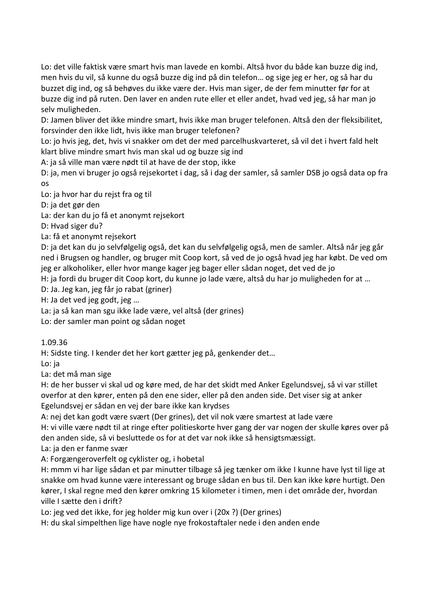Lo: det ville faktisk være smart hvis man lavede en kombi. Altså hvor du både kan buzze dig ind, men hvis du vil, så kunne du også buzze dig ind på din telefon… og sige jeg er her, og så har du buzzet dig ind, og så behøves du ikke være der. Hvis man siger, de der fem minutter før for at buzze dig ind på ruten. Den laver en anden rute eller et eller andet, hvad ved jeg, så har man jo selv muligheden.

D: Jamen bliver det ikke mindre smart, hvis ikke man bruger telefonen. Altså den der fleksibilitet, forsvinder den ikke lidt, hvis ikke man bruger telefonen?

Lo: jo hvis jeg, det, hvis vi snakker om det der med parcelhuskvarteret, så vil det i hvert fald helt klart blive mindre smart hvis man skal ud og buzze sig ind

A: ja så ville man være nødt til at have de der stop, ikke

D: ja, men vi bruger jo også rejsekortet i dag, så i dag der samler, så samler DSB jo også data op fra os

Lo: ja hvor har du rejst fra og til

D: ja det gør den

La: der kan du jo få et anonymt rejsekort

D: Hvad siger du?

La: få et anonymt rejsekort

D: ja det kan du jo selvfølgelig også, det kan du selvfølgelig også, men de samler. Altså når jeg går ned i Brugsen og handler, og bruger mit Coop kort, så ved de jo også hvad jeg har købt. De ved om jeg er alkoholiker, eller hvor mange kager jeg bager eller sådan noget, det ved de jo

H: ja fordi du bruger dit Coop kort, du kunne jo lade være, altså du har jo muligheden for at …

D: Ja. Jeg kan, jeg får jo rabat (griner)

H: Ja det ved jeg godt, jeg …

La: ja så kan man sgu ikke lade være, vel altså (der grines)

Lo: der samler man point og sådan noget

1.09.36

H: Sidste ting. I kender det her kort gætter jeg på, genkender det…

Lo: ja

La: det må man sige

H: de her busser vi skal ud og køre med, de har det skidt med Anker Egelundsvej, så vi var stillet overfor at den kører, enten på den ene sider, eller på den anden side. Det viser sig at anker Egelundsvej er sådan en vej der bare ikke kan krydses

A: nej det kan godt være svært (Der grines), det vil nok være smartest at lade være

H: vi ville være nødt til at ringe efter politieskorte hver gang der var nogen der skulle køres over på den anden side, så vi besluttede os for at det var nok ikke så hensigtsmæssigt.

La: ja den er fanme svær

A: Forgængeroverfelt og cyklister og, i hobetal

H: mmm vi har lige sådan et par minutter tilbage så jeg tænker om ikke I kunne have lyst til lige at snakke om hvad kunne være interessant og bruge sådan en bus til. Den kan ikke køre hurtigt. Den kører, I skal regne med den kører omkring 15 kilometer i timen, men i det område der, hvordan ville I sætte den i drift?

Lo: jeg ved det ikke, for jeg holder mig kun over i (20x ?) (Der grines)

H: du skal simpelthen lige have nogle nye frokostaftaler nede i den anden ende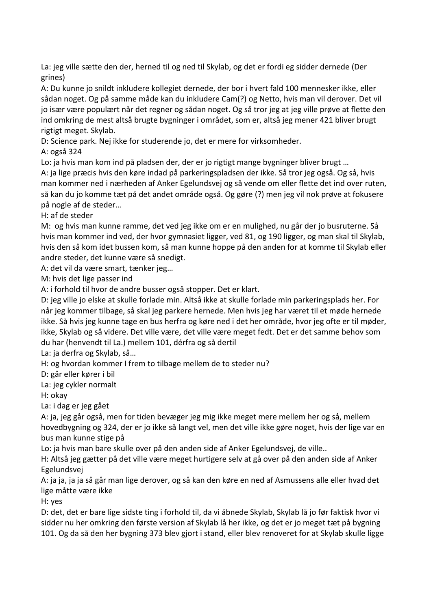La: jeg ville sætte den der, herned til og ned til Skylab, og det er fordi eg sidder dernede (Der grines)

A: Du kunne jo snildt inkludere kollegiet dernede, der bor i hvert fald 100 mennesker ikke, eller sådan noget. Og på samme måde kan du inkludere Cam(?) og Netto, hvis man vil derover. Det vil jo især være populært når det regner og sådan noget. Og så tror jeg at jeg ville prøve at flette den ind omkring de mest altså brugte bygninger i området, som er, altså jeg mener 421 bliver brugt rigtigt meget. Skylab.

D: Science park. Nej ikke for studerende jo, det er mere for virksomheder.

A: også 324

Lo: ja hvis man kom ind på pladsen der, der er jo rigtigt mange bygninger bliver brugt …

A: ja lige præcis hvis den køre indad på parkeringspladsen der ikke. Så tror jeg også. Og så, hvis man kommer ned i nærheden af Anker Egelundsvej og så vende om eller flette det ind over ruten, så kan du jo komme tæt på det andet område også. Og gøre (?) men jeg vil nok prøve at fokusere på nogle af de steder…

H: af de steder

M: og hvis man kunne ramme, det ved jeg ikke om er en mulighed, nu går der jo busruterne. Så hvis man kommer ind ved, der hvor gymnasiet ligger, ved 81, og 190 ligger, og man skal til Skylab, hvis den så kom idet bussen kom, så man kunne hoppe på den anden for at komme til Skylab eller andre steder, det kunne være så snedigt.

A: det vil da være smart, tænker jeg…

M: hvis det lige passer ind

A: i forhold til hvor de andre busser også stopper. Det er klart.

D: jeg ville jo elske at skulle forlade min. Altså ikke at skulle forlade min parkeringsplads her. For når jeg kommer tilbage, så skal jeg parkere hernede. Men hvis jeg har været til et møde hernede ikke. Så hvis jeg kunne tage en bus herfra og køre ned i det her område, hvor jeg ofte er til møder, ikke, Skylab og så videre. Det ville være, det ville være meget fedt. Det er det samme behov som du har (henvendt til La.) mellem 101, dérfra og så dertil

La: ja derfra og Skylab, så…

H: og hvordan kommer I frem to tilbage mellem de to steder nu?

D: går eller kører i bil

La: jeg cykler normalt

H: okay

La: i dag er jeg gået

A: ja, jeg går også, men for tiden bevæger jeg mig ikke meget mere mellem her og så, mellem hovedbygning og 324, der er jo ikke så langt vel, men det ville ikke gøre noget, hvis der lige var en bus man kunne stige på

Lo: ja hvis man bare skulle over på den anden side af Anker Egelundsvej, de ville..

H: Altså jeg gætter på det ville være meget hurtigere selv at gå over på den anden side af Anker Egelundsvej

A: ja ja, ja ja så går man lige derover, og så kan den køre en ned af Asmussens alle eller hvad det lige måtte være ikke

H: yes

D: det, det er bare lige sidste ting i forhold til, da vi åbnede Skylab, Skylab lå jo før faktisk hvor vi sidder nu her omkring den første version af Skylab lå her ikke, og det er jo meget tæt på bygning 101. Og da så den her bygning 373 blev gjort i stand, eller blev renoveret for at Skylab skulle ligge